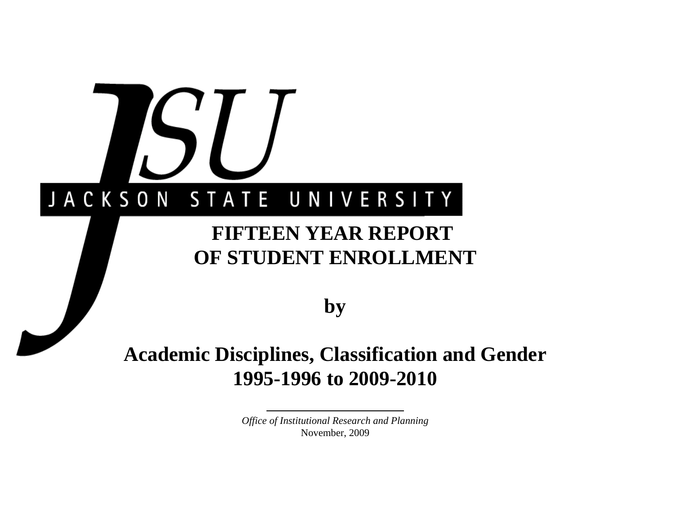# JACKSON STATE UNIVERSITY

# **FIFTEEN YEAR REPORT OF STUDENT ENROLLMENT**

**by**

# **Academic Disciplines, Classification and Gender 1995-1996 to 2009-2010**

*Office of Institutional Research and Planning* November, 2009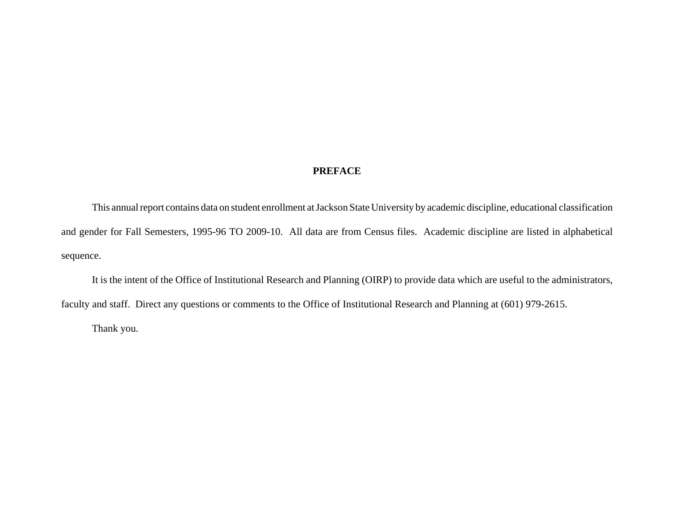### **PREFACE**

This annual report contains data on student enrollment at Jackson State University by academic discipline, educational classification and gender for Fall Semesters, 1995-96 TO 2009-10. All data are from Census files. Academic discipline are listed in alphabetical sequence.

It is the intent of the Office of Institutional Research and Planning (OIRP) to provide data which are useful to the administrators, faculty and staff. Direct any questions or comments to the Office of Institutional Research and Planning at (601) 979-2615.

Thank you.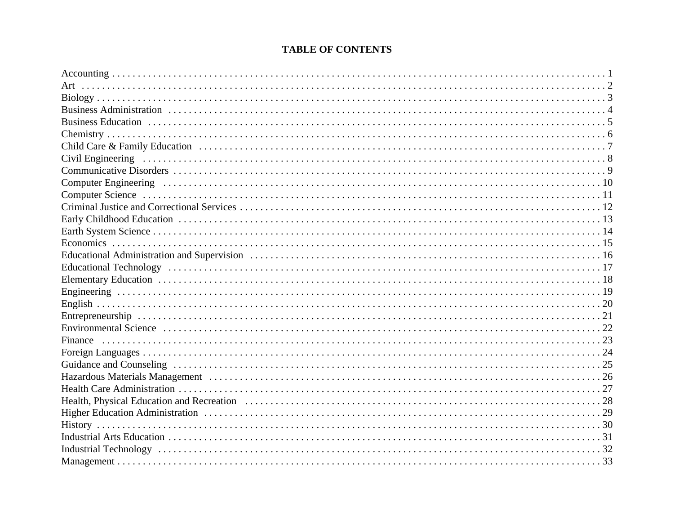# **TABLE OF CONTENTS**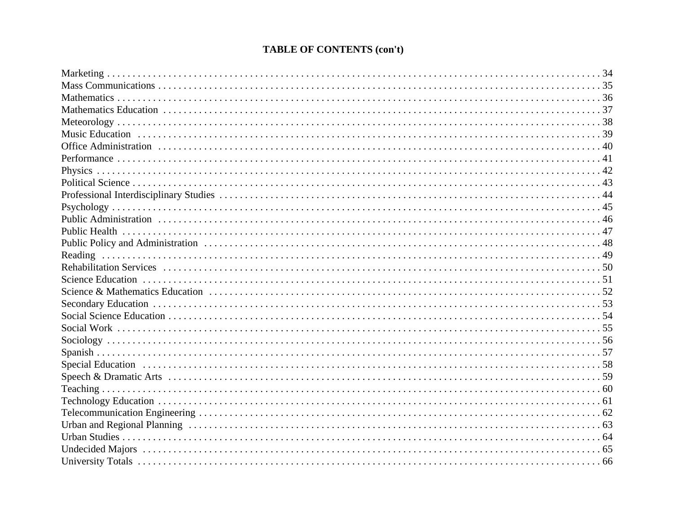# **TABLE OF CONTENTS (con't)**

| Reading |
|---------|
|         |
|         |
|         |
|         |
|         |
|         |
|         |
|         |
|         |
|         |
|         |
|         |
|         |
|         |
|         |
|         |
|         |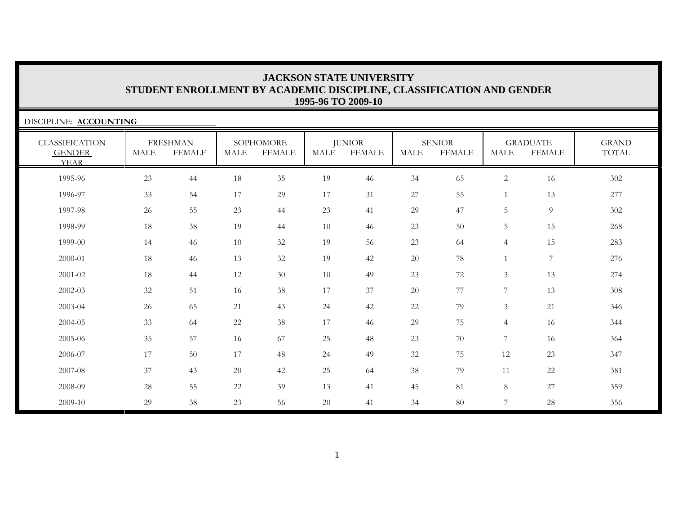| DISCIPLINE: ACCOUNTING                                |             |                                  |        |                            |             |                                |                       |                                |                |                                  |                       |
|-------------------------------------------------------|-------------|----------------------------------|--------|----------------------------|-------------|--------------------------------|-----------------------|--------------------------------|----------------|----------------------------------|-----------------------|
| <b>CLASSIFICATION</b><br><b>GENDER</b><br><b>YEAR</b> | <b>MALE</b> | <b>FRESHMAN</b><br><b>FEMALE</b> | MALE   | SOPHOMORE<br><b>FEMALE</b> | <b>MALE</b> | <b>JUNIOR</b><br><b>FEMALE</b> | $\operatorname{MALE}$ | <b>SENIOR</b><br><b>FEMALE</b> | <b>MALE</b>    | <b>GRADUATE</b><br><b>FEMALE</b> | <b>GRAND</b><br>TOTAL |
| 1995-96                                               | 23          | 44                               | 18     | 35                         | 19          | 46                             | 34                    | 65                             | $\overline{c}$ | 16                               | 302                   |
| 1996-97                                               | 33          | 54                               | 17     | 29                         | 17          | 31                             | 27                    | 55                             |                | 13                               | 277                   |
| 1997-98                                               | 26          | 55                               | 23     | 44                         | 23          | 41                             | 29                    | 47                             | 5              | $\overline{9}$                   | 302                   |
| 1998-99                                               | 18          | 38                               | 19     | 44                         | 10          | 46                             | 23                    | 50                             | 5              | 15                               | 268                   |
| 1999-00                                               | 14          | 46                               | 10     | 32                         | 19          | 56                             | 23                    | 64                             | $\overline{4}$ | 15                               | 283                   |
| 2000-01                                               | 18          | 46                               | 13     | 32                         | 19          | 42                             | 20                    | 78                             |                | $7\phantom{.0}$                  | 276                   |
| 2001-02                                               | 18          | 44                               | 12     | 30                         | 10          | 49                             | 23                    | 72                             | $\mathfrak{Z}$ | 13                               | 274                   |
| 2002-03                                               | 32          | 51                               | 16     | 38                         | 17          | 37                             | 20                    | 77                             | $\overline{7}$ | 13                               | 308                   |
| 2003-04                                               | 26          | 65                               | 21     | 43                         | 24          | 42                             | 22                    | 79                             | 3              | 21                               | 346                   |
| 2004-05                                               | 33          | 64                               | 22     | 38                         | 17          | 46                             | 29                    | 75                             | $\overline{4}$ | 16                               | 344                   |
| 2005-06                                               | 35          | 57                               | 16     | 67                         | 25          | 48                             | 23                    | 70                             | 7              | 16                               | 364                   |
| 2006-07                                               | 17          | $50\,$                           | 17     | 48                         | 24          | 49                             | 32                    | 75                             | 12             | 23                               | 347                   |
| 2007-08                                               | 37          | 43                               | 20     | 42                         | 25          | 64                             | 38                    | 79                             | 11             | 22                               | 381                   |
| 2008-09                                               | 28          | 55                               | $22\,$ | 39                         | 13          | 41                             | 45                    | 81                             | $8\,$          | 27                               | 359                   |
| 2009-10                                               | 29          | 38                               | 23     | 56                         | $20\,$      | 41                             | 34                    | 80                             | 7              | 28                               | 356                   |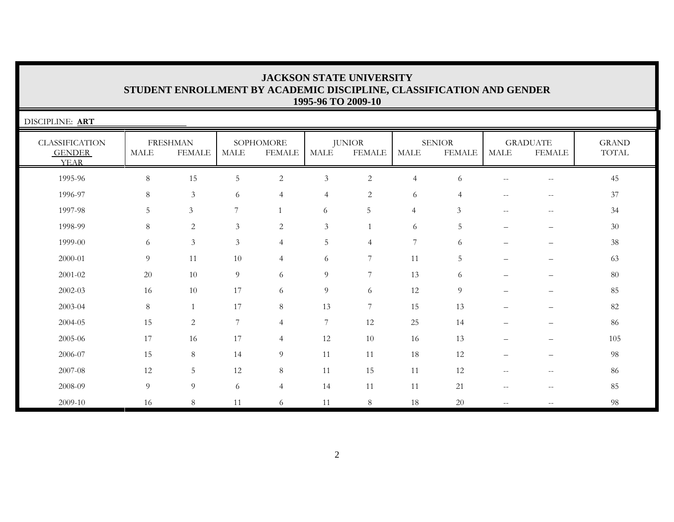| <b>JACKSON STATE UNIVERSITY</b>                                      |
|----------------------------------------------------------------------|
| STUDENT ENROLLMENT BY ACADEMIC DISCIPLINE, CLASSIFICATION AND GENDER |
| 1995-96 TO 2009-10                                                   |

| DISCIPLINE: ART                                       |             |                                  |                |                            |                |                                |                |                                |                                                     |                                                       |                                        |
|-------------------------------------------------------|-------------|----------------------------------|----------------|----------------------------|----------------|--------------------------------|----------------|--------------------------------|-----------------------------------------------------|-------------------------------------------------------|----------------------------------------|
| <b>CLASSIFICATION</b><br><b>GENDER</b><br><b>YEAR</b> | <b>MALE</b> | <b>FRESHMAN</b><br><b>FEMALE</b> | MALE           | SOPHOMORE<br><b>FEMALE</b> | <b>MALE</b>    | <b>JUNIOR</b><br><b>FEMALE</b> | <b>MALE</b>    | <b>SENIOR</b><br><b>FEMALE</b> | <b>MALE</b>                                         | <b>GRADUATE</b><br><b>FEMALE</b>                      | <b>GRAND</b><br>$\operatorname{TOTAL}$ |
| 1995-96                                               | $\,8\,$     | 15                               | 5              | $\overline{2}$             | $\mathfrak{Z}$ | $\overline{2}$                 | $\overline{4}$ | 6                              | $\hspace{0.05cm} -\hspace{0.05cm} -\hspace{0.05cm}$ | $\hspace{0.05cm} -$                                   | 45                                     |
| 1996-97                                               | 8           | $\mathfrak{Z}$                   | 6              | $\overline{4}$             | $\overline{4}$ | $\overline{c}$                 | 6              | 4                              | $- -$                                               | $\hspace{0.05cm} -$                                   | 37                                     |
| 1997-98                                               | 5           | 3                                | 7              |                            | 6              | 5                              | $\overline{4}$ | $\mathfrak{Z}$                 | $\hspace{0.05cm} -\hspace{0.05cm} -\hspace{0.05cm}$ | $\hspace{0.05cm} -$                                   | 34                                     |
| 1998-99                                               | 8           | 2                                | 3              | 2                          | $\mathfrak{Z}$ |                                | 6              | 5                              | $\qquad \qquad -$                                   | $\overline{\phantom{0}}$                              | 30                                     |
| 1999-00                                               | 6           | $\mathfrak{Z}$                   | 3              | $\overline{4}$             | 5              | $\overline{4}$                 | 7              | 6                              | $\qquad \qquad -$                                   |                                                       | 38                                     |
| 2000-01                                               | 9           | 11                               | 10             | $\overline{4}$             | 6              | 7                              | 11             | 5                              |                                                     |                                                       | 63                                     |
| 2001-02                                               | 20          | 10                               | 9              | 6                          | 9              | $7\phantom{.0}$                | 13             | 6                              |                                                     |                                                       | $80\,$                                 |
| $2002 - 03$                                           | 16          | 10                               | 17             | 6                          | $\overline{9}$ | 6                              | 12             | 9                              |                                                     |                                                       | 85                                     |
| 2003-04                                               | $8\,$       |                                  | 17             | $8\phantom{.}$             | 13             | $7\phantom{.0}$                | 15             | 13                             | $\qquad \qquad -$                                   |                                                       | 82                                     |
| 2004-05                                               | 15          | 2                                | $\overline{7}$ | $\overline{4}$             | $\sqrt{ }$     | 12                             | 25             | 14                             |                                                     |                                                       | 86                                     |
| 2005-06                                               | 17          | 16                               | $17\,$         | $\overline{4}$             | 12             | 10                             | 16             | 13                             |                                                     |                                                       | 105                                    |
| 2006-07                                               | 15          | 8                                | 14             | 9                          | 11             | 11                             | 18             | 12                             |                                                     |                                                       | 98                                     |
| 2007-08                                               | 12          | $5\overline{)}$                  | 12             | $8\,$                      | 11             | 15                             | 11             | 12                             | $\hspace{0.05cm} -\hspace{0.05cm} -\hspace{0.05cm}$ | $\sim$ $\sim$                                         | 86                                     |
| 2008-09                                               | 9           | 9                                | 6              | $\overline{4}$             | 14             | 11                             | 11             | 21                             | $\hspace{0.05cm} -\hspace{0.05cm} -\hspace{0.05cm}$ | $\hspace{0.05cm} - \hspace{0.05cm} - \hspace{0.05cm}$ | 85                                     |
| 2009-10                                               | 16          | 8                                | 11             | 6                          | 11             | 8                              | 18             | 20                             | $- -$                                               |                                                       | 98                                     |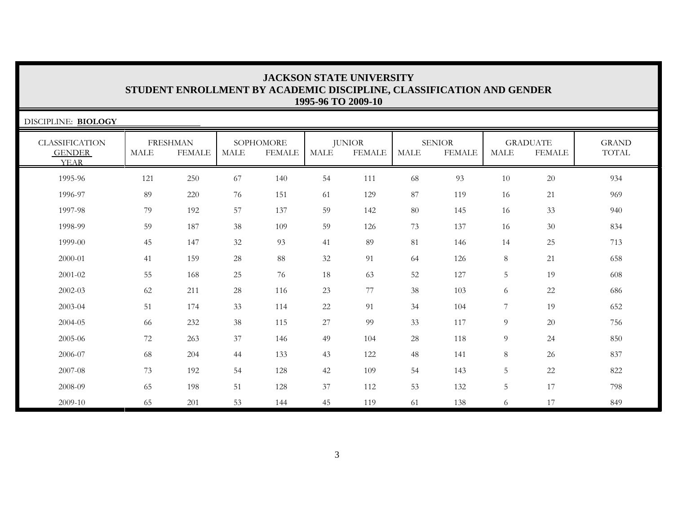| DISCIPLINE: BIOLOGY                                   |      |                                  |      |                            |        |                                |             |                                |                |                                  |                       |
|-------------------------------------------------------|------|----------------------------------|------|----------------------------|--------|--------------------------------|-------------|--------------------------------|----------------|----------------------------------|-----------------------|
| <b>CLASSIFICATION</b><br><b>GENDER</b><br><b>YEAR</b> | MALE | <b>FRESHMAN</b><br><b>FEMALE</b> | MALE | SOPHOMORE<br><b>FEMALE</b> | MALE   | <b>JUNIOR</b><br><b>FEMALE</b> | <b>MALE</b> | <b>SENIOR</b><br><b>FEMALE</b> | <b>MALE</b>    | <b>GRADUATE</b><br><b>FEMALE</b> | <b>GRAND</b><br>TOTAL |
| 1995-96                                               | 121  | 250                              | 67   | 140                        | 54     | 111                            | 68          | 93                             | 10             | 20                               | 934                   |
| 1996-97                                               | 89   | 220                              | 76   | 151                        | 61     | 129                            | 87          | 119                            | 16             | 21                               | 969                   |
| 1997-98                                               | 79   | 192                              | 57   | 137                        | 59     | 142                            | 80          | 145                            | 16             | 33                               | 940                   |
| 1998-99                                               | 59   | 187                              | 38   | 109                        | 59     | 126                            | 73          | 137                            | 16             | 30                               | 834                   |
| 1999-00                                               | 45   | 147                              | 32   | 93                         | 41     | 89                             | 81          | 146                            | 14             | 25                               | 713                   |
| 2000-01                                               | 41   | 159                              | 28   | 88                         | 32     | 91                             | 64          | 126                            | 8              | 21                               | 658                   |
| 2001-02                                               | 55   | 168                              | 25   | 76                         | 18     | 63                             | 52          | 127                            | 5              | 19                               | 608                   |
| 2002-03                                               | 62   | 211                              | 28   | 116                        | 23     | 77                             | 38          | 103                            | 6              | 22                               | 686                   |
| 2003-04                                               | 51   | 174                              | 33   | 114                        | $22\,$ | 91                             | 34          | 104                            | 7              | 19                               | 652                   |
| 2004-05                                               | 66   | 232                              | 38   | 115                        | $27\,$ | 99                             | 33          | 117                            | 9              | 20                               | 756                   |
| 2005-06                                               | 72   | 263                              | 37   | 146                        | 49     | 104                            | $28\,$      | 118                            | 9              | 24                               | 850                   |
| 2006-07                                               | 68   | 204                              | 44   | 133                        | 43     | 122                            | 48          | 141                            | 8              | 26                               | 837                   |
| 2007-08                                               | 73   | 192                              | 54   | 128                        | 42     | 109                            | 54          | 143                            | $\overline{5}$ | 22                               | 822                   |
| 2008-09                                               | 65   | 198                              | 51   | 128                        | 37     | 112                            | 53          | 132                            | $\overline{5}$ | 17                               | 798                   |
| 2009-10                                               | 65   | 201                              | 53   | 144                        | 45     | 119                            | 61          | 138                            | 6              | 17                               | 849                   |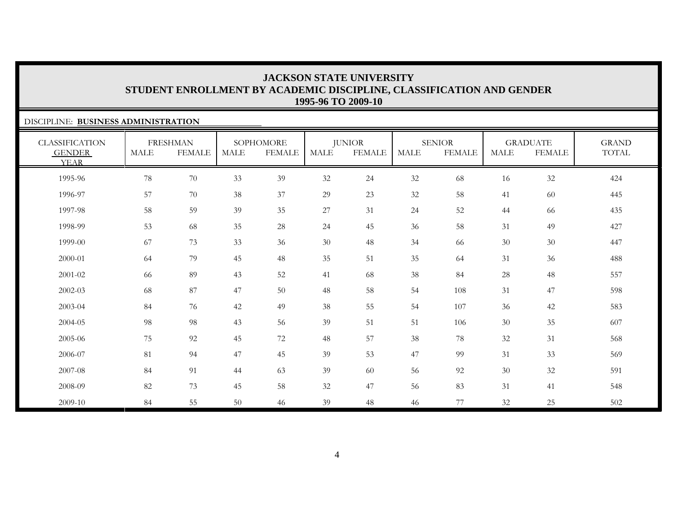### DISCIPLINE: **BUSINESS ADMINISTRATION**

| <b>CLASSIFICATION</b><br><b>GENDER</b><br><b>YEAR</b> | <b>MALE</b> | <b>FRESHMAN</b><br><b>FEMALE</b> | <b>MALE</b> | SOPHOMORE<br><b>FEMALE</b> | MALE   | <b>JUNIOR</b><br><b>FEMALE</b> | <b>MALE</b> | <b>SENIOR</b><br><b>FEMALE</b> | MALE | <b>GRADUATE</b><br><b>FEMALE</b> | <b>GRAND</b><br>TOTAL |
|-------------------------------------------------------|-------------|----------------------------------|-------------|----------------------------|--------|--------------------------------|-------------|--------------------------------|------|----------------------------------|-----------------------|
| 1995-96                                               | 78          | $70\,$                           | 33          | 39                         | $32\,$ | 24                             | 32          | 68                             | 16   | 32                               | 424                   |
| 1996-97                                               | 57          | 70                               | 38          | 37                         | 29     | 23                             | 32          | 58                             | 41   | 60                               | 445                   |
| 1997-98                                               | 58          | 59                               | 39          | 35                         | $27\,$ | 31                             | 24          | 52                             | 44   | 66                               | 435                   |
| 1998-99                                               | 53          | 68                               | 35          | 28                         | 24     | 45                             | 36          | 58                             | 31   | 49                               | 427                   |
| 1999-00                                               | 67          | 73                               | 33          | 36                         | 30     | 48                             | 34          | 66                             | 30   | 30                               | 447                   |
| 2000-01                                               | 64          | 79                               | 45          | 48                         | 35     | 51                             | 35          | 64                             | 31   | 36                               | 488                   |
| 2001-02                                               | 66          | 89                               | 43          | 52                         | 41     | 68                             | 38          | 84                             | 28   | 48                               | 557                   |
| $2002 - 03$                                           | 68          | 87                               | 47          | 50                         | 48     | 58                             | 54          | 108                            | 31   | 47                               | 598                   |
| 2003-04                                               | 84          | 76                               | 42          | 49                         | 38     | 55                             | 54          | 107                            | 36   | 42                               | 583                   |
| 2004-05                                               | 98          | 98                               | 43          | 56                         | 39     | 51                             | 51          | 106                            | 30   | 35                               | 607                   |
| 2005-06                                               | 75          | 92                               | 45          | 72                         | 48     | 57                             | 38          | 78                             | 32   | 31                               | 568                   |
| 2006-07                                               | 81          | 94                               | 47          | 45                         | 39     | 53                             | 47          | 99                             | 31   | 33                               | 569                   |
| 2007-08                                               | 84          | 91                               | 44          | 63                         | 39     | 60                             | 56          | 92                             | 30   | 32                               | 591                   |
| 2008-09                                               | 82          | 73                               | 45          | 58                         | 32     | 47                             | 56          | 83                             | 31   | 41                               | 548                   |
| 2009-10                                               | 84          | 55                               | 50          | 46                         | 39     | 48                             | 46          | 77                             | 32   | 25                               | 502                   |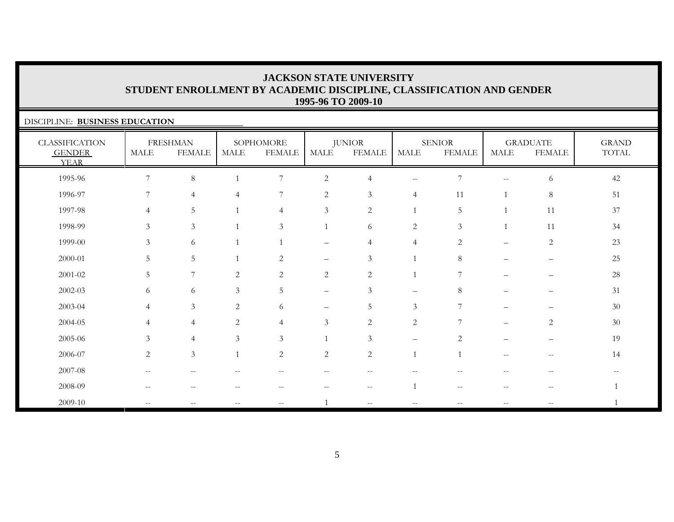SENIOR

GRADUATE

GRAND

### DISCIPLINE: **BUSINESS EDUCATION** CLASSIFICATION GENDER YEARFRESHMAN **DEMALE** SOPHOMORE MALE FEMALEJUNIOR **EEMAL**

| <b>GENDER</b><br><b>YEAR</b> | $\operatorname{MALE}$    | <b>FEMALE</b>     | MALE           | <b>FEMALE</b>   | MALE                     | <b>FEMALE</b>  | <b>MALE</b>              | <b>FEMALE</b>                                       | MALE                                                | <b>FEMALE</b>     | TOTAL  |
|------------------------------|--------------------------|-------------------|----------------|-----------------|--------------------------|----------------|--------------------------|-----------------------------------------------------|-----------------------------------------------------|-------------------|--------|
| 1995-96                      | 7                        | $\,8\,$           |                | $\overline{7}$  | $\sqrt{2}$               | $\overline{4}$ | $- -$                    | $\overline{7}$                                      | $\hspace{0.05cm} -\hspace{0.05cm} -\hspace{0.05cm}$ | 6                 | $42\,$ |
| 1996-97                      |                          | $\overline{4}$    | $\overline{4}$ | 7               | 2                        | $\mathfrak{Z}$ | $\overline{4}$           | 11                                                  | 1                                                   | $\,8\,$           | $51\,$ |
| 1997-98                      | $\overline{4}$           | 5                 |                | 4               | $\mathfrak{Z}$           | $\sqrt{2}$     | 1                        | $\overline{5}$                                      | $\mathbf{1}$                                        | 11                | $37\,$ |
| 1998-99                      | $\mathfrak{Z}$           | $\mathfrak{Z}$    |                | $\mathfrak{Z}$  | $\mathbf{1}$             | 6              | $\overline{c}$           | $\mathfrak{Z}$                                      | $\mathbf{1}$                                        | 11                | $34\,$ |
| 1999-00                      | $\mathfrak{Z}$           | 6                 |                |                 | $\overline{\phantom{0}}$ | $\overline{4}$ | 4                        | $\sqrt{2}$                                          |                                                     | $\sqrt{2}$        | $23\,$ |
| $2000 - 01$                  | 5                        | $\mathsf S$       |                | $\overline{c}$  | —                        | $\mathfrak{Z}$ | -1                       | $8\,$                                               |                                                     | —                 | $25\,$ |
| $2001 - 02$                  | $\overline{5}$           | 7                 | $\mathbf{2}$   | $\overline{c}$  | $\overline{c}$           | $\sqrt{2}$     |                          | $\overline{7}$                                      |                                                     |                   | $28\,$ |
| 2002-03                      | 6                        | 6                 | $\mathfrak{Z}$ | $5\overline{)}$ | $\qquad \qquad -$        | $\mathfrak{Z}$ | $\overline{\phantom{0}}$ | 8                                                   |                                                     |                   | $31\,$ |
| 2003-04                      | $\overline{4}$           | $\mathfrak{Z}$    | 2              | 6               | $\overline{\phantom{0}}$ | 5              | $\mathfrak{Z}$           | $\overline{7}$                                      |                                                     |                   | $30\,$ |
| $2004 - 05$                  | $\overline{4}$           | $\overline{4}$    | 2              | $\overline{4}$  | 3                        | $\overline{2}$ | $\overline{c}$           | 7                                                   |                                                     | 2                 | $30\,$ |
| 2005-06                      | $\mathfrak{Z}$           | $\overline{4}$    | $\mathfrak{Z}$ | $\mathfrak{Z}$  |                          | $\mathfrak{Z}$ |                          | $\overline{c}$                                      |                                                     |                   | 19     |
| 2006-07                      | $\sqrt{2}$               | $\mathfrak{Z}$    | $\mathbf{1}$   | $\overline{2}$  | $\overline{c}$           | $\sqrt{2}$     | $\mathbf{1}$             | $\mathbf{1}$                                        | --                                                  | $\qquad \qquad -$ | 14     |
| 2007-08                      | $\overline{\phantom{a}}$ | $\qquad \qquad -$ |                | --              | --                       | --             |                          |                                                     |                                                     | $\qquad \qquad -$ |        |
| $2008 - 09$                  | $\overline{\phantom{m}}$ |                   |                |                 |                          | $-$            | $\mathbf{1}$             | $\hspace{0.05cm} -\hspace{0.05cm} -\hspace{0.05cm}$ |                                                     | $\qquad \qquad -$ | 1      |
| 2009-10                      | $-\,-$                   |                   |                |                 |                          | --             |                          |                                                     |                                                     |                   |        |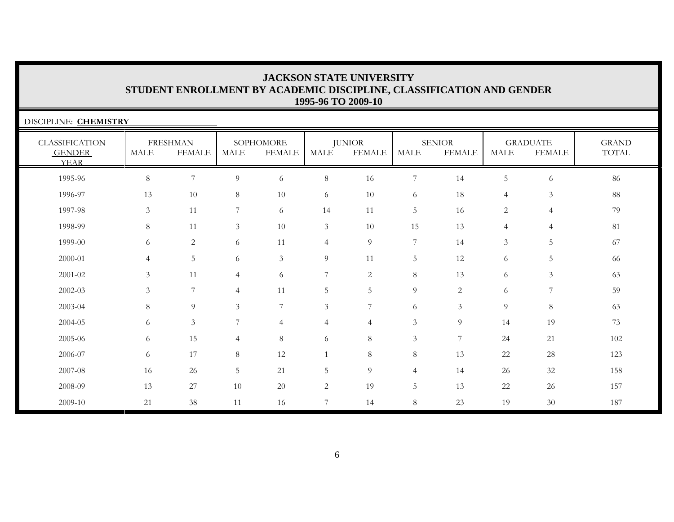| DISCIPLINE: CHEMISTRY                                 |                |                                  |                       |                            |                |                                |                |                                |                |                                  |                       |
|-------------------------------------------------------|----------------|----------------------------------|-----------------------|----------------------------|----------------|--------------------------------|----------------|--------------------------------|----------------|----------------------------------|-----------------------|
| <b>CLASSIFICATION</b><br><b>GENDER</b><br><b>YEAR</b> | <b>MALE</b>    | <b>FRESHMAN</b><br><b>FEMALE</b> | $\operatorname{MALE}$ | SOPHOMORE<br><b>FEMALE</b> | <b>MALE</b>    | <b>JUNIOR</b><br><b>FEMALE</b> | <b>MALE</b>    | <b>SENIOR</b><br><b>FEMALE</b> | <b>MALE</b>    | <b>GRADUATE</b><br><b>FEMALE</b> | <b>GRAND</b><br>TOTAL |
| 1995-96                                               | 8              | $\overline{7}$                   | 9                     | 6                          | 8              | 16                             | $\overline{7}$ | 14                             | 5              | 6                                | 86                    |
| 1996-97                                               | 13             | 10                               | 8                     | $10\,$                     | 6              | 10                             | 6              | $18\,$                         | $\overline{4}$ | $\mathfrak{Z}$                   | $88\,$                |
| 1997-98                                               | 3              | 11                               | 7                     | 6                          | 14             | 11                             | 5              | 16                             | 2              | $\overline{4}$                   | 79                    |
| 1998-99                                               | 8              | 11                               | 3                     | 10                         | $\mathfrak{Z}$ | 10                             | 15             | 13                             | $\overline{4}$ | $\overline{4}$                   | 81                    |
| 1999-00                                               | 6              | 2                                | 6                     | 11                         | $\overline{4}$ | 9                              | $\overline{7}$ | 14                             | $\mathfrak{Z}$ | 5                                | 67                    |
| 2000-01                                               | $\overline{4}$ | 5                                | 6                     | $\mathfrak{Z}$             | 9              | 11                             | $\overline{5}$ | 12                             | 6              | 5                                | 66                    |
| 2001-02                                               | 3              | 11                               | $\overline{4}$        | 6                          | $\overline{7}$ | $\overline{2}$                 | $8\,$          | 13                             | 6              | $\mathfrak{Z}$                   | 63                    |
| 2002-03                                               | 3              | $\overline{7}$                   | $\overline{4}$        | 11                         | 5              | 5                              | 9              | 2                              | 6              | $\overline{7}$                   | 59                    |
| 2003-04                                               | 8              | 9                                | 3                     | $\overline{7}$             | $\mathfrak{Z}$ | $\overline{7}$                 | 6              | 3                              | 9              | $\,8\,$                          | 63                    |
| 2004-05                                               | 6              | $\mathfrak{Z}$                   | 7                     | $\overline{4}$             | $\overline{4}$ | $\overline{4}$                 | $\mathfrak{Z}$ | 9                              | 14             | 19                               | 73                    |
| 2005-06                                               | 6              | 15                               | $\overline{4}$        | 8                          | 6              | 8                              | $\mathfrak{Z}$ | $\overline{7}$                 | 24             | 21                               | 102                   |
| 2006-07                                               | 6              | 17                               | 8                     | 12                         | $\mathbf{1}$   | 8                              | $8\,$          | 13                             | 22             | $28\,$                           | 123                   |
| 2007-08                                               | 16             | $26\,$                           | 5                     | 21                         | 5              | 9                              | 4              | 14                             | 26             | 32                               | 158                   |
| 2008-09                                               | 13             | 27                               | $10\,$                | $20\,$                     | $\overline{c}$ | 19                             | 5              | 13                             | 22             | 26                               | 157                   |
| 2009-10                                               | 21             | 38                               | 11                    | 16                         | 7              | 14                             | 8              | 23                             | 19             | $30\,$                           | 187                   |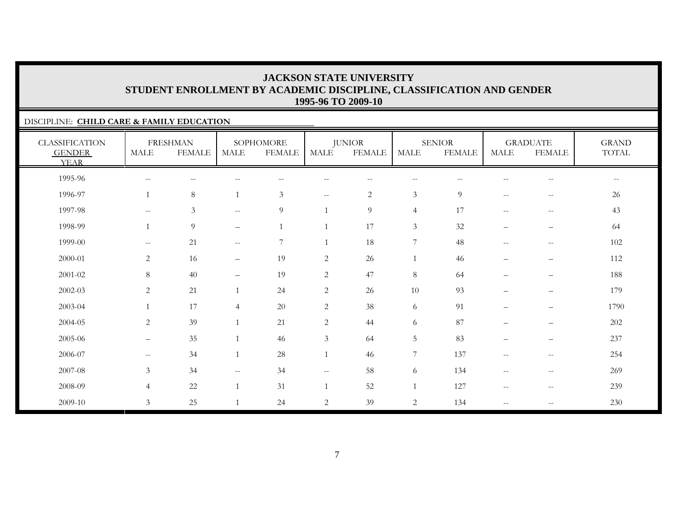### DISCIPLINE: **CHILD CARE & FAMILY EDUCATION**

| <b>CLASSIFICATION</b><br><b>GENDER</b><br><b>YEAR</b> | <b>MALE</b>                                         | <b>FRESHMAN</b><br><b>FEMALE</b> | <b>MALE</b>                                         | SOPHOMORE<br><b>FEMALE</b> | MALE           | <b>JUNIOR</b><br><b>FEMALE</b> | MALE                     | <b>SENIOR</b><br><b>FEMALE</b> | <b>MALE</b>                                         | <b>GRADUATE</b><br><b>FEMALE</b>      | <b>GRAND</b><br>TOTAL    |
|-------------------------------------------------------|-----------------------------------------------------|----------------------------------|-----------------------------------------------------|----------------------------|----------------|--------------------------------|--------------------------|--------------------------------|-----------------------------------------------------|---------------------------------------|--------------------------|
| 1995-96                                               | $\mathbf{u}$                                        | $-$                              | $-$                                                 | $-$                        | --             | $\qquad \qquad -$              | $\overline{\phantom{m}}$ | --                             |                                                     | $\hspace{0.05cm}$ – $\hspace{0.05cm}$ | $\overline{\phantom{m}}$ |
| 1996-97                                               | $\overline{1}$                                      | $\,8\,$                          | $\overline{1}$                                      | $\mathfrak{Z}$             | $- -$          | $\sqrt{2}$                     | $\mathfrak{Z}$           | $\overline{9}$                 | $\mathcal{L}=\mathcal{L}$                           | $\overline{\phantom{m}}$              | 26                       |
| 1997-98                                               | $\mathbf{u}$                                        | $\mathfrak{Z}$                   | $\sim$ $\sim$                                       | 9                          |                | 9                              | $\overline{4}$           | 17                             | $\hspace{0.05cm} -\hspace{0.05cm} -\hspace{0.05cm}$ | $\overline{\phantom{m}}$              | 43                       |
| 1998-99                                               | $\overline{1}$                                      | 9                                | $\overline{\phantom{m}}$                            | $\overline{1}$             | 1              | 17                             | $\mathfrak{Z}$           | 32                             | $\qquad \qquad -$                                   | $\qquad \qquad -$                     | 64                       |
| 1999-00                                               | $\mathbf{u}$                                        | 21                               | $\hspace{0.05cm} -\hspace{0.05cm} -\hspace{0.05cm}$ | 7                          |                | 18                             | $\boldsymbol{7}$         | 48                             | $\hspace{0.05cm} -\hspace{0.05cm} -\hspace{0.05cm}$ | $\hspace{0.05cm} -$                   | $102\,$                  |
| 2000-01                                               | $\overline{c}$                                      | 16                               | $\overline{\phantom{0}}$                            | 19                         | $\sqrt{2}$     | 26                             | 1                        | 46                             | $\equiv$                                            | $\overline{\phantom{m}}$              | 112                      |
| 2001-02                                               | $\,8\,$                                             | 40                               | $\overline{\phantom{0}}$                            | 19                         | $\overline{c}$ | 47                             | $\,8\,$                  | 64                             | $\qquad \qquad -$                                   | $\overline{\phantom{m}}$              | 188                      |
| 2002-03                                               | $\mathbf{2}$                                        | 21                               |                                                     | 24                         | $\overline{c}$ | 26                             | $10\,$                   | 93                             | $\overline{\phantom{m}}$                            | $\qquad \qquad -$                     | 179                      |
| 2003-04                                               | $\overline{1}$                                      | 17                               | $\overline{4}$                                      | $20\,$                     | $\overline{c}$ | 38                             | 6                        | 91                             | $\qquad \qquad -$                                   | $\overline{\phantom{m}}$              | 1790                     |
| 2004-05                                               | $\overline{2}$                                      | 39                               |                                                     | 21                         | $\overline{c}$ | 44                             | 6                        | 87                             | $\overline{\phantom{0}}$                            | $\overline{\phantom{m}}$              | $202\,$                  |
| 2005-06                                               | $\qquad \qquad -$                                   | 35                               | $\overline{1}$                                      | 46                         | 3              | 64                             | $5\phantom{.0}$          | 83                             | $\qquad \qquad -$                                   | $\overline{\phantom{m}}$              | 237                      |
| 2006-07                                               | $\hspace{0.05cm} -\hspace{0.05cm} -\hspace{0.05cm}$ | 34                               | $\overline{1}$                                      | $28\,$                     | $\mathbf{1}$   | 46                             | 7                        | 137                            | $\hspace{0.05cm} -\hspace{0.05cm} -\hspace{0.05cm}$ | $\overline{\phantom{m}}$              | 254                      |
| 2007-08                                               | 3                                                   | 34                               | $\hspace{0.05cm} -\hspace{0.05cm} -\hspace{0.05cm}$ | 34                         | $- -$          | 58                             | 6                        | 134                            | $\hspace{0.05cm} -\hspace{0.05cm} -\hspace{0.05cm}$ | $-\,-$                                | 269                      |
| 2008-09                                               | $\overline{4}$                                      | $22\,$                           |                                                     | 31                         | $\mathbf{1}$   | 52                             |                          | 127                            | $\hspace{0.05cm} -\hspace{0.05cm} -\hspace{0.05cm}$ | $-\,-$                                | 239                      |
| 2009-10                                               | $\mathfrak{Z}$                                      | 25                               |                                                     | 24                         | $\sqrt{2}$     | 39                             | $\sqrt{2}$               | 134                            | $\overline{\phantom{m}}$                            | $\hspace{0.05cm} -$                   | 230                      |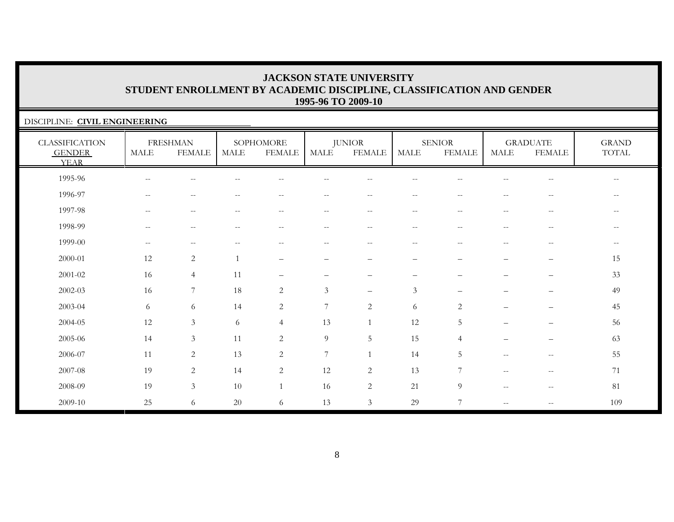### DISCIPLINE: **CIVIL ENGINEERING** CLASSIFICATION GENDER YEARFRESHMAN MALE FEMALESOPHOMORE MALE FEMALEJUNIOR MALE FEMALESENIORMALE FEMALEGRADUATE MALE FEMALEGRAND TOTAL 1995-96 -- -- -- -- -- -- -- -- -- -- --1996-97 -- -- -- -- -- -- -- -- -- -- --1997-98 -- -- -- -- -- -- -- -- -- -- --1998-99 -- -- -- -- -- -- -- -- -- -- --1999-00 -- -- -- -- -- -- -- -- -- -- --2000-01 12 2 1 – – – – – – – 1515 2001-02 16 4 11 – – – – – – – 3333 2002-03 16 7 18 2 3 – 3 – – – 4949 2003-04 6 6 14 2 7 2 6 2 – – 452004-05 12 3 6 4 13 1 12 5 – – 5656 2005-06 14 3 11 2 9 5 15 4 – – 6363 2006-07 11 2 13 2 7 1 14 5 -- -- 552007-08 19 2 14 2 12 2 13 7 -- -- 712008-09 19 3 10 1 16 2 21 9 -- -- 81 $2009-10$  25 6 20 6 13 3 29 7 - - - 109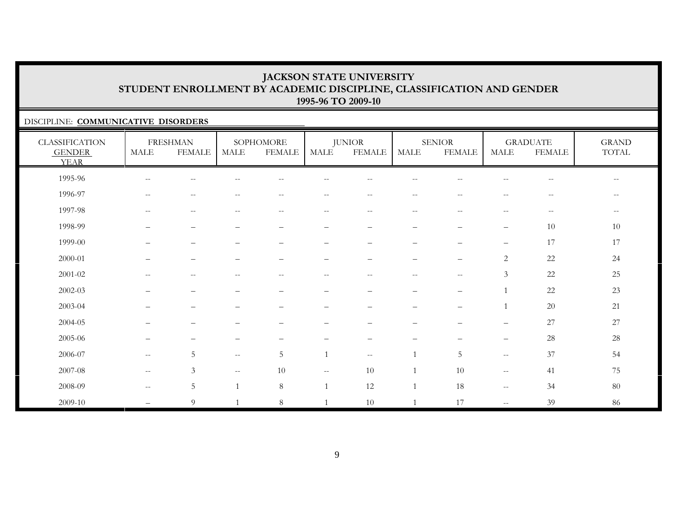### DISCIPLINE: **COMMUNICATIVE DISORDERS**

| <b>CLASSIFICATION</b><br><b>GENDER</b><br><b>YEAR</b> | MALE                                                | <b>FRESHMAN</b><br>FEMALE | MALE                     | SOPHOMORE<br><b>FEMALE</b>                            | MALE                     | <b>JUNIOR</b><br><b>FEMALE</b> | MALE                     | <b>SENIOR</b><br><b>FEMALE</b>   | <b>MALE</b>                                         | <b>GRADUATE</b><br><b>FEMALE</b> | <b>GRAND</b><br>TOTAL                          |
|-------------------------------------------------------|-----------------------------------------------------|---------------------------|--------------------------|-------------------------------------------------------|--------------------------|--------------------------------|--------------------------|----------------------------------|-----------------------------------------------------|----------------------------------|------------------------------------------------|
| 1995-96                                               | $\overline{\phantom{m}}$                            | $--$                      | --                       | $-$                                                   | --                       | --                             | $-$                      | $-$                              | $\overline{\phantom{m}}$                            | $-\,-$                           | $\hspace{0.1mm}-\hspace{0.1mm}-\hspace{0.1mm}$ |
| 1996-97                                               | $\hspace{0.05cm} -\hspace{0.05cm} -\hspace{0.05cm}$ | $\overline{\phantom{m}}$  | --                       | $\sim$ $\sim$                                         | $- -$                    | $- -$                          | $\qquad \qquad -$        | $-$                              | $\overline{\phantom{m}}$                            | $\overline{\phantom{m}}$         | $- -$                                          |
| 1997-98                                               | $\overline{\phantom{a}}$                            | $\overline{\phantom{m}}$  | $\sim$ $-$               | $\hspace{0.05cm} - \hspace{0.05cm} - \hspace{0.05cm}$ | $\overline{\phantom{m}}$ | --                             | $\qquad \qquad -$        | $- -$                            | $--$                                                | $-\,-$                           | $-\,-$                                         |
| 1998-99                                               | $\overline{\phantom{0}}$                            | $\qquad \qquad -$         | $\overline{\phantom{0}}$ | $\overline{\phantom{0}}$                              | —                        | $\qquad \qquad$                | —                        | $\qquad \qquad -$                | $\qquad \qquad -$                                   | 10                               | 10                                             |
| 1999-00                                               |                                                     | $\overline{\phantom{0}}$  |                          | $\overline{\phantom{0}}$                              | -                        | -                              | —                        | —                                | $\overline{\phantom{0}}$                            | 17                               | 17                                             |
| 2000-01                                               | $\overline{\phantom{0}}$                            | $\qquad \qquad -$         | $\overline{\phantom{0}}$ | $\overline{\phantom{0}}$                              | $\overline{\phantom{0}}$ | $\qquad \qquad -$              | $\overline{\phantom{0}}$ | $\qquad \qquad -$                | $\mathbf{2}$                                        | 22                               | 24                                             |
| 2001-02                                               | $-$                                                 | $\overline{\phantom{m}}$  | $-$                      | $\sim$                                                | $-$                      | $-$                            | $\qquad \qquad -$        | $-$                              | $\mathfrak{Z}$                                      | 22                               | $25\,$                                         |
| 2002-03                                               |                                                     |                           |                          |                                                       | $\overline{\phantom{0}}$ | $\qquad \qquad -$              | $\overline{\phantom{0}}$ | $\qquad \qquad -$                |                                                     | 22                               | $23\,$                                         |
| 2003-04                                               |                                                     |                           |                          |                                                       |                          | -                              | —                        | $\overbrace{\phantom{12322111}}$ |                                                     | $20\,$                           | 21                                             |
| 2004-05                                               | $\qquad \qquad$                                     | —                         |                          |                                                       |                          | -                              | —                        | —                                | $\qquad \qquad -$                                   | 27                               | $27\,$                                         |
| 2005-06                                               | $\qquad \qquad -$                                   | —                         | $\overline{\phantom{0}}$ |                                                       | -                        | -                              | —                        | —                                | $\qquad \qquad -$                                   | 28                               | 28                                             |
| 2006-07                                               | $\mathbf{u}$                                        | $\overline{5}$            | $\mathbf{u}$             | $\overline{5}$                                        | $\mathbf{1}$             | $- -$                          | $\overline{1}$           | 5                                | $\hspace{0.05cm} -\hspace{0.05cm} -\hspace{0.05cm}$ | 37                               | 54                                             |
| 2007-08                                               | $\overline{\phantom{a}}$                            | $\mathfrak{Z}$            | $- -$                    | 10                                                    | $--$                     | 10                             | $\overline{1}$           | 10                               | $\overline{\phantom{a}}$                            | 41                               | 75                                             |
| 2008-09                                               | $\mathcal{L}=\mathcal{L}$                           | $\overline{5}$            |                          | $8\,$                                                 |                          | 12                             | $\mathbf{1}$             | 18                               | $\hspace{0.05cm} -\hspace{0.05cm} -\hspace{0.05cm}$ | 34                               | $80\,$                                         |
| 2009-10                                               |                                                     | $\overline{9}$            |                          | $8\,$                                                 |                          | 10                             | $\overline{1}$           | 17                               | $\mathbf{u}$                                        | 39                               | 86                                             |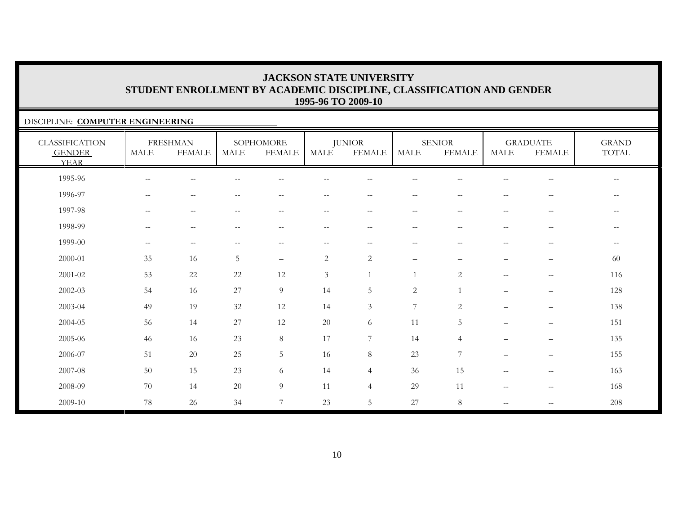### DISCIPLINE: **COMPUTER ENGINEERING**

| <b>CLASSIFICATION</b><br><b>GENDER</b><br><b>YEAR</b> | <b>MALE</b>                                         | <b>FRESHMAN</b><br><b>FEMALE</b> | <b>MALE</b>                                         | SOPHOMORE<br><b>FEMALE</b> | MALE                     | <b>JUNIOR</b><br><b>FEMALE</b>                | <b>MALE</b>              | <b>SENIOR</b><br><b>FEMALE</b>                        | <b>MALE</b>                                         | <b>GRADUATE</b><br><b>FEMALE</b>                      | <b>GRAND</b><br>TOTAL |
|-------------------------------------------------------|-----------------------------------------------------|----------------------------------|-----------------------------------------------------|----------------------------|--------------------------|-----------------------------------------------|--------------------------|-------------------------------------------------------|-----------------------------------------------------|-------------------------------------------------------|-----------------------|
| 1995-96                                               | $\qquad \qquad -$                                   | $-$                              |                                                     |                            |                          |                                               |                          |                                                       |                                                     |                                                       | $-$                   |
| 1996-97                                               | $\overline{\phantom{m}}$                            | $\overline{\phantom{m}}$         | $-$                                                 | $-$                        | $\qquad \qquad -$        | $\overline{\phantom{m}}$                      | $\overline{\phantom{m}}$ | $\sim$                                                | $\overline{\phantom{m}}$                            | $\hspace{0.05cm} -$                                   | $- -$                 |
| 1997-98                                               | $\hspace{0.05cm} -\hspace{0.05cm} -\hspace{0.05cm}$ | $\overline{\phantom{m}}$         | $\hspace{0.05cm} -\hspace{0.05cm} -\hspace{0.05cm}$ | $--$                       | $\overline{\phantom{m}}$ | $\mathord{\hspace{1pt}\text{--}\hspace{1pt}}$ | $--$                     | $-\,-$                                                | $\hspace{0.05cm} -\hspace{0.05cm} -\hspace{0.05cm}$ | $\hspace{0.05cm} - \hspace{0.05cm} - \hspace{0.05cm}$ | $--$                  |
| 1998-99                                               | $\overline{\phantom{m}}$                            | $\overline{\phantom{m}}$         | $\overline{\phantom{m}}$                            | $\overline{\phantom{m}}$   | $\overline{\phantom{m}}$ | $- -$                                         | $--$                     | $\hspace{0.05cm} - \hspace{0.05cm} - \hspace{0.05cm}$ | $\hspace{0.05cm} -\hspace{0.05cm} -\hspace{0.05cm}$ | $\hspace{0.1mm}-\hspace{0.1mm}-\hspace{0.1mm}$        | $- -$                 |
| 1999-00                                               | $--$                                                | $\overline{\phantom{m}}$         | $\hspace{0.05cm} -\hspace{0.05cm} -\hspace{0.05cm}$ | $\overline{\phantom{m}}$   | $- -$                    | $- -$                                         | $--$                     | $-\,-$                                                | $\overline{\phantom{m}}$                            | $-\,-$                                                | $--$                  |
| 2000-01                                               | 35                                                  | 16                               | 5                                                   | $\qquad \qquad -$          | $\overline{c}$           | $\sqrt{2}$                                    | $\overline{\phantom{m}}$ | $\overline{\phantom{0}}$                              | $\overline{\phantom{0}}$                            | —                                                     | 60                    |
| 2001-02                                               | 53                                                  | 22                               | 22                                                  | 12                         | 3                        | $\mathbf{1}$                                  |                          | $\overline{2}$                                        | $\overline{\phantom{a}}$                            | $\overline{\phantom{m}}$                              | 116                   |
| 2002-03                                               | 54                                                  | 16                               | 27                                                  | 9                          | 14                       | 5                                             | $\mathbf{2}$             |                                                       | $\overline{\phantom{0}}$                            | $\overline{\phantom{m}}$                              | 128                   |
| 2003-04                                               | 49                                                  | 19                               | 32                                                  | 12                         | 14                       | 3                                             | 7                        | $\overline{2}$                                        | $\overline{\phantom{0}}$                            | $\qquad \qquad -$                                     | 138                   |
| 2004-05                                               | 56                                                  | 14                               | $27\,$                                              | 12                         | $20\,$                   | 6                                             | 11                       | $\mathbf 5$                                           | $\overline{\phantom{0}}$                            | $\overline{\phantom{m}}$                              | 151                   |
| 2005-06                                               | 46                                                  | 16                               | 23                                                  | $8\,$                      | 17                       | $\overline{7}$                                | 14                       | $\overline{4}$                                        | $\overline{\phantom{0}}$                            | —                                                     | 135                   |
| 2006-07                                               | 51                                                  | 20                               | 25                                                  | 5                          | 16                       | 8                                             | 23                       | $\overline{7}$                                        | $\overline{\phantom{m}}$                            | $\overline{\phantom{m}}$                              | 155                   |
| 2007-08                                               | 50                                                  | 15                               | 23                                                  | 6                          | 14                       | $\overline{4}$                                | 36                       | 15                                                    | $\hspace{0.05cm} -\hspace{0.05cm} -\hspace{0.05cm}$ | $\hspace{0.05cm} - \hspace{0.05cm} - \hspace{0.05cm}$ | 163                   |
| 2008-09                                               | 70                                                  | 14                               | 20                                                  | 9                          | 11                       | $\overline{4}$                                | 29                       | 11                                                    | $\sim$ $-$                                          | $\hspace{0.05cm} - \hspace{0.05cm} - \hspace{0.05cm}$ | 168                   |
| 2009-10                                               | 78                                                  | 26                               | 34                                                  | $\overline{7}$             | 23                       | 5                                             | 27                       | $8\phantom{.}$                                        | $-$                                                 | $\hspace{0.05cm} -$                                   | 208                   |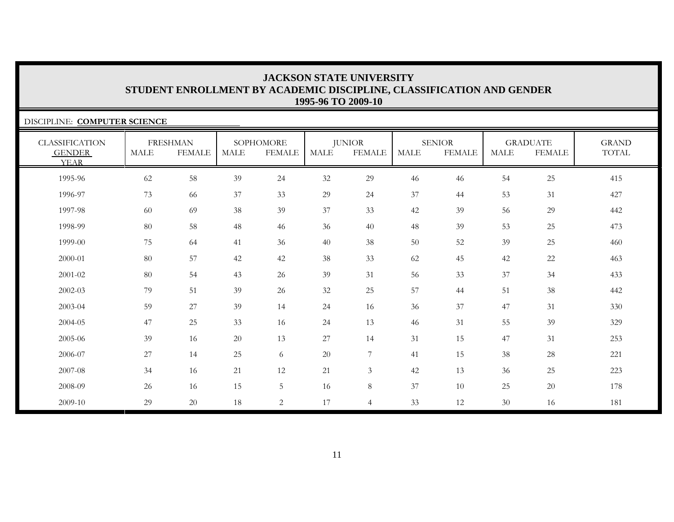| DISCIPLINE: COMPUTER SCIENCE                          |             |                                  |             |                            |             |                                |             |                                |             |                                  |                              |
|-------------------------------------------------------|-------------|----------------------------------|-------------|----------------------------|-------------|--------------------------------|-------------|--------------------------------|-------------|----------------------------------|------------------------------|
| <b>CLASSIFICATION</b><br><b>GENDER</b><br><b>YEAR</b> | <b>MALE</b> | <b>FRESHMAN</b><br><b>FEMALE</b> | <b>MALE</b> | SOPHOMORE<br><b>FEMALE</b> | <b>MALE</b> | <b>JUNIOR</b><br><b>FEMALE</b> | <b>MALE</b> | <b>SENIOR</b><br><b>FEMALE</b> | <b>MALE</b> | <b>GRADUATE</b><br><b>FEMALE</b> | <b>GRAND</b><br><b>TOTAL</b> |
| 1995-96                                               | 62          | 58                               | 39          | 24                         | 32          | 29                             | 46          | 46                             | 54          | 25                               | 415                          |
| 1996-97                                               | 73          | 66                               | 37          | 33                         | 29          | 24                             | 37          | 44                             | 53          | 31                               | 427                          |
| 1997-98                                               | 60          | 69                               | 38          | 39                         | 37          | 33                             | 42          | 39                             | 56          | 29                               | 442                          |
| 1998-99                                               | 80          | 58                               | 48          | 46                         | 36          | 40                             | 48          | 39                             | 53          | 25                               | 473                          |
| 1999-00                                               | 75          | 64                               | 41          | 36                         | 40          | 38                             | 50          | 52                             | 39          | 25                               | 460                          |
| 2000-01                                               | 80          | 57                               | 42          | 42                         | 38          | 33                             | 62          | 45                             | 42          | 22                               | 463                          |
| 2001-02                                               | 80          | 54                               | 43          | 26                         | 39          | 31                             | 56          | 33                             | 37          | 34                               | 433                          |
| 2002-03                                               | 79          | 51                               | 39          | 26                         | 32          | 25                             | 57          | 44                             | 51          | 38                               | 442                          |
| 2003-04                                               | 59          | $27\,$                           | 39          | 14                         | 24          | 16                             | 36          | 37                             | 47          | 31                               | 330                          |
| 2004-05                                               | 47          | 25                               | 33          | 16                         | 24          | 13                             | 46          | 31                             | 55          | 39                               | 329                          |
| 2005-06                                               | 39          | 16                               | 20          | 13                         | $27\,$      | 14                             | 31          | 15                             | 47          | 31                               | 253                          |
| 2006-07                                               | 27          | 14                               | 25          | 6                          | $20\,$      | $\overline{7}$                 | 41          | 15                             | 38          | 28                               | 221                          |
| 2007-08                                               | 34          | 16                               | 21          | 12                         | 21          | $\mathfrak{Z}$                 | 42          | 13                             | 36          | 25                               | 223                          |
| 2008-09                                               | 26          | 16                               | 15          | 5                          | 16          | 8                              | 37          | 10                             | 25          | $20\,$                           | 178                          |
| 2009-10                                               | 29          | 20                               | 18          | $\overline{2}$             | 17          | $\overline{4}$                 | 33          | 12                             | 30          | 16                               | 181                          |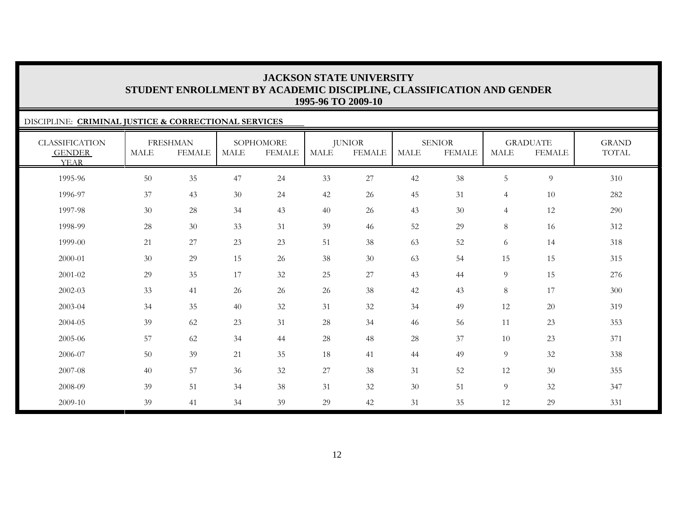### DISCIPLINE: **CRIMINAL JUSTICE & CORRECTIONAL SERVICES** CLASSIFICATION GENDER YEARFRESHMAN MALE FEMALESOPHOMORE MALE FEMALEJUNIOR MALE FEMALESENIOR MALE FEMALEGRADUATE MALE FEMALEGRAND TOTAL1995-96 50 35 47 24 33 27 42 38 5 9 310 1996-97 37 43 30 24 42 26 45 31 4 10 282 1997-98 30 28 34 43 40 26 43 30 4 12 290 1998-99 28 30 33 31 39 46 52 29 8 16 312 1999-00 $\begin{array}{ccccccccccc} 0 & 21 & 27 & 23 & 23 & 51 & 38 & 63 & 52 & 6 & 14 & 318 \end{array}$ 2000-01 30 29 15 26 38 30 63 54 15 15 315 2001-02 29 35 17 32 25 27 43 44 9 15 276 2002-03 33 41 26 26 26 38 42 43 8 17 300 2003-04 34 35 40 32 31 32 34 49 12 20 319 2004-05 39 62 23 31 28 34 46 566 11 23 353 2005-06 57 62 34 44 28 48 28 37 10 23 371 2006-07 50 39 21 35 188 41 44 49 9 32 338 2007-08 40 57 36 32 27 38 311 52 12 30 355 2008-0939 51 34 38 31 32 30 51 9 32 347

39 41 34 39 29 42 31 35 12 29 331

2009-10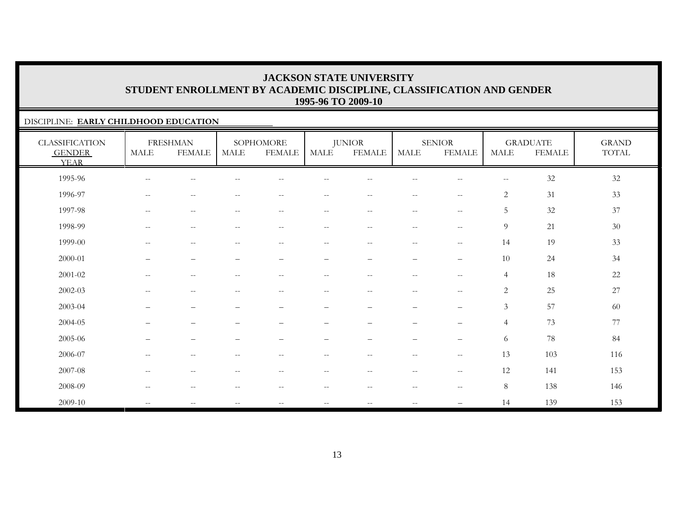### DISCIPLINE: **EARLY CHILDHOOD EDUCATION**

| <b>CLASSIFICATION</b><br><b>GENDER</b><br><b>YEAR</b> | <b>MALE</b>                                         | <b>FRESHMAN</b><br><b>FEMALE</b> | <b>MALE</b>                                         | SOPHOMORE<br><b>FEMALE</b>                          | $\operatorname{MALE}$    | <b>JUNIOR</b><br><b>FEMALE</b> | <b>MALE</b>              | <b>SENIOR</b><br><b>FEMALE</b>        | <b>MALE</b>    | <b>GRADUATE</b><br><b>FEMALE</b> | <b>GRAND</b><br>$\operatorname{TOTAL}$ |
|-------------------------------------------------------|-----------------------------------------------------|----------------------------------|-----------------------------------------------------|-----------------------------------------------------|--------------------------|--------------------------------|--------------------------|---------------------------------------|----------------|----------------------------------|----------------------------------------|
| 1995-96                                               | $\sim$ $-$                                          | $-$                              |                                                     |                                                     |                          |                                |                          | $-$                                   | $\mathbf{u}$   | $32\,$                           | 32                                     |
| 1996-97                                               | $\sim$                                              | $\qquad \qquad -$                | $\sim$ $-$                                          | $\overline{\phantom{m}}$                            | $ -$                     | $-\,-$                         | $- -$                    | $-\,-$                                | $\sqrt{2}$     | 31                               | 33                                     |
| 1997-98                                               | $\hspace{0.1mm}-\hspace{0.1mm}-\hspace{0.1mm}$      | $\overline{\phantom{m}}$         | $\hspace{0.05cm}$ – $\hspace{0.05cm}$               | $\hspace{0.05cm} -\hspace{0.05cm} -\hspace{0.05cm}$ | $\overline{\phantom{a}}$ | $--$                           | $--$                     | $\overline{\phantom{m}}$              | 5              | $32\,$                           | 37                                     |
| 1998-99                                               | $\sim$ $\sim$                                       | $\mathbf{u}$                     | $\sim$ $-$                                          | $\overline{\phantom{m}}$                            | $ -$                     | $\sim$ $\sim$                  | $\qquad \qquad -$        | $\sim$ $\sim$                         | 9              | 21                               | 30                                     |
| 1999-00                                               | $\hspace{0.05cm} -\hspace{0.05cm} -\hspace{0.05cm}$ | $\overline{\phantom{m}}$         | $\hspace{0.05cm} -\hspace{0.05cm} -\hspace{0.05cm}$ | $\overline{\phantom{m}}$                            | $ -$                     | $\overline{\phantom{m}}$       | $--$                     | $\overline{\phantom{m}}$              | 14             | 19                               | 33                                     |
| 2000-01                                               | $\qquad \qquad -$                                   | $\qquad \qquad -$                |                                                     | $\qquad \qquad -$                                   | $\overline{\phantom{0}}$ | $\overline{\phantom{0}}$       | $\qquad \qquad -$        | $\overline{\phantom{0}}$              | 10             | 24                               | 34                                     |
| 2001-02                                               | $\sim$ $-$                                          | $-$                              | $\sim$ $\sim$                                       | $- -$                                               | $-\,-$                   | $-\,-$                         | $- -$                    | $\hspace{0.05cm}$ – $\hspace{0.05cm}$ | $\overline{4}$ | 18                               | 22                                     |
| $2002 - 03$                                           | $\hspace{0.05cm} -\hspace{0.05cm} -\hspace{0.05cm}$ | $\overline{\phantom{m}}$         | $\hspace{0.05cm} -\hspace{0.05cm} -\hspace{0.05cm}$ | $\qquad \qquad -$                                   | $-\,-$                   | $\overline{\phantom{m}}$       | $--$                     | $\sim$ $\sim$                         | $\mathbf{2}$   | 25                               | 27                                     |
| 2003-04                                               | —                                                   | $\overbrace{\phantom{12322111}}$ |                                                     | -                                                   | $\overline{\phantom{0}}$ | $\overline{\phantom{0}}$       | $\overline{\phantom{m}}$ | $\overbrace{\phantom{12322111}}$      | $\mathfrak{Z}$ | 57                               | 60                                     |
| 2004-05                                               |                                                     | $\qquad \qquad -$                |                                                     |                                                     |                          |                                | $\overline{\phantom{0}}$ | $\qquad \qquad -$                     | $\overline{4}$ | 73                               | 77                                     |
| 2005-06                                               | $\qquad \qquad -$                                   | $\qquad \qquad -$                |                                                     |                                                     |                          | $\overline{\phantom{0}}$       | -                        | $\overline{\phantom{0}}$              | 6              | $78\,$                           | 84                                     |
| 2006-07                                               | $\hspace{0.1mm}-\hspace{0.1mm}-\hspace{0.1mm}$      | $\overline{\phantom{m}}$         | $\hspace{0.05cm} -\hspace{0.05cm} -\hspace{0.05cm}$ | $\overline{\phantom{m}}$                            | $\overline{\phantom{a}}$ | $--$                           | $--$                     | $\overline{\phantom{m}}$              | 13             | 103                              | 116                                    |
| 2007-08                                               | $\sim$ $\sim$                                       | $\overline{\phantom{m}}$         | $-$                                                 | $- -$                                               | $ -$                     | $--$                           | $--$                     | $\mathbf{u}$                          | 12             | 141                              | 153                                    |
| 2008-09                                               | $\hspace{0.05cm} -\hspace{0.05cm} -\hspace{0.05cm}$ | $\overline{\phantom{m}}$         | $\hspace{0.05cm}$ – $\hspace{0.05cm}$               | $\overline{\phantom{m}}$                            | $- -$                    | $--$                           | $--$                     | $-\,-$                                | 8              | 138                              | 146                                    |
| 2009-10                                               | $\mathcal{L}=\mathcal{L}$                           | $-$                              | $\hspace{0.05cm} -\hspace{0.05cm} -\hspace{0.05cm}$ | $\qquad \qquad -$                                   | $-\,-$                   | $\overline{\phantom{m}}$       | $\overline{\phantom{m}}$ |                                       | 14             | 139                              | 153                                    |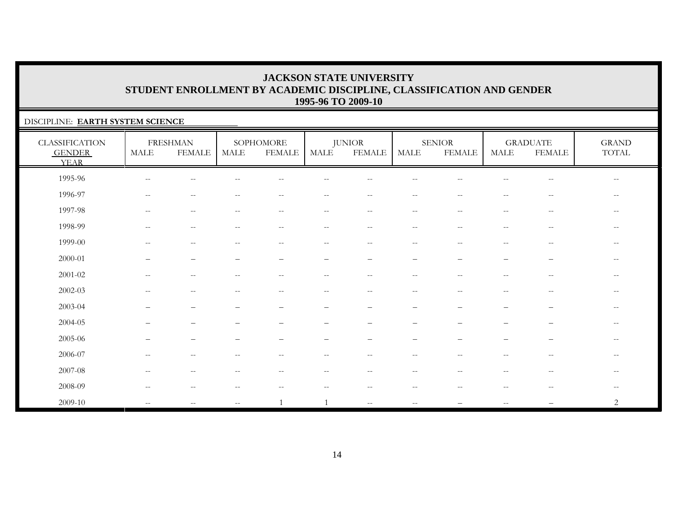### DISCIPLINE: **EARTH SYSTEM SCIENCE**

| <b>CLASSIFICATION</b><br><b>GENDER</b><br><b>YEAR</b> | $\operatorname{MALE}$    | <b>FRESHMAN</b><br><b>FEMALE</b> | MALE                                                | SOPHOMORE<br><b>FEMALE</b> | MALE                     | <b>JUNIOR</b><br><b>FEMALE</b>                        | <b>MALE</b>                                           | <b>SENIOR</b><br><b>FEMALE</b> | <b>MALE</b>                                         | <b>GRADUATE</b><br><b>FEMALE</b>                      | <b>GRAND</b><br>TOTAL |
|-------------------------------------------------------|--------------------------|----------------------------------|-----------------------------------------------------|----------------------------|--------------------------|-------------------------------------------------------|-------------------------------------------------------|--------------------------------|-----------------------------------------------------|-------------------------------------------------------|-----------------------|
| 1995-96                                               | $-$                      | $-$                              |                                                     |                            |                          |                                                       |                                                       |                                |                                                     | $-$                                                   | $- -$                 |
| 1996-97                                               | $\overline{\phantom{a}}$ | $-$                              |                                                     | $-$                        | --                       |                                                       | $-$                                                   |                                |                                                     | $\hspace{0.05cm} -$                                   | $\qquad \qquad -$     |
| 1997-98                                               | $\overline{\phantom{a}}$ | $\overline{\phantom{m}}$         | $\hspace{0.05cm} -\hspace{0.05cm} -\hspace{0.05cm}$ | $--$                       | $- -$                    | $\hspace{0.1mm}-\hspace{0.1mm}-\hspace{0.1mm}$        | $\hspace{0.05cm} -\hspace{0.05cm} -\hspace{0.05cm}$   | $\hspace{0.05cm} -$            | $\hspace{0.05cm} -\hspace{0.05cm} -\hspace{0.05cm}$ | $\hspace{0.05cm} - \hspace{0.05cm} - \hspace{0.05cm}$ | $--$                  |
| 1998-99                                               | $\overline{\phantom{m}}$ | $\sim$ $-$                       | $\qquad \qquad -$                                   | $--$                       | $\overline{\phantom{m}}$ | $\hspace{0.05cm} -\hspace{0.05cm} -\hspace{0.05cm}$   | $\overline{\phantom{m}}$                              | $\hspace{0.05cm} -$            | $\overline{\phantom{a}}$                            | $\hspace{0.05cm} - \hspace{0.05cm} - \hspace{0.05cm}$ | $- -$                 |
| 1999-00                                               | $\qquad \qquad -$        | $\sim$ $-$                       |                                                     | $- -$                      | $\overline{\phantom{m}}$ | $\hspace{0.05cm} - \hspace{0.05cm} - \hspace{0.05cm}$ | $\hspace{0.05cm} - \hspace{0.05cm} - \hspace{0.05cm}$ | $\sim$ $\sim$                  | --                                                  | $\hspace{0.05cm} - \hspace{0.05cm} - \hspace{0.05cm}$ | $\qquad \qquad -$     |
| 2000-01                                               |                          | $\overline{\phantom{0}}$         |                                                     |                            | $\overline{\phantom{m}}$ | $\overline{\phantom{0}}$                              | -                                                     |                                |                                                     | -                                                     | $-$                   |
| $2001 - 02$                                           | $\qquad \qquad -$        | $\sim$ $-$                       | $-$                                                 | $- -$                      | $\overline{\phantom{m}}$ | $\overline{\phantom{m}}$                              | $\hspace{0.05cm} - \hspace{0.05cm} - \hspace{0.05cm}$ | $\sim$ $\sim$                  | --                                                  | $\hspace{0.05cm} - \hspace{0.05cm} - \hspace{0.05cm}$ | $- -$                 |
| $2002 - 03$                                           | $\overline{\phantom{m}}$ | $\overline{\phantom{m}}$         | $\overline{\phantom{m}}$                            | $--$                       | $\overline{\phantom{m}}$ | $-\,-$                                                | $\overline{\phantom{m}}$                              | $\sim$ $\sim$                  | $\overline{\phantom{m}}$                            | $\overline{\phantom{m}}$                              | $--$                  |
| 2003-04                                               |                          | $\overline{\phantom{0}}$         |                                                     |                            | $\overline{\phantom{m}}$ |                                                       | $\qquad \qquad$                                       |                                |                                                     | $\overline{\phantom{0}}$                              | $\qquad \qquad -$     |
| 2004-05                                               |                          |                                  |                                                     |                            |                          |                                                       |                                                       |                                |                                                     |                                                       |                       |
| 2005-06                                               |                          |                                  |                                                     |                            |                          |                                                       |                                                       |                                |                                                     |                                                       | $-$                   |
| 2006-07                                               | $- -$                    | $\overline{\phantom{m}}$         | $\overline{\phantom{m}}$                            | $--$                       | $--$                     | $\overline{\phantom{m}}$                              | $\overline{\phantom{m}}$                              | $\hspace{0.05cm} -$            | $\overline{\phantom{m}}$                            | $\hspace{0.05cm} - \hspace{0.05cm} - \hspace{0.05cm}$ | $\qquad \qquad -$     |
| 2007-08                                               | $\qquad \qquad -$        | $\sim$ $\sim$                    |                                                     | $- -$                      | $\overline{\phantom{a}}$ | $-$                                                   | $\sim$ $-$                                            |                                | $\overline{\phantom{a}}$                            | $\sim$ $\sim$                                         | $- -$                 |
| 2008-09                                               | $\overline{\phantom{m}}$ | $\sim$ $-$                       |                                                     | $- -$                      | $\overline{\phantom{m}}$ | $\overline{\phantom{m}}$                              | $\hspace{0.05cm} - \hspace{0.05cm} - \hspace{0.05cm}$ |                                | $\overline{\phantom{m}}$                            | $\hspace{0.05cm} - \hspace{0.05cm} - \hspace{0.05cm}$ | $--$                  |
| 2009-10                                               | $\overline{\phantom{m}}$ | $-$                              | $\overline{\phantom{m}}$                            |                            |                          | $\overline{\phantom{m}}$                              | $\qquad \qquad -$                                     |                                | $- -$                                               |                                                       | $\overline{c}$        |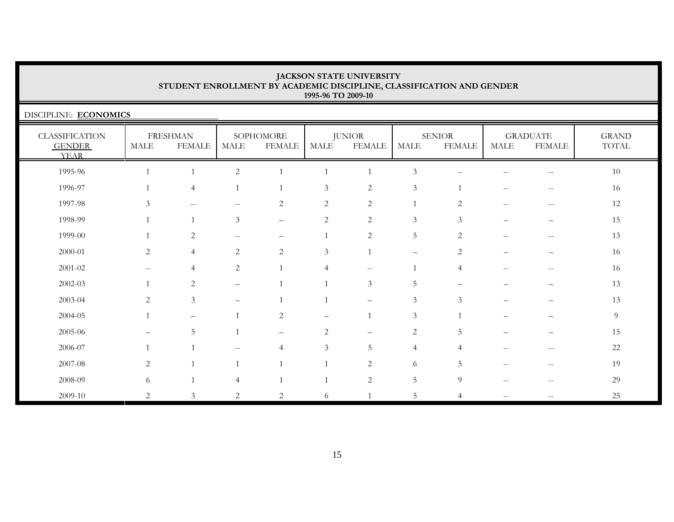DISCIPLINE: **ECONOMICS**

| <b>CLASSIFICATION</b><br><b>GENDER</b><br><b>YEAR</b> | MALE              | <b>FRESHMAN</b><br><b>FEMALE</b> | MALE                     | SOPHOMORE<br><b>FEMALE</b> | MALE           | <b>JUNIOR</b><br><b>FEMALE</b> | <b>MALE</b>              | <b>SENIOR</b><br><b>FEMALE</b> | MALE                     | <b>GRADUATE</b><br><b>FEMALE</b>                      | <b>GRAND</b><br>TOTAL |
|-------------------------------------------------------|-------------------|----------------------------------|--------------------------|----------------------------|----------------|--------------------------------|--------------------------|--------------------------------|--------------------------|-------------------------------------------------------|-----------------------|
| 1995-96                                               |                   |                                  | $\overline{2}$           |                            |                |                                | $\mathfrak{Z}$           | --                             |                          | $\hspace{0.05cm} - \hspace{0.05cm} - \hspace{0.05cm}$ | $10\,$                |
| 1996-97                                               |                   | $\overline{4}$                   |                          |                            | 3              | $\overline{2}$                 | $\mathfrak{Z}$           |                                |                          |                                                       | 16                    |
| 1997-98                                               | $\mathfrak{Z}$    | $\sim$ $-$                       | $- -$                    | $\sqrt{2}$                 | $\sqrt{2}$     | $\sqrt{2}$                     |                          | $\overline{2}$                 | $\qquad \qquad -$        | $\overline{\phantom{m}}$                              | 12                    |
| 1998-99                                               |                   |                                  | $\mathfrak{Z}$           | $\qquad \qquad -$          | $\sqrt{2}$     | $\sqrt{2}$                     | $\mathfrak{Z}$           | 3                              | $\qquad \qquad -$        | —                                                     | 15                    |
| 1999-00                                               |                   | 2                                | $\overline{\phantom{m}}$ | $\qquad \qquad -$          |                | $\overline{2}$                 | $\overline{5}$           | $\overline{2}$                 | $\overline{\phantom{m}}$ | $- -$                                                 | 13                    |
| 2000-01                                               | 2                 | $\overline{4}$                   | $\overline{c}$           | $\overline{c}$             | $\mathfrak{Z}$ |                                | $\overline{\phantom{m}}$ | 2                              | $\overline{\phantom{0}}$ | -                                                     | 16                    |
| 2001-02                                               | $\qquad \qquad -$ | $\overline{4}$                   | 2                        |                            | $\overline{4}$ | $\overline{\phantom{m}}$       |                          | $\overline{4}$                 | $\qquad \qquad -$        | $-$                                                   | 16                    |
| $2002 - 03$                                           |                   | $\overline{2}$                   | $\overline{\phantom{0}}$ |                            |                | $\mathfrak{Z}$                 | 5                        |                                |                          | -                                                     | 13                    |
| 2003-04                                               | $\overline{c}$    | $\mathfrak{Z}$                   |                          |                            |                | $\overline{\phantom{0}}$       | $\mathfrak z$            | 3                              |                          |                                                       | 13                    |
| 2004-05                                               |                   |                                  |                          | $\overline{2}$             |                |                                | $\mathfrak{Z}$           |                                |                          |                                                       | 9                     |
| 2005-06                                               | $\qquad \qquad -$ | 5                                | $\overline{1}$           | $\qquad \qquad -$          | 2              | $\qquad \qquad -$              | $\sqrt{2}$               | 5                              | $\qquad \qquad -$        | —                                                     | 15                    |
| 2006-07                                               |                   |                                  | $-$                      | $\overline{4}$             | 3              | 5                              | $\overline{4}$           | $\overline{4}$                 | $-$                      | $-$                                                   | 22                    |
| 2007-08                                               | 2                 |                                  |                          |                            |                | $\overline{2}$                 | 6                        | 5                              |                          | $-$                                                   | 19                    |
| 2008-09                                               | 6                 |                                  | 4                        |                            |                | $\overline{2}$                 | $\overline{5}$           | 9                              | --                       | $-\,-$                                                | 29                    |
| 2009-10                                               | 2                 | 3                                | 2                        | 2                          | 6              |                                | 5                        | $\overline{4}$                 | $\qquad \qquad -$        |                                                       | 25                    |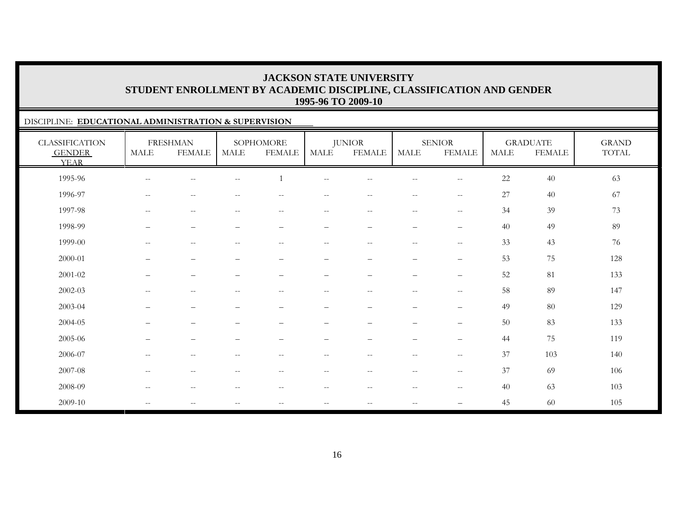### DISCIPLINE: **EDUCATIONAL ADMINISTRATION & SUPERVISION**

| <b>CLASSIFICATION</b><br><b>GENDER</b><br><b>YEAR</b> | MALE                                                | <b>FRESHMAN</b><br><b>FEMALE</b>                    | <b>MALE</b>                                         | SOPHOMORE<br><b>FEMALE</b>                          | <b>MALE</b>                                         | <b>JUNIOR</b><br><b>FEMALE</b>  | MALE                            | <b>SENIOR</b><br><b>FEMALE</b>                      | <b>MALE</b> | <b>GRADUATE</b><br><b>FEMALE</b> | <b>GRAND</b><br>TOTAL |
|-------------------------------------------------------|-----------------------------------------------------|-----------------------------------------------------|-----------------------------------------------------|-----------------------------------------------------|-----------------------------------------------------|---------------------------------|---------------------------------|-----------------------------------------------------|-------------|----------------------------------|-----------------------|
| 1995-96                                               | $\hspace{0.05cm} -\hspace{0.05cm} -\hspace{0.05cm}$ | $\qquad \qquad -$                                   | $\overline{\phantom{m}}$                            |                                                     | $- -$                                               | $-$                             | $\overline{\phantom{m}}$        | $\overline{\phantom{m}}$                            | 22          | 40                               | 63                    |
| 1996-97                                               | $\overline{\phantom{m}}$                            | $\overline{\phantom{m}}$                            | $\overline{\phantom{a}}$                            | $\hspace{0.1mm}-\hspace{0.1mm}-\hspace{0.1mm}$      | $\overline{\phantom{m}}$                            | $-$                             | $-\,-$                          | $ -$                                                | 27          | 40                               | 67                    |
| 1997-98                                               | $\mathcal{L}=\mathcal{L}$                           | $--$                                                | $\hspace{0.05cm} -\hspace{0.05cm} -\hspace{0.05cm}$ | $--$                                                | $\hspace{0.05cm} -\hspace{0.05cm} -\hspace{0.05cm}$ | $- -$                           | $\overline{\phantom{m}}$        | $\hspace{0.05cm} -\hspace{0.05cm} -\hspace{0.05cm}$ | 34          | 39                               | 73                    |
| 1998-99                                               | $\qquad \qquad -$                                   | $\overline{\phantom{m}}$                            | $\qquad \qquad -$                                   | $\qquad \qquad -$                                   | —                                                   | $\qquad \qquad -$               | $\qquad \qquad -$               | $\overline{\phantom{m}}$                            | 40          | 49                               | 89                    |
| 1999-00                                               | $\hspace{0.05cm} -\hspace{0.05cm} -\hspace{0.05cm}$ | $\hspace{0.1mm}-\hspace{0.1mm}-\hspace{0.1mm}$      | $\hspace{0.05cm} -\hspace{0.05cm} -\hspace{0.05cm}$ | $\hspace{0.1mm}-\hspace{0.1mm}-\hspace{0.1mm}$      | $\hspace{0.05cm} -\hspace{0.05cm} -\hspace{0.05cm}$ | $- -$                           | $\overline{\phantom{a}}$        | $\hspace{0.05cm} -\hspace{0.05cm} -\hspace{0.05cm}$ | 33          | 43                               | 76                    |
| 2000-01                                               | $\qquad \qquad$                                     | $\qquad \qquad -$                                   | $\overline{\phantom{0}}$                            | $\overline{\phantom{m}}$                            | $\overline{\phantom{0}}$                            | $\overbrace{\phantom{1232211}}$ | $\overbrace{\phantom{1232211}}$ | $\overline{\phantom{m}}$                            | 53          | 75                               | 128                   |
| 2001-02                                               | $\qquad \qquad$                                     | $\qquad \qquad -$                                   | $\overbrace{\phantom{1232211}}$                     | $\overline{\phantom{m}}$                            | $\overline{\phantom{0}}$                            | $\overline{\phantom{0}}$        | $\qquad \qquad -$               | $\overline{\phantom{0}}$                            | 52          | 81                               | 133                   |
| 2002-03                                               | $\hspace{0.05cm} -\hspace{0.05cm} -\hspace{0.05cm}$ | $\hspace{0.05cm} -\hspace{0.05cm} -\hspace{0.05cm}$ | $\overline{\phantom{m}}$                            | $\hspace{0.05cm} -\hspace{0.05cm} -\hspace{0.05cm}$ | $-\,-$                                              | $- -$                           | $- -$                           | $ -$                                                | 58          | 89                               | 147                   |
| 2003-04                                               | -                                                   | $\qquad \qquad -$                                   | $\overline{\phantom{m}}$                            | $\overline{\phantom{m}}$                            | -                                                   | $\overline{\phantom{0}}$        | $\qquad \qquad -$               | $\qquad \qquad -$                                   | 49          | 80                               | 129                   |
| 2004-05                                               | $\qquad \qquad -$                                   | $\qquad \qquad -$                                   | $\overline{\phantom{m}}$                            | $\overline{\phantom{m}}$                            | $\overline{\phantom{0}}$                            | $\overline{\phantom{0}}$        | $\qquad \qquad -$               | $\qquad \qquad -$                                   | 50          | 83                               | 133                   |
| 2005-06                                               | -                                                   | $\overline{\phantom{0}}$                            |                                                     |                                                     | -                                                   | $\overline{\phantom{0}}$        | -                               | $\overline{\phantom{m}}$                            | 44          | 75                               | 119                   |
| 2006-07                                               | $\hspace{0.05cm} -\hspace{0.05cm} -\hspace{0.05cm}$ | $\overline{\phantom{m}}$                            | $\overline{\phantom{m}}$                            | $\hspace{0.1mm}-\hspace{0.1mm}-\hspace{0.1mm}$      | $- -$                                               | $- -$                           | $\overline{\phantom{m}}$        | $-\,-$                                              | 37          | 103                              | 140                   |
| 2007-08                                               | $\hspace{0.05cm} -\hspace{0.05cm} -\hspace{0.05cm}$ | $--$                                                | $\hspace{0.05cm} -\hspace{0.05cm} -\hspace{0.05cm}$ | $\hspace{0.1mm}-\hspace{0.1mm}-\hspace{0.1mm}$      | $\hspace{0.05cm} -\hspace{0.05cm} -\hspace{0.05cm}$ | $- -$                           | $\overline{\phantom{m}}$        | $\hspace{0.05cm}$ – $\hspace{0.05cm}$               | 37          | 69                               | 106                   |
| 2008-09                                               | $\sim$ $\sim$                                       | $\hspace{0.1mm}-\hspace{0.1mm}-\hspace{0.1mm}$      | $- -$                                               | $\sim$ $-$                                          | $\hspace{0.05cm} -\hspace{0.05cm} -\hspace{0.05cm}$ | $- -$                           | $\overline{\phantom{a}}$        | $\hspace{0.05cm} -\hspace{0.05cm} -\hspace{0.05cm}$ | 40          | 63                               | 103                   |
| 2009-10                                               | $\mathcal{L}=\mathcal{L}$                           | $\hspace{0.1mm}-\hspace{0.1mm}-\hspace{0.1mm}$      | $--$                                                | $\hspace{0.1mm}-\hspace{0.1mm}-\hspace{0.1mm}$      | $\hspace{0.05cm} -\hspace{0.05cm} -\hspace{0.05cm}$ | $- -$                           | $\overline{\phantom{a}}$        | $\qquad \qquad -$                                   | 45          | 60                               | 105                   |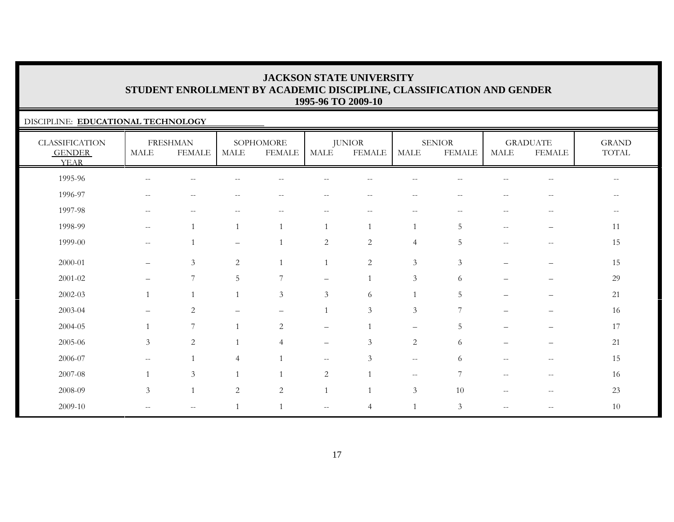### DISCIPLINE: **EDUCATIONAL TECHNOLOGY**

| <b>CLASSIFICATION</b><br><b>GENDER</b><br><b>YEAR</b> | $\operatorname{MALE}$    | <b>FRESHMAN</b><br><b>FEMALE</b> | MALE              | SOPHOMORE<br><b>FEMALE</b> | <b>MALE</b>              | <b>JUNIOR</b><br><b>FEMALE</b> | <b>MALE</b>                 | <b>SENIOR</b><br><b>FEMALE</b> | MALE                                                | <b>GRADUATE</b><br><b>FEMALE</b>                      | <b>GRAND</b><br>TOTAL |
|-------------------------------------------------------|--------------------------|----------------------------------|-------------------|----------------------------|--------------------------|--------------------------------|-----------------------------|--------------------------------|-----------------------------------------------------|-------------------------------------------------------|-----------------------|
| 1995-96                                               | $\overline{\phantom{m}}$ | $\qquad \qquad -$                |                   |                            |                          |                                |                             |                                |                                                     |                                                       |                       |
| 1996-97                                               | $\overline{\phantom{m}}$ | $\sim$ $-$                       |                   | $\sim$ $-$                 | --                       | $\overline{\phantom{m}}$       | $\overline{\phantom{a}}$    | --                             | $-$                                                 | --                                                    |                       |
| 1997-98                                               | $-$                      | $\qquad \qquad -$                |                   |                            |                          |                                | $-$                         |                                |                                                     |                                                       |                       |
| 1998-99                                               | $\mathbf{u}$             |                                  | $\mathbf{1}$      |                            |                          | 1                              |                             | 5                              | $\hspace{0.05cm} -\hspace{0.05cm} -\hspace{0.05cm}$ |                                                       | 11                    |
| 1999-00                                               | $--$                     |                                  | $\qquad \qquad -$ |                            | $\overline{2}$           | $\overline{2}$                 | $\overline{4}$              | 5                              | $\hspace{0.05cm} -\hspace{0.05cm} -\hspace{0.05cm}$ | $\overline{\phantom{m}}$                              | 15                    |
| 2000-01                                               | $\overline{\phantom{0}}$ | 3                                | 2                 |                            |                          | $\overline{2}$                 | $\mathfrak{Z}$              | 3                              | ▃                                                   | $\overline{\phantom{0}}$                              | 15                    |
| 2001-02                                               | $\qquad \qquad -$        | $\overline{7}$                   | 5                 | $\overline{ }$             | $\qquad \qquad -$        |                                | $\mathfrak{Z}$              | 6                              |                                                     | $\qquad \qquad -$                                     | 29                    |
| $2002 - 03$                                           |                          |                                  | $\mathbf{1}$      | $\mathfrak{Z}$             | $\mathfrak{Z}$           | 6                              |                             | 5                              |                                                     |                                                       | 21                    |
| 2003-04                                               | $\qquad \qquad =$        | $\overline{c}$                   |                   | $\equiv$                   |                          | $\mathfrak{Z}$                 | $\ensuremath{\mathfrak{Z}}$ | $\overline{7}$                 |                                                     | $\equiv$                                              | 16                    |
| 2004-05                                               | $\mathbf{1}$             | $\overline{7}$                   | $\mathbf{1}$      | 2                          | $\overline{\phantom{0}}$ |                                | $\qquad \qquad -$           | 5                              |                                                     |                                                       | 17                    |
| 2005-06                                               | $\mathfrak{Z}$           | $\sqrt{2}$                       | $\mathbf{1}$      | $\overline{4}$             | $\overline{\phantom{0}}$ | 3                              | $\overline{c}$              | 6                              |                                                     |                                                       | 21                    |
| 2006-07                                               | $- -$                    |                                  | $\overline{4}$    |                            | $\overline{\phantom{a}}$ | $\mathfrak{Z}$                 | $--$                        | 6                              | $\sim$ $\sim$                                       | $\hspace{0.05cm} -\hspace{0.05cm} -\hspace{0.05cm}$   | 15                    |
| 2007-08                                               | $\overline{1}$           | 3                                | $\mathbf{1}$      |                            | 2                        |                                | $\overline{\phantom{m}}$    | 7                              | $\sim$ $\sim$                                       | $-\,-$                                                | 16                    |
| 2008-09                                               | $\mathfrak{Z}$           |                                  | 2                 | 2                          |                          |                                | $\mathfrak{Z}$              | 10                             | $\overline{\phantom{m}}$                            | $\hspace{0.05cm} -\hspace{0.05cm} -\hspace{0.05cm}$   | 23                    |
| 2009-10                                               | $\mathbf{u}$             | $\overline{\phantom{m}}$         | $\overline{1}$    |                            | $\overline{\phantom{m}}$ | $\overline{4}$                 |                             | $\mathfrak{Z}$                 | $- -$                                               | $\hspace{0.05cm} - \hspace{0.05cm} - \hspace{0.05cm}$ | 10                    |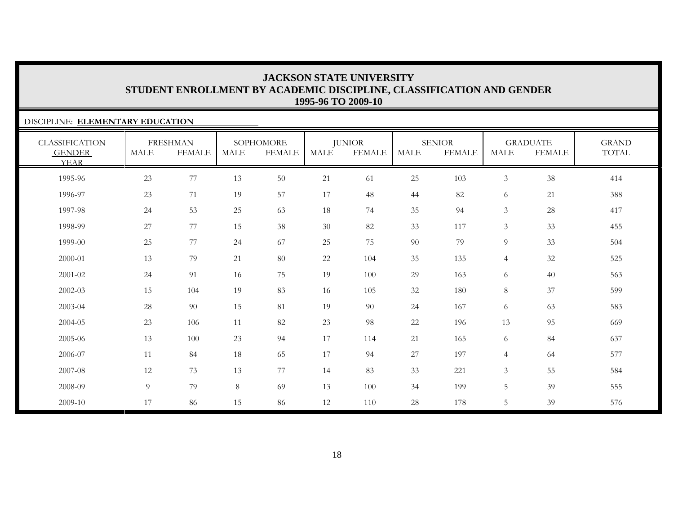### DISCIPLINE: **ELEMENTARY EDUCATION**

| <b>CLASSIFICATION</b><br><b>GENDER</b><br><b>YEAR</b> | MALE | <b>FRESHMAN</b><br><b>FEMALE</b> | <b>MALE</b> | SOPHOMORE<br><b>FEMALE</b> | MALE   | <b>JUNIOR</b><br><b>FEMALE</b> | <b>MALE</b> | <b>SENIOR</b><br><b>FEMALE</b> | <b>MALE</b>     | <b>GRADUATE</b><br><b>FEMALE</b> | <b>GRAND</b><br><b>TOTAL</b> |
|-------------------------------------------------------|------|----------------------------------|-------------|----------------------------|--------|--------------------------------|-------------|--------------------------------|-----------------|----------------------------------|------------------------------|
| 1995-96                                               | 23   | 77                               | 13          | 50                         | 21     | 61                             | 25          | 103                            | $\mathfrak{Z}$  | 38                               | 414                          |
| 1996-97                                               | 23   | 71                               | 19          | 57                         | 17     | 48                             | 44          | 82                             | 6               | 21                               | 388                          |
| 1997-98                                               | 24   | 53                               | 25          | 63                         | 18     | 74                             | 35          | 94                             | $\mathfrak{Z}$  | 28                               | 417                          |
| 1998-99                                               | 27   | 77                               | 15          | $38\,$                     | $30\,$ | 82                             | 33          | 117                            | $\mathfrak{Z}$  | 33                               | 455                          |
| 1999-00                                               | 25   | 77                               | 24          | 67                         | 25     | 75                             | 90          | 79                             | 9               | 33                               | 504                          |
| 2000-01                                               | 13   | 79                               | 21          | 80                         | 22     | 104                            | 35          | 135                            | $\overline{4}$  | 32                               | 525                          |
| 2001-02                                               | 24   | 91                               | 16          | 75                         | 19     | 100                            | 29          | 163                            | 6               | 40                               | 563                          |
| 2002-03                                               | 15   | 104                              | 19          | 83                         | 16     | 105                            | 32          | 180                            | 8               | 37                               | 599                          |
| 2003-04                                               | 28   | 90                               | 15          | 81                         | 19     | 90                             | 24          | 167                            | 6               | 63                               | 583                          |
| 2004-05                                               | 23   | 106                              | 11          | 82                         | 23     | 98                             | 22          | 196                            | 13              | 95                               | 669                          |
| 2005-06                                               | 13   | 100                              | 23          | 94                         | 17     | 114                            | 21          | 165                            | 6               | 84                               | 637                          |
| 2006-07                                               | 11   | 84                               | 18          | 65                         | 17     | 94                             | 27          | 197                            | $\overline{4}$  | 64                               | 577                          |
| 2007-08                                               | 12   | 73                               | 13          | 77                         | 14     | 83                             | 33          | 221                            | $\mathfrak{Z}$  | 55                               | 584                          |
| 2008-09                                               | 9    | 79                               | 8           | 69                         | 13     | 100                            | 34          | 199                            | 5               | 39                               | 555                          |
| 2009-10                                               | 17   | 86                               | 15          | 86                         | 12     | 110                            | 28          | 178                            | $5\overline{)}$ | 39                               | 576                          |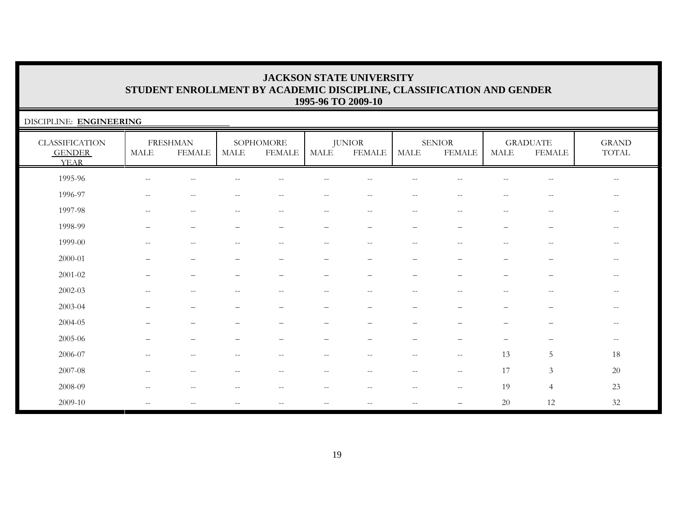| DISCIPLINE: ENGINEERING                               |                       |                                  |       |                            |               |                                |                                                       |                                |                          |                                                     |                                                |
|-------------------------------------------------------|-----------------------|----------------------------------|-------|----------------------------|---------------|--------------------------------|-------------------------------------------------------|--------------------------------|--------------------------|-----------------------------------------------------|------------------------------------------------|
| <b>CLASSIFICATION</b><br><b>GENDER</b><br><b>YEAR</b> | $\operatorname{MALE}$ | <b>FRESHMAN</b><br><b>FEMALE</b> | MALE  | SOPHOMORE<br><b>FEMALE</b> | <b>MALE</b>   | <b>JUNIOR</b><br><b>FEMALE</b> | $\operatorname{MALE}$                                 | <b>SENIOR</b><br><b>FEMALE</b> | <b>MALE</b>              | <b>GRADUATE</b><br><b>FEMALE</b>                    | <b>GRAND</b><br>TOTAL                          |
| 1995-96                                               |                       |                                  |       |                            |               |                                |                                                       |                                |                          |                                                     | $- -$                                          |
| 1996-97                                               | $-$                   | $ -$                             |       | $-$                        | $ -$          |                                |                                                       |                                |                          |                                                     | $- -$                                          |
| 1997-98                                               |                       | --                               |       | $-$                        | --            |                                |                                                       |                                |                          |                                                     | $- -$                                          |
| 1998-99                                               |                       |                                  |       |                            |               |                                |                                                       |                                |                          |                                                     | $\overline{\phantom{m}}$                       |
| 1999-00                                               | $- -$                 | $\qquad \qquad -$                | $- -$ | $\sim$ $\sim$              | $--$          | $- -$                          | $- -$                                                 | $-$                            | $ -$                     | $\hspace{0.05cm} -\hspace{0.05cm} -\hspace{0.05cm}$ | $\hspace{0.1mm}-\hspace{0.1mm}-\hspace{0.1mm}$ |
| 2000-01                                               |                       |                                  |       |                            |               |                                |                                                       |                                |                          |                                                     | $- -$                                          |
| 2001-02                                               |                       |                                  |       |                            |               |                                |                                                       |                                |                          |                                                     | $-$                                            |
| 2002-03                                               | $-$                   | $ -$                             | $-$   | $\qquad \qquad -$          | $ -$          | $--$                           | $\sim$                                                | $- -$                          | $\overline{\phantom{m}}$ | $\hspace{0.05cm} -\hspace{0.05cm} -\hspace{0.05cm}$ | $\overline{\phantom{m}}$                       |
| 2003-04                                               |                       |                                  |       |                            |               |                                |                                                       |                                |                          |                                                     | $\qquad \qquad -$                              |
| 2004-05                                               |                       |                                  |       |                            |               |                                |                                                       |                                |                          |                                                     | $\qquad \qquad -$                              |
| 2005-06                                               |                       |                                  |       |                            |               |                                |                                                       |                                |                          |                                                     | $-\,-$                                         |
| 2006-07                                               |                       |                                  |       |                            | $- -$         |                                |                                                       | $-$                            | 13                       | 5                                                   | 18                                             |
| 2007-08                                               | $-$                   | $\frac{1}{2}$                    | $- -$ | $- -$                      | $\sim$ $\sim$ | $- -$                          | $\sim$ $-$                                            | $\sim$ $\sim$                  | 17                       | $\mathfrak{Z}$                                      | $20\,$                                         |
| 2008-09                                               | $- -$                 | $\qquad \qquad -$                | --    | $\qquad \qquad -$          | $--$          | $- -$                          | $\hspace{0.05cm} - \hspace{0.05cm} - \hspace{0.05cm}$ | $\overline{\phantom{m}}$       | 19                       | $\overline{4}$                                      | $23\,$                                         |
| 2009-10                                               | $-$                   |                                  |       | $-$                        | $- -$         |                                |                                                       |                                | 20                       | 12                                                  | 32                                             |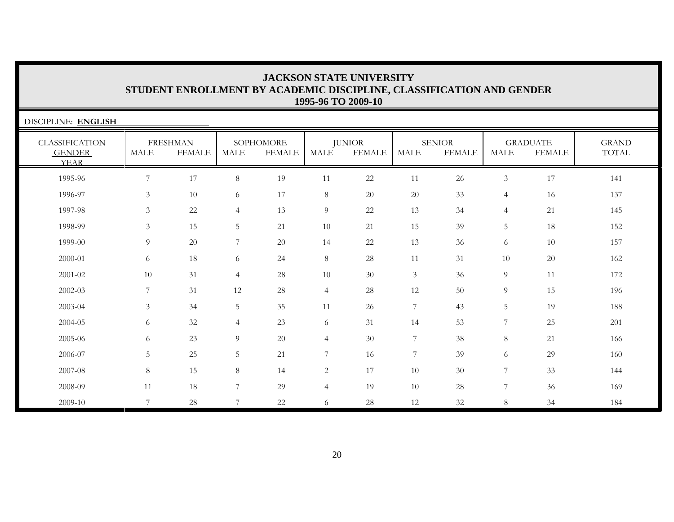| DISCIPLINE: ENGLISH                                   |                |                                  |                |                            |                |                                |                |                                |                 |                                  |                       |
|-------------------------------------------------------|----------------|----------------------------------|----------------|----------------------------|----------------|--------------------------------|----------------|--------------------------------|-----------------|----------------------------------|-----------------------|
| <b>CLASSIFICATION</b><br><b>GENDER</b><br><b>YEAR</b> | MALE           | <b>FRESHMAN</b><br><b>FEMALE</b> | MALE           | SOPHOMORE<br><b>FEMALE</b> | MALE           | <b>JUNIOR</b><br><b>FEMALE</b> | <b>MALE</b>    | <b>SENIOR</b><br><b>FEMALE</b> | <b>MALE</b>     | <b>GRADUATE</b><br><b>FEMALE</b> | <b>GRAND</b><br>TOTAL |
| 1995-96                                               | 7              | 17                               | 8              | 19                         | 11             | 22                             | 11             | 26                             | $\mathfrak{Z}$  | 17                               | 141                   |
| 1996-97                                               | $\mathfrak{Z}$ | 10                               | 6              | 17                         | 8              | 20                             | 20             | 33                             | $\overline{4}$  | 16                               | 137                   |
| 1997-98                                               | 3              | 22                               | 4              | 13                         | $\overline{9}$ | 22                             | 13             | 34                             | $\overline{4}$  | 21                               | 145                   |
| 1998-99                                               | 3              | 15                               | 5              | 21                         | 10             | 21                             | 15             | 39                             | 5               | 18                               | 152                   |
| 1999-00                                               | 9              | 20                               | 7              | 20                         | 14             | 22                             | 13             | 36                             | 6               | 10                               | 157                   |
| 2000-01                                               | 6              | 18                               | 6              | 24                         | $8\,$          | 28                             | 11             | 31                             | 10              | 20                               | 162                   |
| 2001-02                                               | 10             | 31                               | $\overline{4}$ | 28                         | 10             | 30                             | 3              | 36                             | 9               | 11                               | 172                   |
| 2002-03                                               | 7              | 31                               | 12             | 28                         | $\overline{4}$ | 28                             | 12             | 50                             | 9               | 15                               | 196                   |
| 2003-04                                               | 3              | 34                               | 5              | 35                         | 11             | 26                             | $\overline{7}$ | 43                             | 5               | 19                               | 188                   |
| 2004-05                                               | 6              | 32                               | 4              | 23                         | 6              | 31                             | 14             | 53                             | 7               | 25                               | 201                   |
| 2005-06                                               | 6              | 23                               | 9              | 20                         | $\overline{4}$ | 30                             | 7              | 38                             | 8               | 21                               | 166                   |
| 2006-07                                               | 5              | 25                               | 5              | 21                         | $\overline{7}$ | 16                             | $\overline{7}$ | 39                             | 6               | 29                               | 160                   |
| 2007-08                                               | 8              | 15                               | 8              | 14                         | $\overline{c}$ | 17                             | 10             | 30                             | 7               | 33                               | 144                   |
| 2008-09                                               | 11             | 18                               | 7              | 29                         | $\overline{4}$ | 19                             | 10             | 28                             | $7\overline{ }$ | 36                               | 169                   |
| 2009-10                                               | 7              | 28                               | 7              | 22                         | 6              | 28                             | 12             | 32                             | 8               | 34                               | 184                   |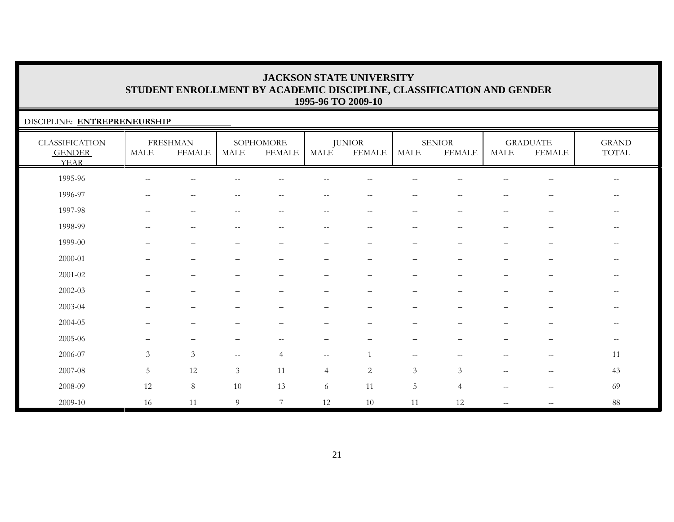### DISCIPLINE: **ENTREPRENEURSHIP**

| <b>CLASSIFICATION</b><br><b>GENDER</b><br><b>YEAR</b> | <b>MALE</b>              | <b>FRESHMAN</b><br><b>FEMALE</b> | MALE                      | SOPHOMORE<br><b>FEMALE</b>                            | MALE                            | <b>JUNIOR</b><br><b>FEMALE</b>                        | MALE                                                | <b>SENIOR</b><br><b>FEMALE</b> | <b>MALE</b>              | <b>GRADUATE</b><br><b>FEMALE</b>                      | <b>GRAND</b><br>TOTAL |
|-------------------------------------------------------|--------------------------|----------------------------------|---------------------------|-------------------------------------------------------|---------------------------------|-------------------------------------------------------|-----------------------------------------------------|--------------------------------|--------------------------|-------------------------------------------------------|-----------------------|
| 1995-96                                               | $\overline{\phantom{m}}$ | $\sim$ $-$                       |                           | $- -$                                                 | --                              | н.                                                    | $-$                                                 |                                | --                       | $\overline{\phantom{m}}$                              | $--$                  |
| 1996-97                                               | $\overline{\phantom{m}}$ | $\overline{\phantom{m}}$         | $\overline{\phantom{m}}$  | $\hspace{0.05cm} - \hspace{0.05cm} - \hspace{0.05cm}$ | $\overline{\phantom{m}}$        | $\hspace{0.05cm} - \hspace{0.05cm} - \hspace{0.05cm}$ | $\overline{\phantom{m}}$                            | $\sim$ $\sim$                  | $\overline{\phantom{a}}$ | $-\,-$                                                | $--$                  |
| 1997-98                                               | $\overline{\phantom{m}}$ | $\sim$ $-$                       |                           | $\qquad \qquad -$                                     | $ -$                            | $\overline{\phantom{m}}$                              | $\overline{\phantom{m}}$                            | $-$                            | $\overline{\phantom{m}}$ | $\mathord{\hspace{1pt}\text{--}\hspace{1pt}}$         |                       |
| 1998-99                                               | $\overline{\phantom{a}}$ | $- \, -$                         | $\overline{\phantom{m}}$  | $\qquad \qquad -$                                     | $--$                            | $\overline{\phantom{m}}$                              | $\overline{\phantom{m}}$                            | $\sim$ $\sim$                  | --                       | $\hspace{0.05cm} - \hspace{0.05cm} - \hspace{0.05cm}$ | $\qquad \qquad -$     |
| 1999-00                                               |                          |                                  |                           |                                                       |                                 |                                                       |                                                     |                                |                          |                                                       | $- -$                 |
| 2000-01                                               |                          |                                  |                           |                                                       |                                 |                                                       |                                                     |                                |                          |                                                       |                       |
| $2001 - 02$                                           |                          | $\overline{\phantom{0}}$         |                           |                                                       | $\overbrace{\phantom{1232211}}$ |                                                       | $\qquad \qquad -$                                   |                                | $\equiv$                 | —                                                     | $\qquad \qquad -$     |
| $2002 - 03$                                           |                          |                                  |                           |                                                       |                                 |                                                       |                                                     |                                |                          |                                                       |                       |
| 2003-04                                               |                          |                                  |                           |                                                       |                                 |                                                       |                                                     |                                |                          |                                                       |                       |
| 2004-05                                               |                          |                                  |                           |                                                       |                                 |                                                       |                                                     |                                |                          |                                                       | $- -$                 |
| 2005-06                                               | $\overline{\phantom{0}}$ | $\overline{\phantom{m}}$         |                           | $\overline{\phantom{m}}$                              | $\overline{\phantom{m}}$        | $\overline{\phantom{0}}$                              | $\overline{\phantom{m}}$                            | $\overline{\phantom{a}}$       | —                        | $\overline{\phantom{m}}$                              | $--$                  |
| 2006-07                                               | 3                        | $\mathfrak{Z}$                   | $\mathcal{L}=\mathcal{L}$ | $\overline{4}$                                        | $--$                            |                                                       | $\hspace{0.05cm} -\hspace{0.05cm} -\hspace{0.05cm}$ | $-$                            | --                       | $-\,-$                                                | 11                    |
| 2007-08                                               | 5                        | $12\,$                           | $\mathfrak{Z}$            | 11                                                    | $\overline{4}$                  | 2                                                     | 3                                                   | $\mathfrak{Z}$                 | $\overline{\phantom{m}}$ | $\hspace{0.05cm} -\hspace{0.05cm} -\hspace{0.05cm}$   | 43                    |
| 2008-09                                               | 12                       | $\,8\,$                          | 10                        | 13                                                    | 6                               | 11                                                    | $\overline{5}$                                      | $\overline{4}$                 | $\overline{\phantom{m}}$ | $\hspace{0.1mm}-\hspace{0.1mm}-\hspace{0.1mm}$        | 69                    |
| 2009-10                                               | 16                       | 11                               | 9                         | $\overline{7}$                                        | 12                              | 10                                                    | 11                                                  | 12                             | $\overline{\phantom{a}}$ | $-\,-$                                                | 88                    |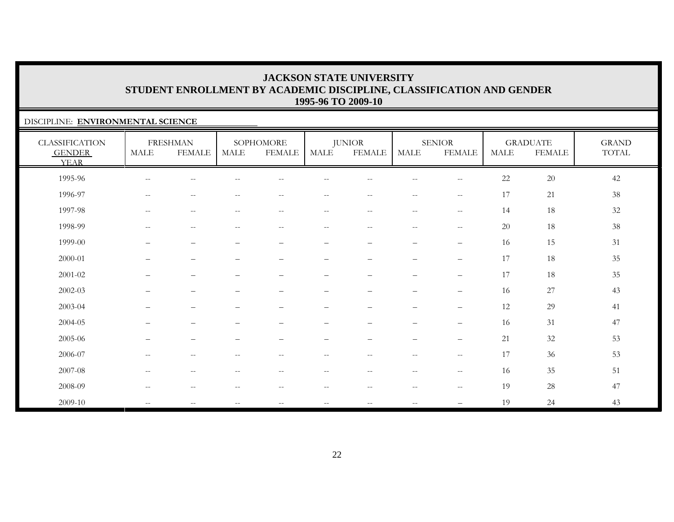### DISCIPLINE: **ENVIRONMENTAL SCIENCE**

| <b>CLASSIFICATION</b><br><b>GENDER</b><br><b>YEAR</b> | <b>MALE</b>              | <b>FRESHMAN</b><br><b>FEMALE</b> | <b>MALE</b>              | SOPHOMORE<br><b>FEMALE</b> | MALE                     | <b>JUNIOR</b><br><b>FEMALE</b>                      | MALE                                                | <b>SENIOR</b><br><b>FEMALE</b>                      | <b>MALE</b> | <b>GRADUATE</b><br><b>FEMALE</b> | <b>GRAND</b><br>TOTAL |
|-------------------------------------------------------|--------------------------|----------------------------------|--------------------------|----------------------------|--------------------------|-----------------------------------------------------|-----------------------------------------------------|-----------------------------------------------------|-------------|----------------------------------|-----------------------|
| 1995-96                                               | $\qquad \qquad -$        | --                               |                          |                            |                          |                                                     |                                                     | $\sim$ $\sim$                                       | 22          | 20                               | 42                    |
| 1996-97                                               | $\overline{\phantom{a}}$ | $-$                              |                          | $-$                        | $-$                      |                                                     | $-$                                                 | $\hspace{0.05cm} -$                                 | 17          | $21\,$                           | 38                    |
| 1997-98                                               | $\mathbf{u}$             | $\overline{\phantom{m}}$         | $\sim$ $\sim$            | $--$                       | $- -$                    | $--$                                                | $\hspace{0.05cm} -\hspace{0.05cm} -\hspace{0.05cm}$ | $-\,-$                                              | 14          | 18                               | $32\,$                |
| 1998-99                                               | $\overline{\phantom{a}}$ | $\overline{\phantom{m}}$         | $\overline{\phantom{m}}$ | $\overline{\phantom{m}}$   | $--$                     | $\overline{\phantom{m}}$                            | $\hspace{0.05cm} -\hspace{0.05cm} -\hspace{0.05cm}$ | $-\,-$                                              | 20          | 18                               | 38                    |
| 1999-00                                               | $\overline{\phantom{0}}$ | $\qquad \qquad -$                |                          | $\qquad \qquad -$          |                          | $\qquad \qquad -$                                   | $\qquad \qquad$                                     | $\overline{\phantom{m}}$                            | 16          | 15                               | 31                    |
| 2000-01                                               | ▃                        | $\overline{\phantom{0}}$         |                          |                            | $\overline{\phantom{0}}$ |                                                     | $\qquad \qquad$                                     | $\overline{\phantom{m}}$                            | 17          | 18                               | 35                    |
| $2001 - 02$                                           | $\qquad \qquad -$        | $\qquad \qquad -$                |                          | $\overline{\phantom{0}}$   |                          | $\qquad \qquad -$                                   | $\overline{\phantom{0}}$                            | $\qquad \qquad -$                                   | 17          | 18                               | 35                    |
| $2002 - 03$                                           |                          | $\overline{\phantom{0}}$         |                          | -                          |                          |                                                     | $\overline{\phantom{0}}$                            | $\overline{\phantom{m}}$                            | 16          | $27\,$                           | 43                    |
| 2003-04                                               |                          | $\overline{\phantom{0}}$         |                          |                            | $\overline{\phantom{0}}$ | $\qquad \qquad -$                                   | $\overline{\phantom{0}}$                            | $\qquad \qquad -$                                   | 12          | 29                               | 41                    |
| 2004-05                                               |                          |                                  |                          |                            |                          |                                                     |                                                     | $\qquad \qquad -$                                   | 16          | 31                               | 47                    |
| 2005-06                                               | $\overline{\phantom{0}}$ |                                  |                          |                            |                          |                                                     | $\overline{\phantom{0}}$                            | $\qquad \qquad -$                                   | 21          | 32                               | 53                    |
| 2006-07                                               | $\overline{\phantom{a}}$ | $\sim$ $-$                       | $\qquad \qquad -$        | $\overline{\phantom{m}}$   | $- -$                    | $\hspace{0.05cm} -\hspace{0.05cm} -\hspace{0.05cm}$ | $--$                                                | $\hspace{0.05cm} -\hspace{0.05cm} -\hspace{0.05cm}$ | 17          | 36                               | 53                    |
| 2007-08                                               | $\overline{\phantom{m}}$ | $-\, -$                          | $\overline{\phantom{m}}$ | $\qquad \qquad -$          | $\overline{\phantom{m}}$ | $-\,-$                                              | $\overline{\phantom{m}}$                            | $\hspace{0.05cm}$ – $\hspace{0.05cm}$               | 16          | 35                               | 51                    |
| 2008-09                                               | $-$                      | --                               |                          | $-$                        | $- -$                    | $-$                                                 | $-$                                                 | $\hspace{0.05cm} -$                                 | 19          | 28                               | 47                    |
| 2009-10                                               | $\overline{\phantom{a}}$ | $\sim$ $-$                       | $\qquad \qquad -$        | $--$                       | $- -$                    | $\mathbf{u}$                                        | $\overline{\phantom{m}}$                            |                                                     | 19          | 24                               | 43                    |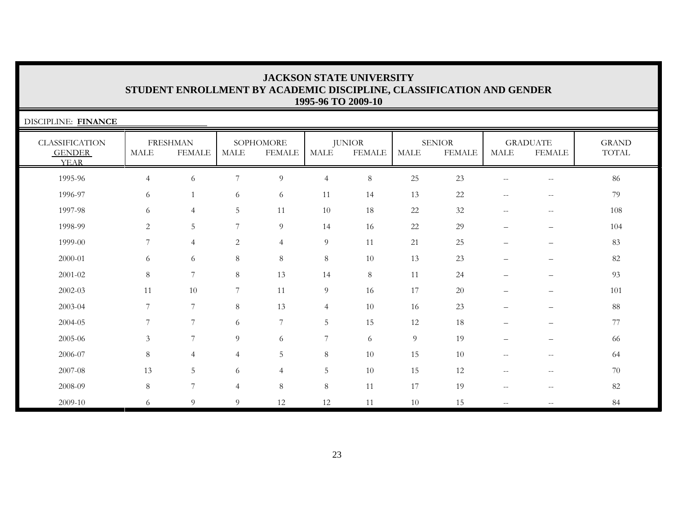| DISCIPLINE: FINANCE                                   |                |                                  |                |                            |                |                                |                |                                |                          |                                                       |                       |
|-------------------------------------------------------|----------------|----------------------------------|----------------|----------------------------|----------------|--------------------------------|----------------|--------------------------------|--------------------------|-------------------------------------------------------|-----------------------|
| <b>CLASSIFICATION</b><br><b>GENDER</b><br><b>YEAR</b> | <b>MALE</b>    | <b>FRESHMAN</b><br><b>FEMALE</b> | MALE           | SOPHOMORE<br><b>FEMALE</b> | MALE           | <b>JUNIOR</b><br><b>FEMALE</b> | <b>MALE</b>    | <b>SENIOR</b><br><b>FEMALE</b> | $\operatorname{MALE}$    | <b>GRADUATE</b><br><b>FEMALE</b>                      | <b>GRAND</b><br>TOTAL |
| 1995-96                                               | $\overline{4}$ | 6                                | 7              | 9                          | $\overline{4}$ | $8\,$                          | 25             | 23                             | $\qquad \qquad -$        | $\hspace{0.05cm} - \hspace{0.05cm} - \hspace{0.05cm}$ | 86                    |
| 1996-97                                               | 6              |                                  | 6              | 6                          | 11             | 14                             | 13             | 22                             | $\mathrel{{-}{-}}$       | $-\,-$                                                | 79                    |
| 1997-98                                               | 6              | $\overline{4}$                   | 5              | 11                         | $10\,$         | 18                             | 22             | 32                             | $\overline{\phantom{m}}$ | $-\,-$                                                | 108                   |
| 1998-99                                               | $\overline{c}$ | 5                                | 7              | 9                          | 14             | 16                             | 22             | 29                             | $\qquad \qquad -$        | $\qquad \qquad -$                                     | 104                   |
| 1999-00                                               | 7              | $\overline{4}$                   | 2              | $\overline{4}$             | $\overline{9}$ | 11                             | 21             | 25                             | $\qquad \qquad -$        | —                                                     | 83                    |
| 2000-01                                               | 6              | 6                                | 8              | $8\,$                      | $8\,$          | 10                             | 13             | 23                             | $\overline{\phantom{0}}$ |                                                       | 82                    |
| 2001-02                                               | $\,8\,$        | $7\phantom{.0}$                  | 8              | 13                         | 14             | $8\,$                          | 11             | 24                             |                          | $\overline{\phantom{0}}$                              | 93                    |
| 2002-03                                               | 11             | 10                               | 7              | 11                         | 9              | 16                             | 17             | 20                             |                          | $\overline{\phantom{0}}$                              | 101                   |
| 2003-04                                               | 7              | 7                                | $8\,$          | 13                         | $\overline{4}$ | 10                             | 16             | 23                             | $\overline{\phantom{0}}$ | —                                                     | 88                    |
| 2004-05                                               | 7              | $\overline{7}$                   | 6              | $\overline{7}$             | $\overline{5}$ | 15                             | 12             | 18                             | $\overline{\phantom{0}}$ | $\overline{\phantom{m}}$                              | 77                    |
| 2005-06                                               | $\mathfrak{Z}$ | 7                                | 9              | 6                          | $\overline{7}$ | 6                              | $\overline{9}$ | 19                             |                          | $\overline{\phantom{0}}$                              | 66                    |
| 2006-07                                               | $\,8\,$        | $\overline{4}$                   | 4              | 5                          | $8\,$          | 10                             | 15             | 10                             | $\qquad \qquad -$        | $- -$                                                 | 64                    |
| 2007-08                                               | 13             | 5                                | 6              | $\overline{4}$             | 5              | 10                             | 15             | 12                             | $-$                      | $-\,-$                                                | 70                    |
| 2008-09                                               | $8\phantom{1}$ | 7                                | $\overline{4}$ | 8                          | $8\,$          | 11                             | 17             | 19                             | $\mathrel{{-}{-}}$       | $\hspace{0.05cm} -\hspace{0.05cm} -\hspace{0.05cm}$   | 82                    |
| 2009-10                                               | 6              | 9                                | 9              | 12                         | 12             | 11                             | 10             | 15                             | $\mathbf{u}$             | $\hspace{0.05cm} -\hspace{0.05cm} -\hspace{0.05cm}$   | 84                    |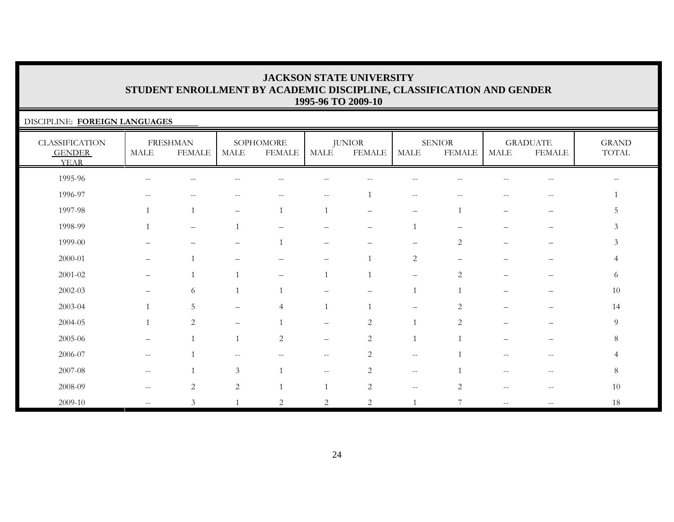### DISCIPLINE: **FOREIGN LANGUAGES** CLASSIFICATION GENDER YEARFRESHMAN MALE FEMALESOPHOMORE MALE FEMALEJUNIOR MALE FEMALESENIOR MALE FEMALEGRADUATE MALE FEMALEGRAND TOTAL 1995-96 -- -- -- -- -- -- -- -- -- -- --1996-97 -- -- -- -- -- 1 -- -- -- -- 1 $\mathbf{1}$ 1997-98 1 1 – 1 1 – – 1 – – 5 $5\phantom{.0}$ 1998-99 1 – 1 – – – 1 – – – 3 $\mathfrak{Z}$ 1999-00 – – – 1 – – – 2 – – 32000-01 – 1 – – – 1 2 – – – 4 $\overline{4}$ 2001-02 – 1 1 – 1 1 – 2 – – 66 2002-03 – 6 1 1 – – 1 1 – – 1010 2003-04 1 5 – 4 1 1 – 2 – – 142004-05 1 2 – 1 – 2 1 2 – – 99 2005-06 – 1 1 2 – 2 1 1 – – 88 2006-07 -- 1 -- - - - - 2 -- 1 -- - - 4  $\overline{4}$ 2007-08 -- 1 3 1 -- 2 -- 1 -- -- 8 $8\,$ 2008-09 -- 2 2 1 1 2 -- 2 -- 10 2009-10 -- 3 1 2 2 2 1 7 -- -- 18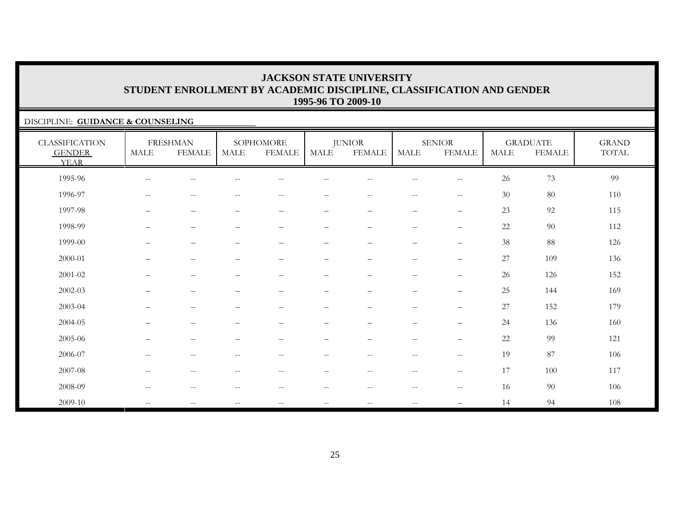### DISCIPLINE: **GUIDANCE & COUNSELING**

| <b>CLASSIFICATION</b><br><b>GENDER</b><br><b>YEAR</b> | <b>MALE</b>              | <b>FRESHMAN</b><br><b>FEMALE</b>                      | <b>MALE</b>              | SOPHOMORE<br><b>FEMALE</b>                          | MALE                                                | <b>JUNIOR</b><br><b>FEMALE</b>                        | <b>MALE</b>                                           | <b>SENIOR</b><br><b>FEMALE</b>                      | <b>MALE</b> | <b>GRADUATE</b><br><b>FEMALE</b> | <b>GRAND</b><br>TOTAL |
|-------------------------------------------------------|--------------------------|-------------------------------------------------------|--------------------------|-----------------------------------------------------|-----------------------------------------------------|-------------------------------------------------------|-------------------------------------------------------|-----------------------------------------------------|-------------|----------------------------------|-----------------------|
| 1995-96                                               | $-$                      |                                                       |                          |                                                     |                                                     |                                                       |                                                       |                                                     | 26          | 73                               | 99                    |
| 1996-97                                               | $\overline{\phantom{m}}$ | $\sim$                                                |                          |                                                     |                                                     |                                                       | $\sim$                                                | $\hspace{0.05cm} -\hspace{0.05cm} -\hspace{0.05cm}$ | 30          | 80                               | 110                   |
| 1997-98                                               |                          | $\qquad \qquad -$                                     | $\overline{\phantom{0}}$ | $\qquad \qquad -$                                   | -                                                   | $\qquad \qquad -$                                     | $\overline{\phantom{m}}$                              | $\qquad \qquad -$                                   | 23          | 92                               | 115                   |
| 1998-99                                               | $\qquad \qquad$          | $\overline{\phantom{m}}$                              | $\qquad \qquad -$        | $\qquad \qquad -$                                   | $\overline{\phantom{0}}$                            | $\qquad \qquad -$                                     | $\overline{\phantom{a}}$                              | $\overline{\phantom{m}}$                            | $22\,$      | 90                               | 112                   |
| 1999-00                                               | $\overline{\phantom{0}}$ | $\qquad \qquad -$                                     |                          | $\qquad \qquad -$                                   | $\overline{\phantom{0}}$                            | $\qquad \qquad -$                                     | $\overbrace{\phantom{1232211}}$                       |                                                     | 38          | 88                               | 126                   |
| 2000-01                                               | $\overline{\phantom{0}}$ | $\overbrace{\phantom{1232211}}$                       |                          | $\qquad \qquad -$                                   | $\overline{\phantom{0}}$                            | $\qquad \qquad -$                                     | $\overbrace{\phantom{1232211}}$                       | $\overline{\phantom{0}}$                            | 27          | 109                              | 136                   |
| 2001-02                                               | $\qquad \qquad$          | $\overline{\phantom{m}}$                              | $\overline{\phantom{0}}$ | $\qquad \qquad -$                                   | —                                                   | $\qquad \qquad -$                                     | $\overline{\phantom{m}}$                              | $\qquad \qquad -$                                   | 26          | 126                              | 152                   |
| $2002 - 03$                                           |                          |                                                       |                          | $\overline{\phantom{0}}$                            | $\qquad \qquad -$                                   |                                                       | $\overline{\phantom{0}}$                              |                                                     | 25          | 144                              | 169                   |
| 2003-04                                               |                          | $\overline{\phantom{0}}$                              |                          | $\qquad \qquad -$                                   | $\overline{\phantom{0}}$                            |                                                       | $\overline{\phantom{0}}$                              | $\overline{\phantom{0}}$                            | 27          | 152                              | 179                   |
| 2004-05                                               |                          |                                                       |                          |                                                     |                                                     |                                                       |                                                       | $\overline{\phantom{0}}$                            | 24          | 136                              | 160                   |
| 2005-06                                               |                          | $\overline{\phantom{m}}$                              |                          |                                                     | -                                                   |                                                       | $\overline{\phantom{0}}$                              |                                                     | $22\,$      | 99                               | 121                   |
| 2006-07                                               | $\overline{\phantom{a}}$ | $\hspace{0.05cm} - \hspace{0.05cm} - \hspace{0.05cm}$ | $\qquad \qquad -$        | $\overline{\phantom{m}}$                            | $\overline{\phantom{m}}$                            | $\hspace{0.05cm} - \hspace{0.05cm} - \hspace{0.05cm}$ | $\hspace{0.05cm} - \hspace{0.05cm} - \hspace{0.05cm}$ | $--$                                                | 19          | 87                               | 106                   |
| 2007-08                                               | $\overline{\phantom{a}}$ | $\sim$ $-$                                            | $\qquad \qquad -$        | $\hspace{0.05cm} -\hspace{0.05cm} -\hspace{0.05cm}$ | $\hspace{0.05cm} -\hspace{0.05cm} -\hspace{0.05cm}$ | $\hspace{0.05cm} -\hspace{0.05cm} -\hspace{0.05cm}$   | $\overline{\phantom{m}}$                              | $\overline{\phantom{m}}$                            | 17          | 100                              | 117                   |
| 2008-09                                               | $\overline{\phantom{a}}$ | $\sim$ $-$                                            | $-$                      | $\hspace{0.05cm} -\hspace{0.05cm} -\hspace{0.05cm}$ | $\hspace{0.05cm} -\hspace{0.05cm} -\hspace{0.05cm}$ | $\overline{\phantom{m}}$                              | $\overline{\phantom{m}}$                              | $\overline{\phantom{m}}$                            | 16          | 90                               | 106                   |
| 2009-10                                               | $\overline{\phantom{a}}$ | $\mathcal{L}=\mathcal{L}$                             | $--$                     | $--$                                                | $\hspace{0.05cm} -\hspace{0.05cm} -\hspace{0.05cm}$ | $\mathbf{u}$                                          | $\mathcal{L}=\mathcal{L}$                             |                                                     | 14          | 94                               | 108                   |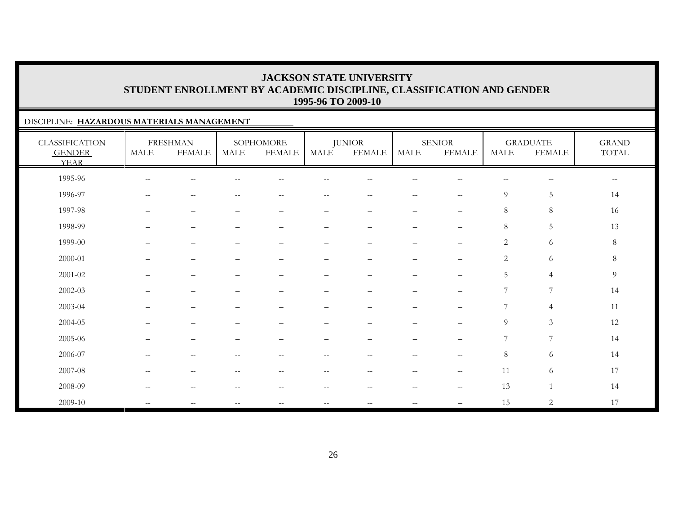### DISCIPLINE: **HAZARDOUS MATERIALS MANAGEMENT**

| <b>CLASSIFICATION</b><br><b>GENDER</b><br><b>YEAR</b> | <b>MALE</b>              | <b>FRESHMAN</b><br><b>FEMALE</b> | <b>MALE</b>              | SOPHOMORE<br><b>FEMALE</b>                            | MALE                                                | <b>JUNIOR</b><br><b>FEMALE</b>                      | <b>MALE</b>                           | <b>SENIOR</b><br><b>FEMALE</b> | <b>MALE</b>    | <b>GRADUATE</b><br><b>FEMALE</b> | <b>GRAND</b><br>$\operatorname{TOTAL}$ |
|-------------------------------------------------------|--------------------------|----------------------------------|--------------------------|-------------------------------------------------------|-----------------------------------------------------|-----------------------------------------------------|---------------------------------------|--------------------------------|----------------|----------------------------------|----------------------------------------|
| 1995-96                                               | $\overline{\phantom{m}}$ | н.                               |                          |                                                       |                                                     |                                                     |                                       |                                |                | $-\,-$                           | $\overline{\phantom{m}}$               |
| 1996-97                                               | $\overline{\phantom{m}}$ | $\overline{\phantom{m}}$         |                          | $-$                                                   | $- -$                                               | $- -$                                               | $\sim$ $\sim$                         | $\mathbf{u}$                   | $\overline{9}$ | $\sqrt{5}$                       | 14                                     |
| 1997-98                                               | —                        | $\overline{\phantom{m}}$         |                          | $\qquad \qquad -$                                     | -                                                   | $\qquad \qquad -$                                   | $\overline{\phantom{0}}$              | $\qquad \qquad -$              | $8\,$          | $8\phantom{1}$                   | 16                                     |
| 1998-99                                               | -                        | $\overline{\phantom{m}}$         |                          | $\qquad \qquad -$                                     | $\overline{\phantom{0}}$                            | $\qquad \qquad -$                                   | $\overbrace{\phantom{123221111}}$     | $\qquad \qquad -$              | $8\,$          | 5                                | 13                                     |
| 1999-00                                               |                          | $\overline{\phantom{0}}$         |                          | $\overline{\phantom{0}}$                              | $\overline{\phantom{0}}$                            | $\qquad \qquad -$                                   | $\overline{\phantom{0}}$              | $\qquad \qquad -$              | $\sqrt{2}$     | 6                                | $8\,$                                  |
| 2000-01                                               |                          | $\overline{\phantom{0}}$         |                          |                                                       | $\equiv$                                            |                                                     |                                       |                                | $\mathbf{2}$   | 6                                | $\,8\,$                                |
| 2001-02                                               | —                        | $\overline{\phantom{m}}$         | -                        | $\qquad \qquad -$                                     | —                                                   | $\qquad \qquad -$                                   | $\overline{\phantom{0}}$              | $\qquad \qquad -$              | $\mathbf 5$    | $\overline{4}$                   | $\overline{9}$                         |
| 2002-03                                               |                          | $\overline{\phantom{0}}$         |                          |                                                       |                                                     |                                                     |                                       | —                              | 7              | 7                                | 14                                     |
| 2003-04                                               |                          | $\overline{\phantom{0}}$         |                          |                                                       |                                                     |                                                     |                                       | $\overline{\phantom{0}}$       | 7              | $\overline{4}$                   | 11                                     |
| 2004-05                                               |                          |                                  |                          |                                                       |                                                     |                                                     |                                       | $\overline{\phantom{0}}$       | 9              | $\mathfrak{Z}$                   | 12                                     |
| 2005-06                                               | —                        | $\overline{\phantom{m}}$         |                          | $\qquad \qquad -$                                     | -                                                   | $\qquad \qquad -$                                   | $\overbrace{\phantom{123221111}}$     | $\qquad \qquad -$              | 7              | $\overline{7}$                   | 14                                     |
| 2006-07                                               | $- -$                    | $\sim$ $-$                       | $\qquad \qquad -$        | $\hspace{0.05cm} -\hspace{0.05cm} -\hspace{0.05cm}$   | $\hspace{0.05cm} -\hspace{0.05cm} -\hspace{0.05cm}$ | $\hspace{0.05cm} -\hspace{0.05cm} -\hspace{0.05cm}$ | $\sim$ $-$                            | $--$                           | $8\,$          | $\sqrt{6}$                       | 14                                     |
| 2007-08                                               | $\qquad \qquad -$        | $\sim$ $-$                       | $\qquad \qquad -$        | $\hspace{0.05cm} -\hspace{0.05cm} -\hspace{0.05cm}$   | $\overline{\phantom{m}}$                            | $- -$                                               | $\hspace{0.05cm}$ – $\hspace{0.05cm}$ | $--$                           | 11             | 6                                | 17                                     |
| 2008-09                                               | $-$                      | $\sim$ $-$                       |                          | $\hspace{0.05cm} - \hspace{0.05cm} - \hspace{0.05cm}$ | $\overline{\phantom{m}}$                            | $- -$                                               | $\sim$ $-$                            | $\overline{\phantom{m}}$       | 13             | $\mathbf{1}$                     | 14                                     |
| 2009-10                                               | $\overline{\phantom{m}}$ | $\overline{\phantom{m}}$         | $\overline{\phantom{a}}$ | $\overline{\phantom{m}}$                              | $\overline{\phantom{m}}$                            | $\overline{\phantom{m}}$                            | $\overline{\phantom{m}}$              | —                              | 15             | $\overline{2}$                   | 17                                     |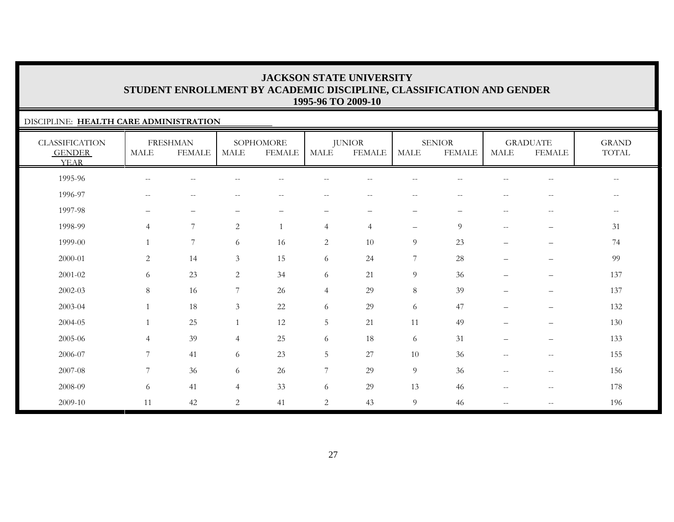### DISCIPLINE: **HEALTH CARE ADMINISTRATION**

| <b>CLASSIFICATION</b><br><b>GENDER</b><br><b>YEAR</b> | <b>MALE</b>              | <b>FRESHMAN</b><br><b>FEMALE</b> | <b>MALE</b>    | SOPHOMORE<br><b>FEMALE</b> | <b>MALE</b>              | <b>JUNIOR</b><br><b>FEMALE</b> | <b>MALE</b>              | <b>SENIOR</b><br><b>FEMALE</b> | <b>MALE</b>                                         | <b>GRADUATE</b><br><b>FEMALE</b> | <b>GRAND</b><br>TOTAL    |
|-------------------------------------------------------|--------------------------|----------------------------------|----------------|----------------------------|--------------------------|--------------------------------|--------------------------|--------------------------------|-----------------------------------------------------|----------------------------------|--------------------------|
| 1995-96                                               | $\overline{\phantom{m}}$ | $-$                              |                |                            |                          |                                | $-$                      |                                |                                                     | $\qquad \qquad -$                | $- -$                    |
| 1996-97                                               | $\overline{\phantom{m}}$ | $- \, -$                         |                | $\qquad \qquad -$          | $-$                      | $\overline{\phantom{m}}$       | $\qquad \qquad -$        | $-$                            | --                                                  | $\qquad \qquad -$                | $\overline{\phantom{m}}$ |
| 1997-98                                               | —                        | $\qquad \qquad -$                |                | $\qquad \qquad -$          | $\overline{\phantom{m}}$ | -                              | $\overline{\phantom{m}}$ | $\overline{\phantom{0}}$       | $\overline{\phantom{m}}$                            | $-\,-$                           | $-\,-$                   |
| 1998-99                                               | $\overline{4}$           | $\overline{7}$                   | 2              | 1                          | $\overline{4}$           | $\overline{4}$                 | $\overline{\phantom{m}}$ | 9                              | $- -$                                               |                                  | 31                       |
| 1999-00                                               | $\mathbf{1}$             | $\overline{7}$                   | 6              | 16                         | $\overline{2}$           | 10                             | $\overline{9}$           | 23                             | $\overline{\phantom{0}}$                            | $\qquad \qquad -$                | 74                       |
| 2000-01                                               | $\overline{c}$           | 14                               | $\mathfrak{Z}$ | 15                         | 6                        | 24                             | $7\phantom{.0}$          | 28                             | $\overline{\phantom{0}}$                            | $\overline{\phantom{0}}$         | 99                       |
| 2001-02                                               | 6                        | 23                               | 2              | 34                         | 6                        | 21                             | $\overline{9}$           | 36                             | $\overline{\phantom{0}}$                            | $\qquad \qquad -$                | 137                      |
| 2002-03                                               | $8\,$                    | 16                               | 7              | 26                         | $\overline{4}$           | 29                             | $8\,$                    | 39                             | $\overline{\phantom{0}}$                            | $\qquad \qquad -$                | 137                      |
| 2003-04                                               | 1                        | 18                               | 3              | 22                         | 6                        | 29                             | 6                        | 47                             | $\overline{\phantom{0}}$                            | $\qquad \qquad -$                | 132                      |
| 2004-05                                               | $\mathbf{1}$             | 25                               | $\overline{1}$ | 12                         | $\mathbf 5$              | 21                             | 11                       | 49                             |                                                     | $\qquad \qquad -$                | 130                      |
| 2005-06                                               | $\overline{4}$           | 39                               | $\overline{4}$ | 25                         | 6                        | 18                             | 6                        | 31                             |                                                     | $\qquad \qquad -$                | 133                      |
| 2006-07                                               | $\overline{7}$           | 41                               | 6              | 23                         | 5                        | 27                             | 10                       | 36                             | $\hspace{0.05cm} -\hspace{0.05cm} -\hspace{0.05cm}$ | $--$                             | 155                      |
| 2007-08                                               | $\overline{7}$           | 36                               | 6              | 26                         | 7                        | 29                             | 9                        | 36                             | $\overline{\phantom{a}}$                            | $--$                             | 156                      |
| 2008-09                                               | 6                        | 41                               | 4              | 33                         | 6                        | 29                             | 13                       | 46                             | $\hspace{0.05cm} -\hspace{0.05cm} -\hspace{0.05cm}$ | $--$                             | 178                      |
| 2009-10                                               | 11                       | 42                               | 2              | 41                         | $\overline{2}$           | 43                             | $\overline{9}$           | 46                             | $-$                                                 | $-\,-$                           | 196                      |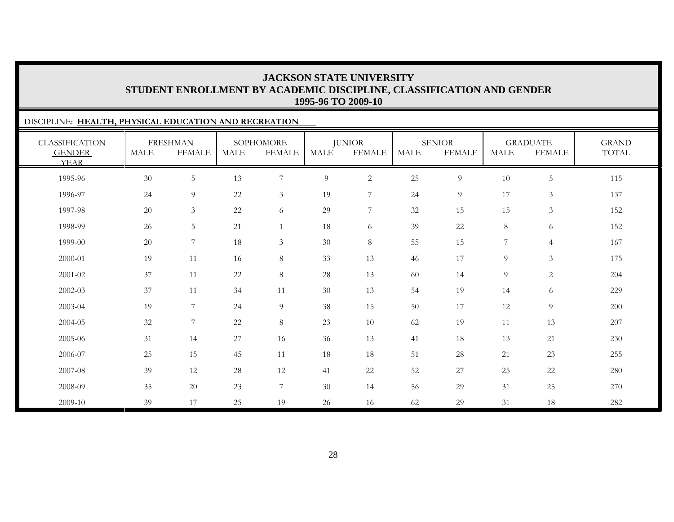### DISCIPLINE: **HEALTH, PHYSICAL EDUCATION AND RECREATION** CLASSIFICATION GENDER YEARFRESHMAN MALE FEMALESOPHOMORE MALE FEMALEJUNIOR MALE FEMALESENIORMALE FEMALEGRADUATE MALE FEMALEGRAND TOTAL1995-96 30 5 13 7 9 2 25 9 10 5 1151996-97 24 9 22 3 19 7 24 9 17 3 1371997-98 20 3 22 6 29 7 32 15 15 3 152152 1998-99 26 5 21 1 18 6 39 22 8 6 152152 1999-00 20 7 18 3 30 8 55 15 7 4 1672000-01 19 11 16 8 33 13 46 17 9 3 1752001-02 37 11 22 8 28 13 60 14 9 2 2042002-03 37 11 34 11 30 13 54 19 14 6 2292003-04 19 7 24 9 38 15 50 17 12 9 2002004-05 32 7 22 8 23 10 62 19 11 13 207207 2005-06 31 14 27 16 36 13 41 18 13 21 230230 2006-07 25 15 45 11 18 18 51 28 21 23 2552007-08 39 12 28 12 41 22 52 27 25 22 2802008-09 35 20 23 7 30 14 56 29 31 25 2702009-10 39 17 25 19 26 16 62 29 31 18 282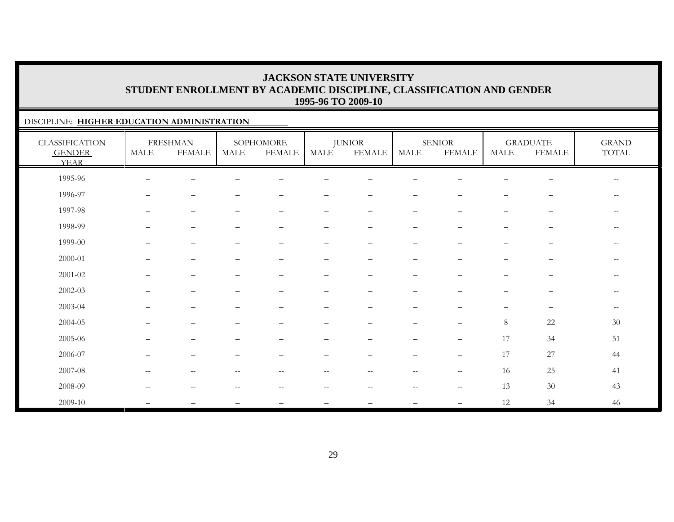### DISCIPLINE: **HIGHER EDUCATION ADMINISTRATION**

| <b>CLASSIFICATION</b><br><b>GENDER</b><br><b>YEAR</b> | MALE                                                | <b>FRESHMAN</b><br><b>FEMALE</b> | MALE                                                  | SOPHOMORE<br><b>FEMALE</b>                            | $\operatorname{MALE}$    | <b>JUNIOR</b><br><b>FEMALE</b>                        | $\operatorname{MALE}$    | <b>SENIOR</b><br><b>FEMALE</b> | <b>MALE</b>       | <b>GRADUATE</b><br><b>FEMALE</b> | <b>GRAND</b><br>$\operatorname{TOTAL}$              |
|-------------------------------------------------------|-----------------------------------------------------|----------------------------------|-------------------------------------------------------|-------------------------------------------------------|--------------------------|-------------------------------------------------------|--------------------------|--------------------------------|-------------------|----------------------------------|-----------------------------------------------------|
| 1995-96                                               |                                                     |                                  |                                                       |                                                       |                          |                                                       |                          |                                |                   |                                  | $\qquad \qquad -$                                   |
| 1996-97                                               | $\overline{\phantom{0}}$                            |                                  |                                                       |                                                       | $\overline{\phantom{0}}$ | $\overline{\phantom{m}}$                              | $\qquad \qquad -$        | $\overline{\phantom{0}}$       | $\qquad \qquad -$ | $\overline{\phantom{a}}$         | $\sim$ $\sim$                                       |
| 1997-98                                               | $\overline{\phantom{0}}$                            | $\qquad \qquad -$                | $\qquad \qquad -$                                     |                                                       | $\overline{\phantom{0}}$ | $\overline{\phantom{0}}$                              | $\overline{\phantom{m}}$ | $\qquad \qquad -$              | $\qquad \qquad -$ | $\overline{\phantom{m}}$         | $\overline{\phantom{m}}$                            |
| 1998-99                                               | —                                                   | $\overbrace{\phantom{12322111}}$ |                                                       | $\qquad \qquad -$                                     | -                        | $\overline{\phantom{m}}$                              | $\overline{\phantom{m}}$ | $\overline{\phantom{0}}$       | $\qquad \qquad -$ | $\overline{\phantom{m}}$         | $- -$                                               |
| 1999-00                                               |                                                     | —                                |                                                       |                                                       | $\overline{\phantom{0}}$ |                                                       |                          |                                |                   |                                  | $- -$                                               |
| 2000-01                                               |                                                     | $\qquad \qquad -$                |                                                       |                                                       | $\equiv$                 |                                                       | -                        |                                |                   | $\overline{\phantom{0}}$         | $- -$                                               |
| $2001 - 02$                                           | —                                                   | $\qquad \qquad -$                | $\overline{\phantom{0}}$                              | $\qquad \qquad -$                                     | $\qquad \qquad -$        | $\overline{\phantom{m}}$                              | $\overline{\phantom{m}}$ |                                | ▃                 | $\overline{\phantom{m}}$         | $\hspace{0.05cm} -\hspace{0.05cm} -\hspace{0.05cm}$ |
| $2002 - 03$                                           |                                                     | $\qquad \qquad -$                |                                                       |                                                       | $\overline{\phantom{0}}$ |                                                       | $\overline{\phantom{0}}$ |                                |                   |                                  | $- -$                                               |
| 2003-04                                               |                                                     | $\qquad \qquad -$                |                                                       | -                                                     | $\equiv$                 | $\qquad \qquad -$                                     | $\qquad \qquad -$        |                                |                   | $\qquad \qquad -$                | $--$                                                |
| 2004-05                                               |                                                     | $\qquad \qquad -$                |                                                       |                                                       |                          |                                                       | $\qquad \qquad -$        | $\qquad \qquad -$              | 8                 | 22                               | 30                                                  |
| 2005-06                                               | $\overline{\phantom{0}}$                            | $\qquad \qquad -$                |                                                       | -                                                     | $\overline{\phantom{0}}$ | $\qquad \qquad -$                                     | $\qquad \qquad -$        | $\overline{\phantom{m}}$       | 17                | 34                               | 51                                                  |
| 2006-07                                               | —                                                   | $\overbrace{\phantom{12322111}}$ |                                                       |                                                       | $\overline{\phantom{0}}$ | $\qquad \qquad -$                                     | $\overline{\phantom{m}}$ | $\overline{\phantom{m}}$       | 17                | 27                               | 44                                                  |
| 2007-08                                               | $\hspace{0.05cm} -\hspace{0.05cm} -\hspace{0.05cm}$ | $\overline{\phantom{m}}$         | $\hspace{0.05cm} - \hspace{0.05cm} - \hspace{0.05cm}$ | $\qquad \qquad -$                                     | $- -$                    | $\hspace{0.05cm} - \hspace{0.05cm} - \hspace{0.05cm}$ | $--$                     | $\mathbf{u}$                   | 16                | 25                               | 41                                                  |
| 2008-09                                               | $\hspace{0.05cm} -\hspace{0.05cm} -\hspace{0.05cm}$ | $-$                              | $-$                                                   | $\hspace{0.05cm} - \hspace{0.05cm} - \hspace{0.05cm}$ | $- -$                    | $\overline{\phantom{m}}$                              | $\overline{\phantom{m}}$ | $\overline{\phantom{m}}$       | 13                | $30\,$                           | 43                                                  |
| 2009-10                                               |                                                     |                                  |                                                       |                                                       |                          |                                                       |                          |                                | 12                | 34                               | 46                                                  |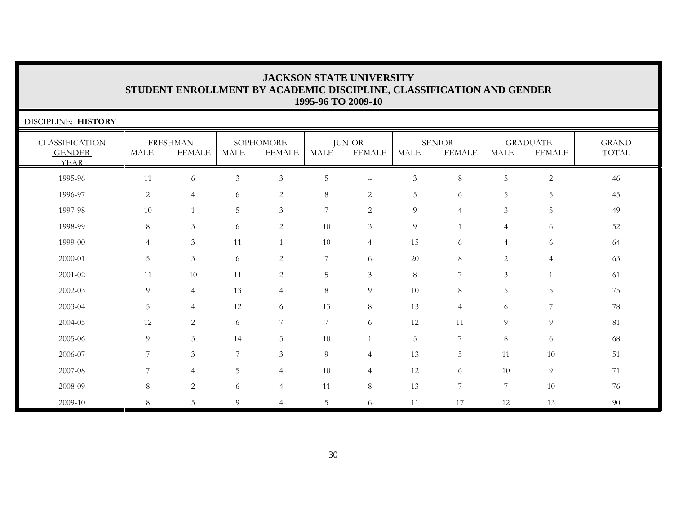| DISCIPLINE: HISTORY                                   |                |                                  |                |                            |                 |                                |                |                                |                       |                                  |                       |
|-------------------------------------------------------|----------------|----------------------------------|----------------|----------------------------|-----------------|--------------------------------|----------------|--------------------------------|-----------------------|----------------------------------|-----------------------|
| <b>CLASSIFICATION</b><br><b>GENDER</b><br><b>YEAR</b> | MALE           | <b>FRESHMAN</b><br><b>FEMALE</b> | MALE           | SOPHOMORE<br><b>FEMALE</b> | MALE            | <b>JUNIOR</b><br><b>FEMALE</b> | <b>MALE</b>    | <b>SENIOR</b><br><b>FEMALE</b> | $\operatorname{MALE}$ | <b>GRADUATE</b><br><b>FEMALE</b> | <b>GRAND</b><br>TOTAL |
| 1995-96                                               | 11             | 6                                | $\mathfrak{Z}$ | $\mathfrak{Z}$             | 5               | $\sim$ $\sim$                  | $\mathfrak{Z}$ | 8                              | 5                     | $\mathbf{2}$                     | 46                    |
| 1996-97                                               | 2              | $\overline{4}$                   | 6              | 2                          | $8\,$           | 2                              | 5              | 6                              | 5                     | 5                                | 45                    |
| 1997-98                                               | 10             |                                  | 5              | 3                          | $7\phantom{.0}$ | 2                              | 9              | $\overline{4}$                 | $\mathfrak{Z}$        | 5                                | 49                    |
| 1998-99                                               | 8              | $\mathfrak{Z}$                   | 6              | 2                          | 10              | 3                              | 9              | $\overline{1}$                 | $\overline{4}$        | 6                                | 52                    |
| 1999-00                                               | $\overline{4}$ | $\mathfrak{Z}$                   | 11             | $\mathbf{1}$               | 10              | $\overline{4}$                 | 15             | 6                              | $\overline{4}$        | 6                                | 64                    |
| 2000-01                                               | 5              | $\mathfrak{Z}$                   | 6              | 2                          | $\overline{7}$  | 6                              | 20             | 8                              | 2                     | $\overline{4}$                   | 63                    |
| 2001-02                                               | 11             | 10                               | 11             | 2                          | 5               | 3                              | 8              | 7                              | 3                     | $\mathbf{1}$                     | 61                    |
| 2002-03                                               | 9              | $\overline{4}$                   | 13             | $\overline{4}$             | $8\,$           | 9                              | 10             | 8                              | 5                     | 5                                | 75                    |
| 2003-04                                               | 5              | $\overline{4}$                   | 12             | 6                          | 13              | 8                              | 13             | $\overline{4}$                 | 6                     | 7                                | 78                    |
| 2004-05                                               | 12             | $\overline{2}$                   | 6              | $\overline{7}$             | $7\phantom{.0}$ | 6                              | 12             | 11                             | 9                     | 9                                | 81                    |
| 2005-06                                               | 9              | $\mathfrak{Z}$                   | 14             | 5                          | 10              |                                | 5              | 7                              | 8                     | 6                                | 68                    |
| 2006-07                                               | 7              | 3                                | 7              | 3                          | 9               | $\overline{4}$                 | 13             | 5                              | 11                    | 10                               | 51                    |
| 2007-08                                               | 7              | $\overline{4}$                   | 5              | $\overline{4}$             | 10              | $\overline{4}$                 | 12             | 6                              | 10                    | 9                                | 71                    |
| 2008-09                                               | 8              | 2                                | 6              | $\overline{4}$             | 11              | 8                              | 13             | 7                              | 7                     | 10                               | 76                    |
| 2009-10                                               | 8              | 5                                | 9              | 4                          | 5               | 6                              | 11             | 17                             | 12                    | 13                               | 90                    |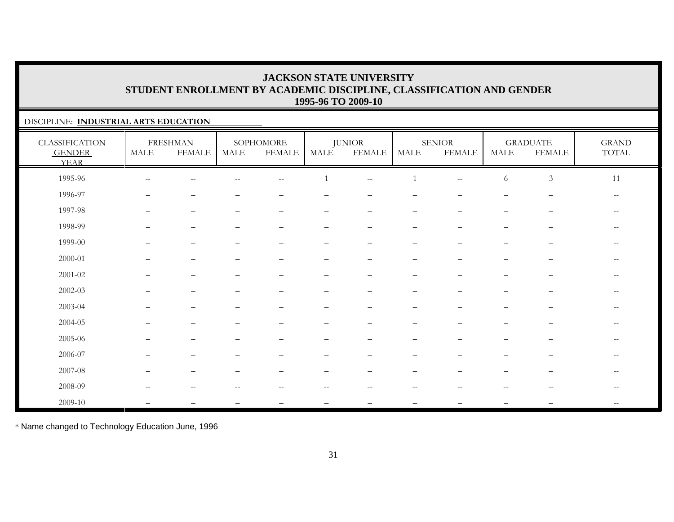### DISCIPLINE: **INDUSTRIAL ARTS EDUCATION**

| <b>CLASSIFICATION</b><br><b>GENDER</b><br><b>YEAR</b> | <b>MALE</b>  | <b>FRESHMAN</b><br><b>FEMALE</b> | MALE                     | SOPHOMORE<br><b>FEMALE</b>                          | <b>MALE</b>              | <b>JUNIOR</b><br><b>FEMALE</b> | <b>MALE</b>              | SENIOR<br><b>FEMALE</b>                             | <b>MALE</b>              | <b>GRADUATE</b><br><b>FEMALE</b>                      | $\operatorname{GRAND}$<br>$\operatorname{TOTAL}$    |
|-------------------------------------------------------|--------------|----------------------------------|--------------------------|-----------------------------------------------------|--------------------------|--------------------------------|--------------------------|-----------------------------------------------------|--------------------------|-------------------------------------------------------|-----------------------------------------------------|
| 1995-96                                               | $- \, -$     | $\qquad \qquad -$                |                          | $- -$                                               |                          | $- -$                          | 1                        | $\overline{\phantom{m}}$                            | 6                        | $\ensuremath{\mathfrak{Z}}$                           | 11                                                  |
| 1996-97                                               |              |                                  |                          |                                                     |                          |                                |                          |                                                     |                          | $\overline{\phantom{m}}$                              | $\overline{\phantom{m}}$                            |
| 1997-98                                               | $\equiv$     | $\overline{\phantom{m}}$         | $\overline{\phantom{0}}$ | $\overline{\phantom{0}}$                            | $\qquad \qquad -$        | $\overline{\phantom{0}}$       | $\qquad \qquad -$        | $\overline{\phantom{m}}$                            | $\overline{\phantom{0}}$ | $\overline{\phantom{a}}$                              | $\hspace{0.05cm} -\hspace{0.05cm} -\hspace{0.05cm}$ |
| 1998-99                                               |              | $\overline{\phantom{m}}$         |                          | $\qquad \qquad -$                                   | $\qquad \qquad -$        | $\overline{\phantom{m}}$       | $\qquad \qquad -$        | $\qquad \qquad -$                                   | $\qquad \qquad -$        | $\qquad \qquad -$                                     | $- -$                                               |
| 1999-00                                               |              | $\overline{\phantom{0}}$         |                          |                                                     | -                        |                                |                          |                                                     |                          |                                                       | --                                                  |
| $2000 - 01$                                           |              | $\overline{\phantom{0}}$         |                          |                                                     | $\overline{\phantom{0}}$ |                                |                          |                                                     |                          |                                                       | $\overline{\phantom{m}}$                            |
| $2001 - 02$                                           |              |                                  |                          |                                                     | $\qquad \qquad -$        |                                |                          |                                                     |                          |                                                       | $-$                                                 |
| $2002 - 03$                                           |              | $\overline{\phantom{0}}$         |                          | $\qquad \qquad -$                                   | $\qquad \qquad -$        | $\overline{\phantom{0}}$       |                          |                                                     | $\overline{\phantom{0}}$ | $\overline{\phantom{m}}$                              | $\overline{\phantom{m}}$                            |
| 2003-04                                               |              |                                  |                          |                                                     | -                        |                                | $\overline{\phantom{0}}$ |                                                     |                          | $\overline{\phantom{0}}$                              | --                                                  |
| 2004-05                                               |              |                                  |                          |                                                     |                          |                                |                          |                                                     |                          |                                                       | $-$                                                 |
| 2005-06                                               |              |                                  |                          |                                                     |                          |                                |                          |                                                     |                          |                                                       | $- -$                                               |
| 2006-07                                               |              | $\overline{\phantom{0}}$         |                          |                                                     |                          |                                | $\overline{\phantom{0}}$ |                                                     |                          | $\overline{\phantom{m}}$                              | $\overline{\phantom{m}}$                            |
| 2007-08                                               |              | $\overline{\phantom{0}}$         |                          |                                                     |                          |                                | $\overline{\phantom{0}}$ |                                                     |                          |                                                       |                                                     |
| 2008-09                                               | $\mathbf{u}$ | $\overline{\phantom{m}}$         | $-$                      | $\hspace{0.05cm} -\hspace{0.05cm} -\hspace{0.05cm}$ | $\qquad \qquad -$        | $- -$                          | $--$                     | $\hspace{0.05cm} -\hspace{0.05cm} -\hspace{0.05cm}$ | $- -$                    | $\hspace{0.05cm} - \hspace{0.05cm} - \hspace{0.05cm}$ | $- -$                                               |
| 2009-10                                               |              |                                  |                          |                                                     |                          |                                |                          |                                                     |                          |                                                       | $-$                                                 |

\* Name changed to Technology Education June, 1996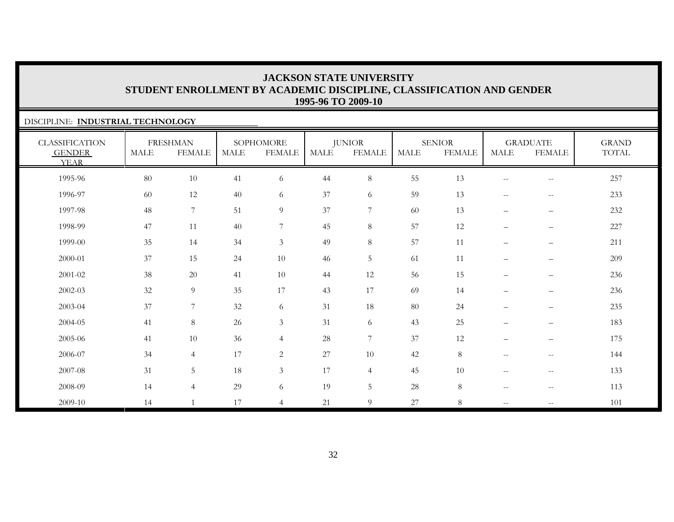### DISCIPLINE: **INDUSTRIAL TECHNOLOGY**

| <b>CLASSIFICATION</b><br><b>GENDER</b><br><b>YEAR</b> | <b>MALE</b> | <b>FRESHMAN</b><br><b>FEMALE</b> | <b>MALE</b> | SOPHOMORE<br><b>FEMALE</b> | MALE | <b>JUNIOR</b><br><b>FEMALE</b> | MALE | <b>SENIOR</b><br><b>FEMALE</b> | <b>MALE</b>              | <b>GRADUATE</b><br><b>FEMALE</b>                    | <b>GRAND</b><br>TOTAL |
|-------------------------------------------------------|-------------|----------------------------------|-------------|----------------------------|------|--------------------------------|------|--------------------------------|--------------------------|-----------------------------------------------------|-----------------------|
| 1995-96                                               | $80\,$      | 10                               | 41          | 6                          | 44   | $8\,$                          | 55   | 13                             | $\overline{\phantom{m}}$ | $\overline{\phantom{m}}$                            | 257                   |
| 1996-97                                               | 60          | 12                               | 40          | 6                          | 37   | 6                              | 59   | 13                             | $\overline{\phantom{m}}$ | $\hspace{0.05cm} -\hspace{0.05cm} -\hspace{0.05cm}$ | 233                   |
| 1997-98                                               | 48          | $\overline{7}$                   | 51          | $\overline{9}$             | 37   | $7\phantom{.0}$                | 60   | 13                             | $\overline{\phantom{m}}$ | $\overline{\phantom{m}}$                            | 232                   |
| 1998-99                                               | 47          | 11                               | 40          | $7\overline{ }$            | 45   | $8\,$                          | 57   | 12                             | $\qquad \qquad -$        | $\overline{\phantom{m}}$                            | 227                   |
| 1999-00                                               | 35          | 14                               | 34          | $\mathfrak{Z}$             | 49   | 8                              | 57   | 11                             | $\qquad \qquad -$        | —                                                   | 211                   |
| 2000-01                                               | 37          | 15                               | 24          | 10                         | 46   | $5\,$                          | 61   | 11                             | $\qquad \qquad -$        | -                                                   | 209                   |
| 2001-02                                               | 38          | 20                               | 41          | 10                         | 44   | 12                             | 56   | 15                             | $\qquad \qquad -$        | —                                                   | 236                   |
| 2002-03                                               | 32          | $9\,$                            | 35          | 17                         | 43   | 17                             | 69   | 14                             | $\overline{\phantom{0}}$ |                                                     | 236                   |
| 2003-04                                               | 37          | $\sqrt{ }$                       | 32          | 6                          | 31   | 18                             | 80   | 24                             | $\qquad \qquad -$        | —                                                   | 235                   |
| 2004-05                                               | 41          | $\,8\,$                          | $26\,$      | $\mathfrak{Z}$             | 31   | 6                              | 43   | 25                             | $\qquad \qquad -$        | -                                                   | 183                   |
| 2005-06                                               | 41          | 10                               | 36          | $\overline{4}$             | 28   | $\overline{7}$                 | 37   | 12                             | $\qquad \qquad -$        | —                                                   | 175                   |
| 2006-07                                               | 34          | $\overline{4}$                   | 17          | $\overline{2}$             | 27   | 10                             | 42   | 8                              | $\overline{\phantom{m}}$ | $\hspace{0.05cm} -\hspace{0.05cm} -\hspace{0.05cm}$ | 144                   |
| 2007-08                                               | 31          | $5\phantom{.0}$                  | 18          | $\mathfrak{Z}$             | 17   | $\overline{4}$                 | 45   | 10                             | $\qquad \qquad -$        | $\overline{\phantom{m}}$                            | 133                   |
| 2008-09                                               | 14          | $\overline{4}$                   | 29          | 6                          | 19   | 5                              | 28   | 8                              | $\qquad \qquad -$        | $- -$                                               | 113                   |
| 2009-10                                               | 14          |                                  | 17          | $\overline{4}$             | 21   | 9                              | 27   | 8                              | $- -$                    | $- -$                                               | 101                   |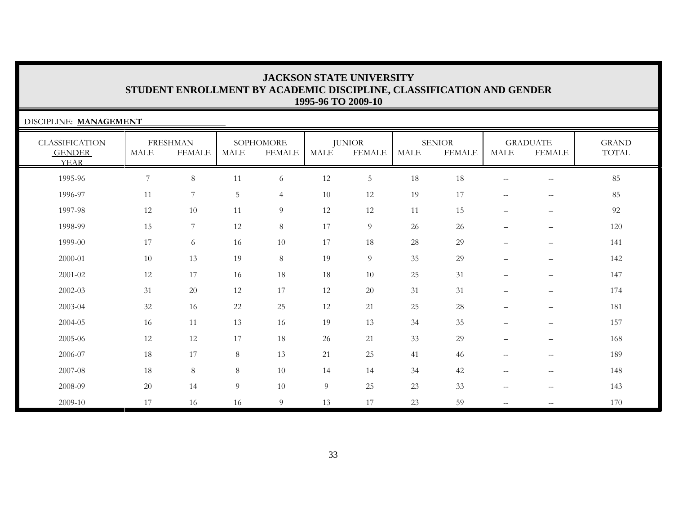| DISCIPLINE: MANAGEMENT                                |                |                                  |             |                            |             |                                |             |                                |                          |                                                     |                                        |
|-------------------------------------------------------|----------------|----------------------------------|-------------|----------------------------|-------------|--------------------------------|-------------|--------------------------------|--------------------------|-----------------------------------------------------|----------------------------------------|
| <b>CLASSIFICATION</b><br><b>GENDER</b><br><b>YEAR</b> | <b>MALE</b>    | <b>FRESHMAN</b><br><b>FEMALE</b> | <b>MALE</b> | SOPHOMORE<br><b>FEMALE</b> | <b>MALE</b> | <b>JUNIOR</b><br><b>FEMALE</b> | <b>MALE</b> | <b>SENIOR</b><br><b>FEMALE</b> | <b>MALE</b>              | <b>GRADUATE</b><br><b>FEMALE</b>                    | <b>GRAND</b><br>$\operatorname{TOTAL}$ |
| 1995-96                                               | $\overline{7}$ | $8\phantom{.}$                   | 11          | 6                          | 12          | $\overline{5}$                 | 18          | 18                             | $\mathbf{u}$             | $- -$                                               | 85                                     |
| 1996-97                                               | 11             | $7\phantom{.0}$                  | 5           | $\overline{4}$             | 10          | 12                             | 19          | 17                             | $--$                     | $\overline{\phantom{m}}$                            | 85                                     |
| 1997-98                                               | 12             | 10                               | 11          | 9                          | 12          | 12                             | 11          | 15                             | $\qquad \qquad -$        | $\qquad \qquad -$                                   | 92                                     |
| 1998-99                                               | 15             | $7\phantom{.0}$                  | 12          | $8\,$                      | 17          | 9                              | 26          | 26                             | $\overline{\phantom{m}}$ | $\qquad \qquad -$                                   | 120                                    |
| 1999-00                                               | 17             | 6                                | 16          | 10                         | 17          | 18                             | 28          | 29                             |                          | $\qquad \qquad -$                                   | 141                                    |
| 2000-01                                               | 10             | 13                               | 19          | $8\,$                      | 19          | $\overline{9}$                 | 35          | 29                             | $\overline{\phantom{0}}$ | $\overline{\phantom{m}}$                            | 142                                    |
| 2001-02                                               | 12             | 17                               | 16          | 18                         | 18          | 10                             | 25          | 31                             |                          | $\qquad \qquad -$                                   | 147                                    |
| 2002-03                                               | 31             | 20                               | 12          | 17                         | 12          | 20                             | 31          | 31                             |                          | $\qquad \qquad -$                                   | 174                                    |
| 2003-04                                               | 32             | 16                               | $22\,$      | 25                         | 12          | 21                             | 25          | 28                             |                          | $\qquad \qquad -$                                   | 181                                    |
| 2004-05                                               | 16             | 11                               | 13          | 16                         | 19          | 13                             | 34          | 35                             | $\qquad \qquad -$        | $\qquad \qquad -$                                   | 157                                    |
| 2005-06                                               | 12             | 12                               | 17          | 18                         | 26          | 21                             | 33          | 29                             |                          | $\qquad \qquad -$                                   | 168                                    |
| 2006-07                                               | 18             | 17                               | 8           | 13                         | 21          | 25                             | 41          | 46                             | $\mathbf{u}$             | $\mathbf{u}$                                        | 189                                    |
| 2007-08                                               | 18             | $8\,$                            | $8\,$       | 10                         | 14          | 14                             | 34          | 42                             | $\sim$ $-$               | $-\,-$                                              | 148                                    |
| 2008-09                                               | 20             | 14                               | 9           | 10                         | 9           | 25                             | 23          | 33                             | $--$                     | $\hspace{0.05cm} -\hspace{0.05cm} -\hspace{0.05cm}$ | 143                                    |
| 2009-10                                               | 17             | 16                               | 16          | 9                          | 13          | 17                             | 23          | 59                             | $--$                     | $\hspace{0.05cm} -\hspace{0.05cm} -\hspace{0.05cm}$ | 170                                    |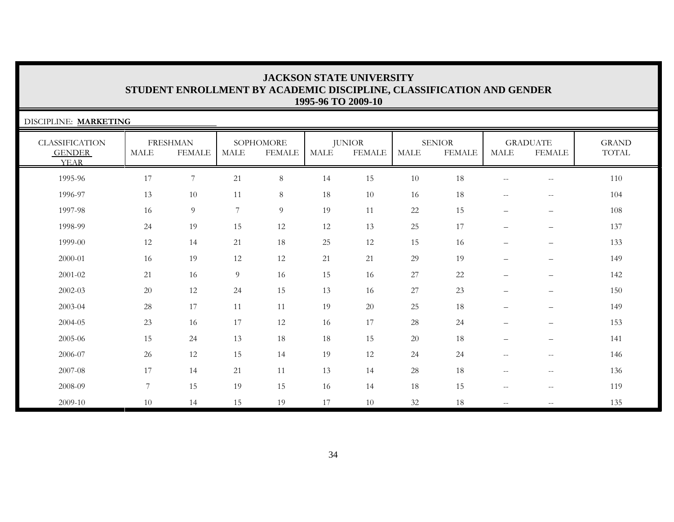| DISCIPLINE: MARKETING                                 |             |                                  |             |                            |             |                                |             |                                |                          |                                                     |                       |
|-------------------------------------------------------|-------------|----------------------------------|-------------|----------------------------|-------------|--------------------------------|-------------|--------------------------------|--------------------------|-----------------------------------------------------|-----------------------|
| <b>CLASSIFICATION</b><br><b>GENDER</b><br><b>YEAR</b> | <b>MALE</b> | <b>FRESHMAN</b><br><b>FEMALE</b> | <b>MALE</b> | SOPHOMORE<br><b>FEMALE</b> | <b>MALE</b> | <b>JUNIOR</b><br><b>FEMALE</b> | <b>MALE</b> | <b>SENIOR</b><br><b>FEMALE</b> | <b>MALE</b>              | <b>GRADUATE</b><br><b>FEMALE</b>                    | <b>GRAND</b><br>TOTAL |
| 1995-96                                               | 17          | $\overline{7}$                   | 21          | $\,8\,$                    | 14          | 15                             | 10          | 18                             | $\overline{\phantom{m}}$ | $\hspace{0.05cm} -\hspace{0.05cm} -\hspace{0.05cm}$ | 110                   |
| 1996-97                                               | 13          | 10                               | 11          | $8\,$                      | 18          | 10                             | 16          | 18                             | $--$                     | $\hspace{0.05cm} -\hspace{0.05cm} -\hspace{0.05cm}$ | 104                   |
| 1997-98                                               | 16          | $\overline{9}$                   | 7           | 9                          | 19          | 11                             | 22          | 15                             | $\qquad \qquad -$        | $\qquad \qquad -$                                   | 108                   |
| 1998-99                                               | 24          | 19                               | 15          | 12                         | 12          | 13                             | 25          | 17                             | $\qquad \qquad -$        | $\overline{\phantom{m}}$                            | 137                   |
| 1999-00                                               | 12          | 14                               | 21          | 18                         | 25          | 12                             | 15          | 16                             | $\qquad \qquad -$        | $\overline{\phantom{m}}$                            | 133                   |
| 2000-01                                               | 16          | 19                               | 12          | 12                         | 21          | 21                             | 29          | 19                             | $\overline{\phantom{0}}$ | $\overline{\phantom{0}}$                            | 149                   |
| 2001-02                                               | 21          | 16                               | 9           | 16                         | 15          | 16                             | 27          | 22                             | $\overline{\phantom{0}}$ | $\qquad \qquad -$                                   | 142                   |
| 2002-03                                               | 20          | 12                               | 24          | 15                         | 13          | 16                             | 27          | 23                             |                          |                                                     | 150                   |
| 2003-04                                               | 28          | 17                               | 11          | 11                         | 19          | 20                             | 25          | 18                             |                          | $\qquad \qquad -$                                   | 149                   |
| 2004-05                                               | 23          | 16                               | 17          | 12                         | 16          | 17                             | 28          | 24                             | $\overline{\phantom{m}}$ | $\qquad \qquad -$                                   | 153                   |
| 2005-06                                               | 15          | 24                               | 13          | 18                         | 18          | 15                             | 20          | 18                             | $\qquad \qquad -$        | $\qquad \qquad -$                                   | 141                   |
| 2006-07                                               | 26          | 12                               | 15          | 14                         | 19          | 12                             | 24          | 24                             | $--$                     | $\hspace{0.05cm}$ – $\hspace{0.05cm}$               | 146                   |
| 2007-08                                               | 17          | 14                               | 21          | 11                         | 13          | 14                             | 28          | 18                             | $\overline{\phantom{m}}$ | $\hspace{0.05cm} -\hspace{0.05cm} -\hspace{0.05cm}$ | 136                   |
| 2008-09                                               | 7           | 15                               | 19          | 15                         | 16          | 14                             | 18          | 15                             | $\mathbf{u}$             | $\hspace{0.05cm} -\hspace{0.05cm} -\hspace{0.05cm}$ | 119                   |
| 2009-10                                               | 10          | 14                               | 15          | 19                         | 17          | 10                             | 32          | 18                             | $\overline{\phantom{m}}$ | $\overline{\phantom{m}}$                            | 135                   |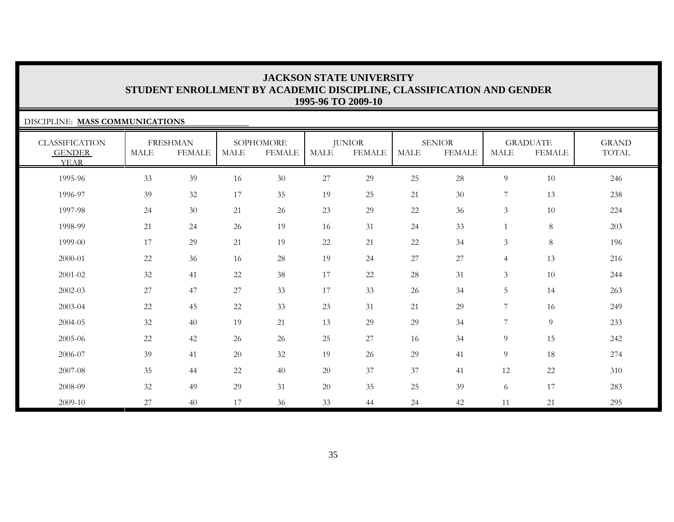### DISCIPLINE: **MASS COMMUNICATIONS**

| <b>CLASSIFICATION</b><br><b>GENDER</b><br><b>YEAR</b> | MALE   | <b>FRESHMAN</b><br><b>FEMALE</b> | <b>MALE</b> | SOPHOMORE<br><b>FEMALE</b> | MALE   | <b>JUNIOR</b><br><b>FEMALE</b> | MALE   | <b>SENIOR</b><br><b>FEMALE</b> | <b>MALE</b>    | <b>GRADUATE</b><br><b>FEMALE</b> | <b>GRAND</b><br>TOTAL |
|-------------------------------------------------------|--------|----------------------------------|-------------|----------------------------|--------|--------------------------------|--------|--------------------------------|----------------|----------------------------------|-----------------------|
| 1995-96                                               | 33     | 39                               | 16          | $30\,$                     | 27     | 29                             | $25\,$ | $28\,$                         | 9              | $10\,$                           | 246                   |
| 1996-97                                               | 39     | 32                               | 17          | 35                         | 19     | 25                             | 21     | 30                             | 7              | 13                               | 238                   |
| 1997-98                                               | 24     | 30                               | 21          | 26                         | 23     | 29                             | 22     | 36                             | 3              | 10                               | 224                   |
| 1998-99                                               | 21     | 24                               | 26          | 19                         | 16     | 31                             | 24     | 33                             |                | $8\,$                            | 203                   |
| 1999-00                                               | 17     | 29                               | 21          | 19                         | $22\,$ | 21                             | 22     | 34                             | 3              | $8\,$                            | 196                   |
| 2000-01                                               | 22     | 36                               | 16          | 28                         | 19     | 24                             | 27     | 27                             | $\overline{4}$ | 13                               | 216                   |
| $2001 - 02$                                           | 32     | 41                               | 22          | 38                         | 17     | $22\,$                         | $28\,$ | 31                             | 3              | 10                               | 244                   |
| $2002 - 03$                                           | 27     | 47                               | 27          | 33                         | 17     | 33                             | 26     | 34                             | $\overline{5}$ | 14                               | 263                   |
| 2003-04                                               | $22\,$ | 45                               | 22          | 33                         | 23     | 31                             | 21     | 29                             | 7              | 16                               | 249                   |
| 2004-05                                               | 32     | 40                               | 19          | 21                         | 13     | 29                             | 29     | 34                             | $\overline{7}$ | $\boldsymbol{9}$                 | 233                   |
| 2005-06                                               | 22     | 42                               | 26          | 26                         | 25     | 27                             | 16     | 34                             | 9              | 15                               | 242                   |
| 2006-07                                               | 39     | 41                               | 20          | 32                         | 19     | 26                             | 29     | 41                             | 9              | 18                               | 274                   |
| 2007-08                                               | 35     | 44                               | 22          | 40                         | 20     | 37                             | 37     | 41                             | 12             | 22                               | 310                   |
| 2008-09                                               | 32     | 49                               | 29          | 31                         | $20\,$ | 35                             | 25     | 39                             | 6              | 17                               | 283                   |
| 2009-10                                               | 27     | 40                               | 17          | 36                         | 33     | 44                             | 24     | 42                             | 11             | 21                               | 295                   |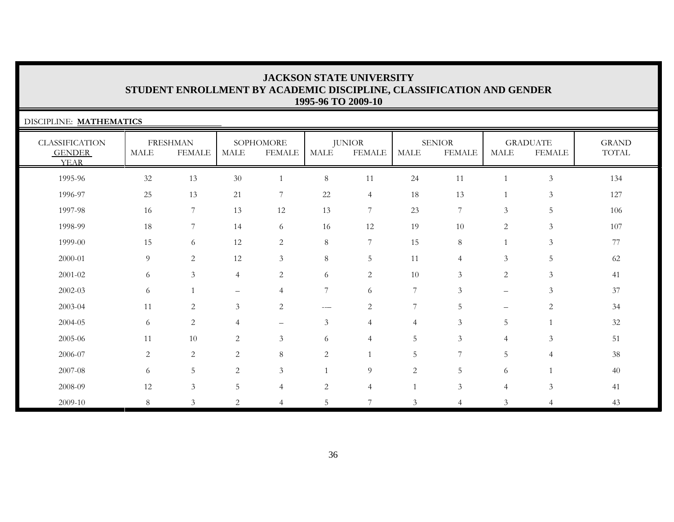| DISCIPLINE: MATHEMATICS                               |                |                                  |                          |                            |                |                                |                |                                |                          |                                  |                       |
|-------------------------------------------------------|----------------|----------------------------------|--------------------------|----------------------------|----------------|--------------------------------|----------------|--------------------------------|--------------------------|----------------------------------|-----------------------|
| <b>CLASSIFICATION</b><br><b>GENDER</b><br><b>YEAR</b> | <b>MALE</b>    | <b>FRESHMAN</b><br><b>FEMALE</b> | $\operatorname{MALE}$    | SOPHOMORE<br><b>FEMALE</b> | MALE           | <b>JUNIOR</b><br><b>FEMALE</b> | MALE           | <b>SENIOR</b><br><b>FEMALE</b> | MALE                     | <b>GRADUATE</b><br><b>FEMALE</b> | <b>GRAND</b><br>TOTAL |
| 1995-96                                               | $32\,$         | 13                               | 30                       | $\overline{1}$             | 8              | 11                             | 24             | 11                             | $\overline{1}$           | $\mathfrak{Z}$                   | 134                   |
| 1996-97                                               | 25             | 13                               | 21                       | $\overline{7}$             | 22             | $\overline{4}$                 | 18             | 13                             |                          | 3                                | 127                   |
| 1997-98                                               | 16             | $\tau$                           | 13                       | 12                         | 13             | $\overline{7}$                 | 23             | $\overline{7}$                 | 3                        | 5                                | 106                   |
| 1998-99                                               | 18             | $7\phantom{.0}$                  | 14                       | 6                          | 16             | 12                             | 19             | 10                             | $\overline{c}$           | 3                                | 107                   |
| 1999-00                                               | 15             | 6                                | 12                       | $\overline{c}$             | 8              | $\overline{7}$                 | 15             | 8                              |                          | $\mathfrak{Z}$                   | 77                    |
| 2000-01                                               | 9              | $\overline{c}$                   | 12                       | $\mathfrak{Z}$             | 8              | 5                              | 11             | $\overline{4}$                 | $\mathfrak{Z}$           | 5                                | 62                    |
| 2001-02                                               | 6              | 3                                | $\overline{4}$           | $\overline{c}$             | 6              | $\overline{c}$                 | 10             | 3                              | $\overline{c}$           | $\mathfrak{Z}$                   | 41                    |
| 2002-03                                               | 6              | $\mathbf{1}$                     | $\overline{\phantom{0}}$ | $\overline{4}$             | 7              | 6                              | 7              | 3                              | $\overline{\phantom{0}}$ | 3                                | 37                    |
| 2003-04                                               | 11             | 2                                | $\mathfrak{Z}$           | $\overline{2}$             | ----           | $\overline{c}$                 | 7              | 5                              | $\overline{\phantom{0}}$ | $\overline{2}$                   | 34                    |
| 2004-05                                               | 6              | 2                                | $\overline{4}$           | $\qquad \qquad -$          | $\mathfrak{Z}$ | $\overline{4}$                 | $\overline{4}$ | 3                              | 5                        |                                  | $32\,$                |
| 2005-06                                               | 11             | 10                               | $\overline{c}$           | $\mathfrak{Z}$             | 6              | $\overline{4}$                 | 5              | 3                              | $\overline{4}$           | $\mathfrak{Z}$                   | 51                    |
| 2006-07                                               | $\overline{2}$ | $\mathbf{2}$                     | $\overline{c}$           | 8                          | $\mathbf{2}$   |                                | 5              | 7                              | 5                        | $\overline{4}$                   | 38                    |
| 2007-08                                               | 6              | 5                                | 2                        | $\mathfrak{Z}$             |                | 9                              | $\mathbf{2}$   | 5                              | 6                        |                                  | 40                    |
| 2008-09                                               | 12             | $\mathfrak{Z}$                   | 5                        | 4                          | $\overline{c}$ | 4                              |                | 3                              | $\overline{4}$           | $\mathfrak{Z}$                   | 41                    |
| 2009-10                                               | 8              | $\mathfrak{Z}$                   | $\mathbf{2}$             | 4                          | 5              | 7                              | 3              | $\overline{4}$                 | $\mathfrak{Z}$           | $\overline{4}$                   | 43                    |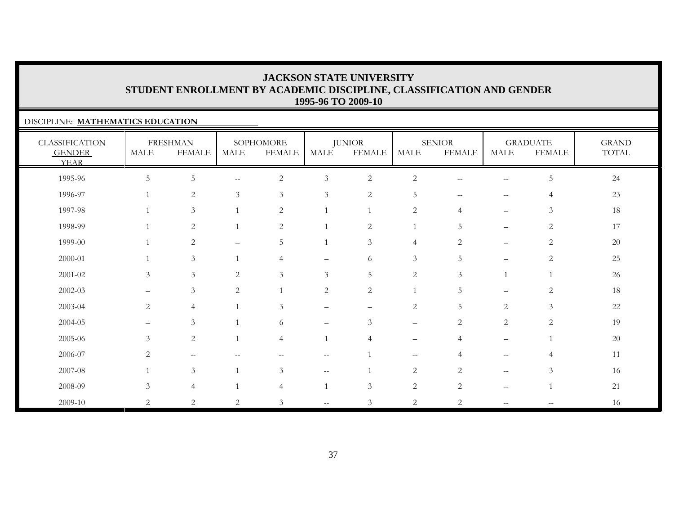### DISCIPLINE: **MATHEMATICS EDUCATION**

| <b>CLASSIFICATION</b><br><b>GENDER</b><br><b>YEAR</b> | MALE                     | <b>FRESHMAN</b><br><b>FEMALE</b>                    | <b>MALE</b>                                         | SOPHOMORE<br><b>FEMALE</b> | <b>MALE</b>    | <b>JUNIOR</b><br><b>FEMALE</b> | <b>MALE</b>       | <b>SENIOR</b><br><b>FEMALE</b> | <b>MALE</b>       | <b>GRADUATE</b><br><b>FEMALE</b> | <b>GRAND</b><br>TOTAL |
|-------------------------------------------------------|--------------------------|-----------------------------------------------------|-----------------------------------------------------|----------------------------|----------------|--------------------------------|-------------------|--------------------------------|-------------------|----------------------------------|-----------------------|
| 1995-96                                               | $5\phantom{.0}$          | $\mathbf 5$                                         | $\hspace{0.05cm} -\hspace{0.05cm} -\hspace{0.05cm}$ | $\sqrt{2}$                 | $\mathfrak{Z}$ | $\sqrt{2}$                     | $\mathbf{2}$      | --                             | $--$              | $\mathsf S$                      | 24                    |
| 1996-97                                               |                          | $\sqrt{2}$                                          | 3                                                   | $\mathfrak{Z}$             | $\mathfrak{Z}$ | $\sqrt{2}$                     | $\overline{5}$    | $\qquad \qquad -$              | $--$              | $\overline{4}$                   | 23                    |
| 1997-98                                               |                          | $\mathfrak{Z}$                                      |                                                     | 2                          |                |                                | $\overline{c}$    | 4                              | $\qquad \qquad -$ | $\mathfrak{Z}$                   | 18                    |
| 1998-99                                               | $\mathbf{1}$             | $\sqrt{2}$                                          | $\overline{1}$                                      | 2                          |                | $\overline{2}$                 | 1                 | 5                              | $\qquad \qquad -$ | $\sqrt{2}$                       | 17                    |
| 1999-00                                               |                          | $\sqrt{2}$                                          |                                                     | 5                          |                | 3                              | $\overline{4}$    | $\overline{2}$                 | $\qquad \qquad -$ | $\sqrt{2}$                       | 20                    |
| 2000-01                                               |                          | $\mathfrak{Z}$                                      |                                                     | $\overline{4}$             |                | 6                              | $\mathfrak{Z}$    | 5                              | $\equiv$          | $\mathbf{2}$                     | $25\,$                |
| $2001 - 02$                                           | 3                        | $\mathfrak{Z}$                                      | 2                                                   | 3                          | 3              | 5                              | $\mathbf{2}$      | $\mathfrak{Z}$                 |                   |                                  | 26                    |
| $2002 - 03$                                           |                          | $\mathfrak{Z}$                                      | 2                                                   |                            | $\overline{c}$ | $\sqrt{2}$                     | $\mathbf{1}$      | 5                              |                   | $\overline{2}$                   | 18                    |
| 2003-04                                               | 2                        | $\overline{4}$                                      |                                                     | $\mathfrak{Z}$             |                |                                | $\mathbf{2}$      | $\mathbf 5$                    | 2                 | $\mathfrak{Z}$                   | 22                    |
| 2004-05                                               | $\overline{\phantom{0}}$ | $\mathfrak{Z}$                                      |                                                     | 6                          |                | 3                              |                   | $\sqrt{2}$                     | $\overline{2}$    | $\mathbf{2}$                     | 19                    |
| 2005-06                                               | 3                        | 2                                                   |                                                     | $\overline{4}$             |                | $\overline{4}$                 | $\qquad \qquad -$ | $\overline{4}$                 | $\qquad \qquad -$ |                                  | 20                    |
| 2006-07                                               | 2                        | $\hspace{0.05cm} -\hspace{0.05cm} -\hspace{0.05cm}$ |                                                     | --                         | $- -$          |                                | $- -$             | $\overline{4}$                 | $\mathbf{u}$      | 4                                | 11                    |
| 2007-08                                               | $\mathbf{1}$             | $\mathfrak{Z}$                                      |                                                     | 3                          | $- -$          |                                | 2                 | $\overline{2}$                 | $--$              | 3                                | 16                    |
| 2008-09                                               | 3                        | $\overline{4}$                                      |                                                     | $\overline{4}$             |                | $\mathfrak{Z}$                 | $\sqrt{2}$        | 2                              | $--$              |                                  | 21                    |
| 2009-10                                               | $\overline{2}$           | $\overline{c}$                                      | 2                                                   | $\mathfrak{Z}$             | $- -$          | $\mathfrak{Z}$                 | 2                 | $\overline{2}$                 | $--$              | $\overline{\phantom{m}}$         | 16                    |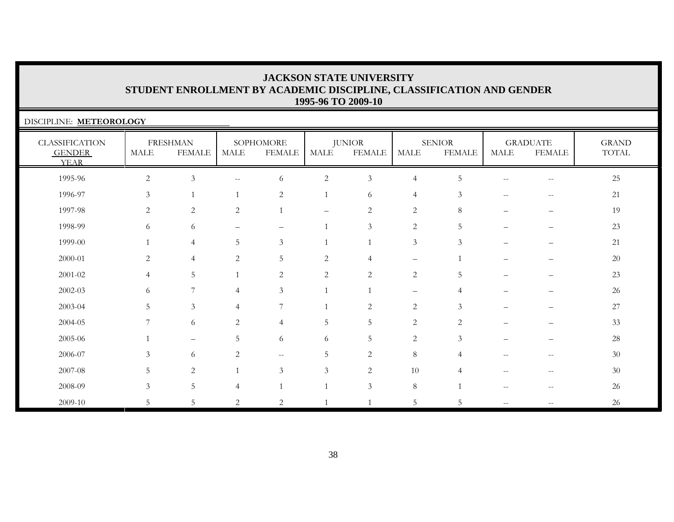| DISCIPLINE: METEOROLOGY                               |                |                                  |                          |                            |                |                                |                |                                |      |                                  |                                        |
|-------------------------------------------------------|----------------|----------------------------------|--------------------------|----------------------------|----------------|--------------------------------|----------------|--------------------------------|------|----------------------------------|----------------------------------------|
| <b>CLASSIFICATION</b><br><b>GENDER</b><br><b>YEAR</b> | MALE           | <b>FRESHMAN</b><br><b>FEMALE</b> | MALE                     | SOPHOMORE<br><b>FEMALE</b> | MALE           | <b>JUNIOR</b><br><b>FEMALE</b> | MALE           | <b>SENIOR</b><br><b>FEMALE</b> | MALE | <b>GRADUATE</b><br><b>FEMALE</b> | <b>GRAND</b><br>$\operatorname{TOTAL}$ |
| 1995-96                                               | $\sqrt{2}$     | 3                                | $\overline{\phantom{a}}$ | 6                          | $\overline{c}$ | 3                              | $\overline{4}$ | 5                              | $-$  | $-\,-$                           | 25                                     |
| 1996-97                                               | 3              |                                  |                          | 2                          | $\mathbf{1}$   | 6                              | $\overline{4}$ | 3                              | $-$  | $ -$                             | 21                                     |
| 1997-98                                               | 2              | 2                                | 2                        |                            |                | $\overline{c}$                 | 2              | 8                              |      |                                  | 19                                     |
| 1998-99                                               | 6              | 6                                |                          | $\overline{\phantom{0}}$   | $\mathbf{1}$   | $\mathfrak{Z}$                 | 2              | 5                              |      |                                  | 23                                     |
| 1999-00                                               |                | $\overline{4}$                   | 5                        | $\mathfrak{Z}$             | $\overline{1}$ | $\mathbf{1}$                   | $\mathfrak{Z}$ | 3                              |      |                                  | 21                                     |
| 2000-01                                               | 2              | $\overline{4}$                   | $\overline{2}$           | 5                          | $\mathbf{2}$   | $\overline{4}$                 | -              |                                |      |                                  | 20                                     |
| 2001-02                                               | $\overline{4}$ | 5                                |                          | 2                          | $\overline{2}$ | $\overline{2}$                 | 2              | 5                              |      |                                  | 23                                     |
| 2002-03                                               | 6              |                                  | 4                        | 3                          | $\mathbf{1}$   |                                |                | 4                              |      |                                  | 26                                     |
| 2003-04                                               | 5              | 3                                | 4                        | 7                          |                | 2                              | 2              | $\mathcal{Z}$                  |      |                                  | 27                                     |
| 2004-05                                               |                | 6                                | 2                        | $\overline{4}$             | 5              | 5                              | 2              | 2                              |      |                                  | 33                                     |
| 2005-06                                               |                |                                  | 5                        | 6                          | 6              | 5                              | $\mathbf{2}$   | 3                              |      |                                  | 28                                     |
| 2006-07                                               | $\mathcal{Z}$  | 6                                | 2                        | $\overline{\phantom{a}}$   | 5              | $\overline{2}$                 | $\,8\,$        | Δ                              |      | --                               | 30                                     |
| 2007-08                                               | 5              | 2                                |                          | 3                          | 3              | 2                              | 10             |                                |      |                                  | 30                                     |
| 2008-09                                               | 3              | 5                                | 4                        |                            |                | $\mathfrak{Z}$                 | $\,8\,$        |                                |      |                                  | 26                                     |
| 2009-10                                               | .5             | 5                                | 2                        | 2                          |                | $\mathbf{1}$                   | 5              | 5                              | $-$  |                                  | 26                                     |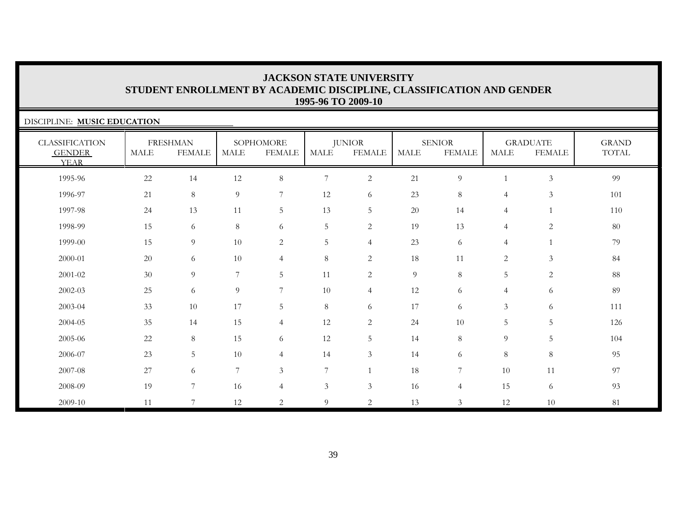| DISCIPLINE: MUSIC EDUCATION                           |      |                                  |             |                            |                             |                                |      |                                |                |                                  |                                        |
|-------------------------------------------------------|------|----------------------------------|-------------|----------------------------|-----------------------------|--------------------------------|------|--------------------------------|----------------|----------------------------------|----------------------------------------|
| <b>CLASSIFICATION</b><br><b>GENDER</b><br><b>YEAR</b> | MALE | <b>FRESHMAN</b><br><b>FEMALE</b> | <b>MALE</b> | SOPHOMORE<br><b>FEMALE</b> | <b>MALE</b>                 | <b>JUNIOR</b><br><b>FEMALE</b> | MALE | <b>SENIOR</b><br><b>FEMALE</b> | <b>MALE</b>    | <b>GRADUATE</b><br><b>FEMALE</b> | <b>GRAND</b><br>$\operatorname{TOTAL}$ |
| 1995-96                                               | 22   | 14                               | 12          | $\,8\,$                    | 7                           | $\sqrt{2}$                     | 21   | $\overline{9}$                 | 1              | $\mathfrak{Z}$                   | 99                                     |
| 1996-97                                               | 21   | 8                                | 9           | $7\phantom{.0}$            | 12                          | 6                              | 23   | 8                              | $\overline{4}$ | $\mathfrak{Z}$                   | 101                                    |
| 1997-98                                               | 24   | 13                               | 11          | 5                          | 13                          | 5                              | 20   | 14                             | $\overline{4}$ |                                  | 110                                    |
| 1998-99                                               | 15   | 6                                | $8\,$       | 6                          | $\overline{5}$              | $\overline{2}$                 | 19   | 13                             | $\overline{4}$ | $\overline{2}$                   | 80                                     |
| 1999-00                                               | 15   | $\overline{9}$                   | 10          | 2                          | 5                           | $\overline{4}$                 | 23   | 6                              | $\overline{4}$ |                                  | 79                                     |
| 2000-01                                               | 20   | 6                                | 10          | $\overline{4}$             | 8                           | 2                              | 18   | 11                             | 2              | $\mathfrak{Z}$                   | 84                                     |
| 2001-02                                               | 30   | 9                                | 7           | 5                          | 11                          | 2                              | 9    | 8                              | 5              | $\overline{c}$                   | 88                                     |
| 2002-03                                               | 25   | 6                                | 9           | $7\phantom{.0}$            | 10                          | $\overline{4}$                 | 12   | 6                              | $\overline{4}$ | 6                                | 89                                     |
| 2003-04                                               | 33   | 10                               | 17          | 5                          | $8\,$                       | 6                              | 17   | 6                              | 3              | 6                                | 111                                    |
| 2004-05                                               | 35   | 14                               | 15          | $\overline{4}$             | 12                          | 2                              | 24   | 10                             | 5              | 5                                | 126                                    |
| 2005-06                                               | 22   | 8                                | 15          | 6                          | 12                          | 5                              | 14   | 8                              | 9              | 5                                | 104                                    |
| 2006-07                                               | 23   | 5                                | 10          | $\overline{4}$             | 14                          | 3                              | 14   | 6                              | 8              | 8                                | 95                                     |
| 2007-08                                               | 27   | 6                                | 7           | 3                          | 7                           |                                | 18   | 7                              | 10             | 11                               | 97                                     |
| 2008-09                                               | 19   | 7                                | 16          | $\overline{4}$             | $\ensuremath{\mathfrak{Z}}$ | $\mathfrak{Z}$                 | 16   | $\overline{4}$                 | 15             | 6                                | 93                                     |
| 2009-10                                               | 11   | $\overline{7}$                   | 12          | 2                          | 9                           | 2                              | 13   | 3                              | 12             | 10                               | 81                                     |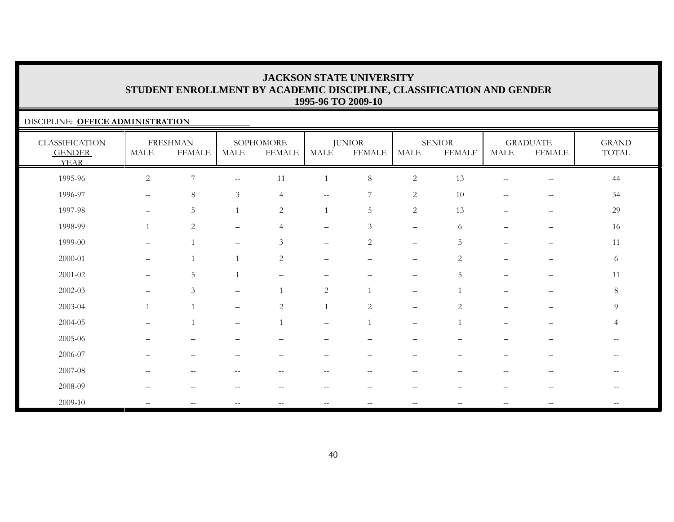### DISCIPLINE: **OFFICE ADMINISTRATION**

| <b>CLASSIFICATION</b><br><b>GENDER</b><br><b>YEAR</b> | $\operatorname{MALE}$                               | <b>FRESHMAN</b><br><b>FEMALE</b> | MALE                                                | SOPHOMORE<br><b>FEMALE</b> | <b>MALE</b>              | <b>JUNIOR</b><br><b>FEMALE</b> | $\operatorname{MALE}$                                 | <b>SENIOR</b><br><b>FEMALE</b>                      | <b>MALE</b>              | <b>GRADUATE</b><br><b>FEMALE</b> | <b>GRAND</b><br>TOTAL    |
|-------------------------------------------------------|-----------------------------------------------------|----------------------------------|-----------------------------------------------------|----------------------------|--------------------------|--------------------------------|-------------------------------------------------------|-----------------------------------------------------|--------------------------|----------------------------------|--------------------------|
| 1995-96                                               | $\overline{2}$                                      | $\boldsymbol{7}$                 | $\hspace{0.05cm} -\hspace{0.05cm} -\hspace{0.05cm}$ | 11                         |                          | $\,8\,$                        | $\sqrt{2}$                                            | 13                                                  | $\qquad \qquad -$        | $\overline{\phantom{m}}$         | 44                       |
| 1996-97                                               | $- -$                                               | $\,8\,$                          | 3                                                   | $\overline{4}$             | $\overline{\phantom{m}}$ | 7                              | $\sqrt{2}$                                            | 10                                                  | $\overline{\phantom{m}}$ | $-\,-$                           | 34                       |
| 1997-98                                               | $\overline{\phantom{m}}$                            | $5\,$                            |                                                     | $\overline{2}$             |                          | $\mathbf 5$                    | $\overline{2}$                                        | 13                                                  |                          | $\overline{\phantom{m}}$         | 29                       |
| 1998-99                                               | $\mathbf{1}$                                        | $\overline{c}$                   | $\qquad \qquad -$                                   | $\overline{4}$             | $\overline{\phantom{0}}$ | 3                              | $\overline{\phantom{m}}$                              | 6                                                   |                          | $\qquad \qquad -$                | 16                       |
| 1999-00                                               | $\overline{\phantom{0}}$                            | $\overline{1}$                   | $\qquad \qquad -$                                   | $\mathfrak{Z}$             | $\overline{\phantom{0}}$ | $\overline{c}$                 | $\overline{\phantom{m}}$                              | 5                                                   | $\overline{\phantom{0}}$ |                                  | 11                       |
| 2000-01                                               | $\qquad \qquad -$                                   | $\overline{1}$                   |                                                     | 2                          | $\qquad \qquad -$        |                                | $\qquad \qquad -$                                     | 2                                                   | -                        |                                  | 6                        |
| $2001 - 02$                                           | $\overline{\phantom{0}}$                            | 5                                |                                                     | $\overline{\phantom{0}}$   |                          |                                | $\overline{\phantom{0}}$                              | 5                                                   | $\overline{\phantom{0}}$ | $\overline{\phantom{0}}$         | 11                       |
| 2002-03                                               | $\qquad \qquad -$                                   | 3                                |                                                     |                            | $\overline{2}$           |                                | $\overline{\phantom{m}}$                              |                                                     | $\equiv$                 | —                                | $8\phantom{.}$           |
| 2003-04                                               | $\mathbf{1}$                                        | $\overline{1}$                   | $\overline{\phantom{0}}$                            | 2                          |                          | $\overline{2}$                 | $\overline{\phantom{m}}$                              | $\overline{2}$                                      | $\equiv$                 | $\qquad \qquad -$                | $\overline{9}$           |
| 2004-05                                               | $\qquad \qquad -$                                   | $\mathbf{1}$                     | $\qquad \qquad -$                                   | $\overline{1}$             | $\qquad \qquad -$        |                                | $\overline{\phantom{m}}$                              | $\mathbf{1}$                                        | -                        | -                                | $\overline{4}$           |
| 2005-06                                               |                                                     |                                  |                                                     |                            |                          |                                |                                                       |                                                     |                          |                                  |                          |
| 2006-07                                               |                                                     | $\overline{\phantom{0}}$         |                                                     |                            |                          |                                | -                                                     |                                                     |                          | —                                | $\qquad \qquad -$        |
| 2007-08                                               | $\hspace{0.05cm} -\hspace{0.05cm} -\hspace{0.05cm}$ | $\sim$ $-$                       | $\hspace{0.05cm} -\hspace{0.05cm} -\hspace{0.05cm}$ | $\overline{\phantom{m}}$   | $- -$                    | $- -$                          | $\hspace{0.05cm} -\hspace{0.05cm} -\hspace{0.05cm}$   | $\hspace{0.05cm} -\hspace{0.05cm} -\hspace{0.05cm}$ | $\overline{\phantom{m}}$ | $-\,-$                           | $- -$                    |
| 2008-09                                               | --                                                  | --                               |                                                     |                            | $- -$                    | $-$                            | $\hspace{0.05cm} - \hspace{0.05cm} - \hspace{0.05cm}$ |                                                     | $- -$                    | $-$                              | $\overline{\phantom{m}}$ |
| 2009-10                                               |                                                     |                                  |                                                     |                            |                          |                                |                                                       |                                                     |                          |                                  |                          |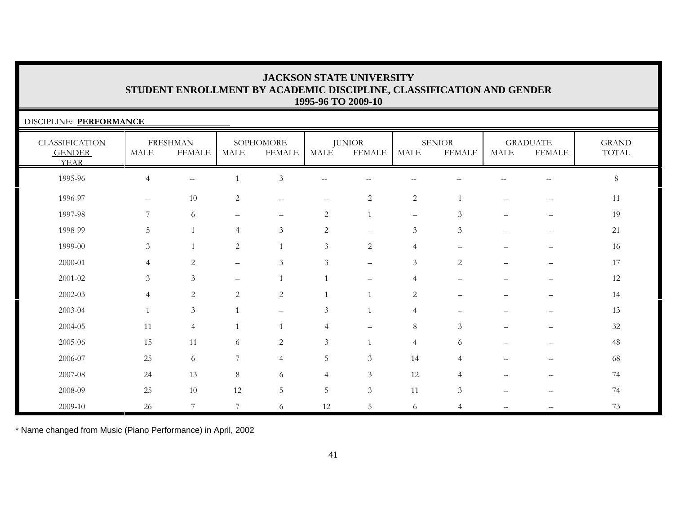| DISCIPLINE: PERFORMANCE                               |                                                     |                                  |                          |                            |                |                                |                          |                                |                    |                                  |                       |
|-------------------------------------------------------|-----------------------------------------------------|----------------------------------|--------------------------|----------------------------|----------------|--------------------------------|--------------------------|--------------------------------|--------------------|----------------------------------|-----------------------|
| <b>CLASSIFICATION</b><br><b>GENDER</b><br><b>YEAR</b> | <b>MALE</b>                                         | <b>FRESHMAN</b><br><b>FEMALE</b> | <b>MALE</b>              | SOPHOMORE<br><b>FEMALE</b> | <b>MALE</b>    | <b>JUNIOR</b><br><b>FEMALE</b> | <b>MALE</b>              | <b>SENIOR</b><br><b>FEMALE</b> | MALE               | <b>GRADUATE</b><br><b>FEMALE</b> | <b>GRAND</b><br>TOTAL |
| 1995-96                                               | 4                                                   | $- -$                            |                          | $\mathfrak{Z}$             |                |                                |                          |                                |                    |                                  | $8\phantom{.}$        |
| 1996-97                                               | $\hspace{0.05cm} -\hspace{0.05cm} -\hspace{0.05cm}$ | 10                               | $\overline{2}$           | $\overline{\phantom{m}}$   | $- -$          | $\overline{2}$                 | $\overline{2}$           | $\overline{1}$                 |                    | $\qquad \qquad -$                | 11                    |
| 1997-98                                               | $\overline{7}$                                      | 6                                |                          | $\overline{\phantom{0}}$   | $\overline{2}$ |                                | $\overline{\phantom{0}}$ | 3                              |                    |                                  | 19                    |
| 1998-99                                               | 5                                                   |                                  | $\overline{4}$           | $\mathfrak{Z}$             | 2              | $=$                            | 3                        | 3                              |                    |                                  | 21                    |
| 1999-00                                               | 3                                                   |                                  | $\overline{c}$           |                            | $\mathfrak{Z}$ | $\overline{2}$                 | $\overline{4}$           |                                |                    |                                  | 16                    |
| 2000-01                                               | 4                                                   | $\overline{2}$                   | $\overline{\phantom{0}}$ | $\mathfrak{Z}$             | $\mathfrak{Z}$ | $\qquad \qquad -$              | $\mathfrak{Z}$           | 2                              |                    |                                  | 17                    |
| 2001-02                                               | 3                                                   | $\mathfrak{Z}$                   |                          |                            |                |                                | $\overline{4}$           |                                |                    |                                  | 12                    |
| $2002 - 03$                                           | $\overline{4}$                                      | $\overline{c}$                   | $\overline{2}$           | $\sqrt{2}$                 |                |                                | 2                        |                                |                    |                                  | 14                    |
| 2003-04                                               |                                                     | $\mathfrak{Z}$                   |                          | $\overline{\phantom{0}}$   | 3              |                                | $\overline{4}$           |                                |                    |                                  | 13                    |
| 2004-05                                               | 11                                                  | $\overline{4}$                   |                          |                            | $\overline{4}$ |                                | $8\phantom{1}$           | 3                              |                    |                                  | $32\,$                |
| 2005-06                                               | 15                                                  | $11\,$                           | 6                        | 2                          | $\mathfrak{Z}$ |                                | $\overline{4}$           | 6                              |                    |                                  | 48                    |
| 2006-07                                               | 25                                                  | 6                                | 7                        | $\overline{4}$             | 5              | $\mathfrak{Z}$                 | 14                       | 4                              |                    |                                  | 68                    |
| 2007-08                                               | 24                                                  | 13                               | 8                        | 6                          | $\overline{4}$ | $\mathfrak{Z}$                 | 12                       | $\overline{4}$                 | $-$                | $\qquad \qquad -$                | 74                    |
| 2008-09                                               | 25                                                  | 10                               | 12                       | $5\,$                      | $5\phantom{.}$ | $\mathfrak{Z}$                 | 11                       | $\mathfrak{Z}$                 | $\qquad \qquad -$  | $-$                              | 74                    |
| 2009-10                                               | 26                                                  | $\overline{7}$                   | 7                        | 6                          | 12             | 5                              | 6                        | 4                              | $\mathrel{{-}{-}}$ | $- -$                            | 73                    |

\* Name changed from Music (Piano Performance) in April, 2002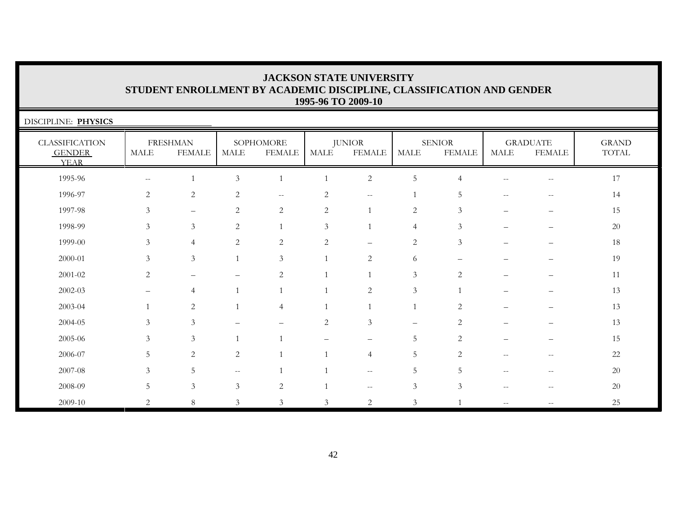| DISCIPLINE: PHYSICS                                   |                           |                                  |                          |                            |                |                                |                |                                |                          |                                                     |                       |
|-------------------------------------------------------|---------------------------|----------------------------------|--------------------------|----------------------------|----------------|--------------------------------|----------------|--------------------------------|--------------------------|-----------------------------------------------------|-----------------------|
| <b>CLASSIFICATION</b><br><b>GENDER</b><br><b>YEAR</b> | <b>MALE</b>               | <b>FRESHMAN</b><br><b>FEMALE</b> | MALE                     | SOPHOMORE<br><b>FEMALE</b> | <b>MALE</b>    | <b>JUNIOR</b><br><b>FEMALE</b> | <b>MALE</b>    | <b>SENIOR</b><br><b>FEMALE</b> | <b>MALE</b>              | <b>GRADUATE</b><br><b>FEMALE</b>                    | <b>GRAND</b><br>TOTAL |
| 1995-96                                               | $\mathcal{L}=\mathcal{L}$ |                                  | $\mathfrak{Z}$           | $\mathbf{1}$               | $\mathbf{1}$   | $\overline{2}$                 | $\mathbf 5$    | 4                              | $\sim$ $-$               | $\overline{\phantom{m}}$                            | 17                    |
| 1996-97                                               | 2                         | 2                                | 2                        | $--$                       | 2              | $\sim$ $-$                     |                | 5                              | $-$                      | $-$                                                 | 14                    |
| 1997-98                                               | 3                         | $\qquad \qquad -$                | 2                        | 2                          | 2              | -1                             | 2              | 3                              | $\overline{\phantom{0}}$ | $\overline{\phantom{0}}$                            | 15                    |
| 1998-99                                               | 3                         | $\mathfrak{Z}$                   | 2                        | $\mathbf{1}$               | 3              | $\overline{1}$                 | $\overline{4}$ | 3                              |                          |                                                     | 20                    |
| 1999-00                                               | 3                         | $\overline{4}$                   | 2                        | 2                          | $\mathbf{2}$   |                                | 2              | $\mathfrak{Z}$                 |                          |                                                     | 18                    |
| 2000-01                                               | 3                         | $\mathfrak{Z}$                   |                          | 3                          | $\mathbf{1}$   | $\overline{2}$                 | 6              |                                |                          |                                                     | 19                    |
| $2001 - 02$                                           | 2                         |                                  |                          | $\overline{2}$             | $\overline{1}$ | $\mathbf{1}$                   | 3              | 2                              |                          |                                                     | 11                    |
| 2002-03                                               |                           | $\overline{4}$                   |                          |                            |                | $\overline{2}$                 | 3              |                                |                          |                                                     | 13                    |
| 2003-04                                               |                           | 2                                |                          | $\overline{4}$             |                |                                | $\overline{1}$ | 2                              |                          |                                                     | 13                    |
| 2004-05                                               | $\mathcal{Z}$             | $\mathcal{Z}$                    |                          |                            | $\mathbf{2}$   | 3                              |                | 2                              |                          |                                                     | 13                    |
| 2005-06                                               | 3                         | 3                                |                          |                            |                |                                | 5              | 2                              |                          |                                                     | 15                    |
| 2006-07                                               | .5                        | 2                                | $\overline{c}$           |                            |                | $\overline{4}$                 | 5              | $\overline{2}$                 | $\qquad \qquad -$        | $\hspace{0.05cm} -\hspace{0.05cm} -\hspace{0.05cm}$ | 22                    |
| 2007-08                                               | 3                         | 5                                | $\overline{\phantom{a}}$ |                            |                | $\overline{\phantom{m}}$       | 5              | 5                              |                          | --                                                  | 20                    |
| 2008-09                                               | 5                         | $\mathfrak{Z}$                   | 3                        | 2                          |                | $\overline{\phantom{m}}$       | 3              | 3                              | $-$                      | $-$                                                 | 20                    |
| 2009-10                                               | $\overline{2}$            | 8                                | $\mathfrak{Z}$           | $\mathfrak{Z}$             | 3              | $\overline{2}$                 | $\mathfrak{Z}$ |                                | $- -$                    |                                                     | 25                    |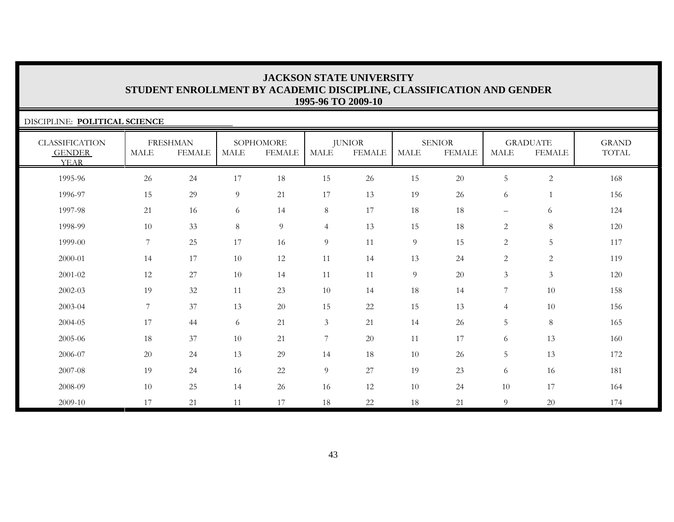| DISCIPLINE: POLITICAL SCIENCE                         |                 |                                  |             |                            |                  |                                |             |                                |                |                                  |                       |
|-------------------------------------------------------|-----------------|----------------------------------|-------------|----------------------------|------------------|--------------------------------|-------------|--------------------------------|----------------|----------------------------------|-----------------------|
| <b>CLASSIFICATION</b><br><b>GENDER</b><br><b>YEAR</b> | <b>MALE</b>     | <b>FRESHMAN</b><br><b>FEMALE</b> | <b>MALE</b> | SOPHOMORE<br><b>FEMALE</b> | <b>MALE</b>      | <b>JUNIOR</b><br><b>FEMALE</b> | <b>MALE</b> | <b>SENIOR</b><br><b>FEMALE</b> | <b>MALE</b>    | <b>GRADUATE</b><br><b>FEMALE</b> | <b>GRAND</b><br>TOTAL |
| 1995-96                                               | 26              | 24                               | 17          | 18                         | 15               | 26                             | 15          | $20\,$                         | 5              | $\overline{2}$                   | 168                   |
| 1996-97                                               | 15              | 29                               | 9           | 21                         | 17               | 13                             | 19          | 26                             | 6              | 1                                | 156                   |
| 1997-98                                               | 21              | 16                               | 6           | 14                         | $8\,$            | 17                             | 18          | 18                             | $-$            | 6                                | 124                   |
| 1998-99                                               | 10              | 33                               | 8           | 9                          | $\overline{4}$   | 13                             | 15          | 18                             | $\mathbf{2}$   | $\,8\,$                          | 120                   |
| 1999-00                                               | 7               | 25                               | 17          | 16                         | 9                | 11                             | 9           | 15                             | $\overline{c}$ | 5                                | 117                   |
| 2000-01                                               | 14              | 17                               | 10          | 12                         | 11               | 14                             | 13          | 24                             | $\overline{c}$ | $\overline{2}$                   | 119                   |
| 2001-02                                               | 12              | 27                               | 10          | 14                         | 11               | 11                             | 9           | 20                             | $\overline{3}$ | $\mathfrak{Z}$                   | 120                   |
| 2002-03                                               | 19              | 32                               | 11          | 23                         | 10               | 14                             | 18          | 14                             | 7              | 10                               | 158                   |
| 2003-04                                               | $7\overline{ }$ | 37                               | 13          | 20                         | 15               | 22                             | 15          | 13                             | $\overline{4}$ | 10                               | 156                   |
| 2004-05                                               | 17              | 44                               | 6           | 21                         | $\mathfrak{Z}$   | 21                             | 14          | 26                             | 5              | $\,8\,$                          | 165                   |
| 2005-06                                               | 18              | 37                               | 10          | 21                         | $\boldsymbol{7}$ | 20                             | 11          | 17                             | 6              | 13                               | 160                   |
| 2006-07                                               | 20              | 24                               | 13          | 29                         | 14               | 18                             | 10          | 26                             | 5              | 13                               | 172                   |
| 2007-08                                               | 19              | 24                               | 16          | 22                         | $\overline{9}$   | 27                             | 19          | 23                             | 6              | 16                               | 181                   |
| 2008-09                                               | 10              | 25                               | 14          | 26                         | 16               | 12                             | 10          | 24                             | 10             | 17                               | 164                   |
| 2009-10                                               | 17              | 21                               | 11          | 17                         | 18               | 22                             | 18          | 21                             | 9              | 20                               | 174                   |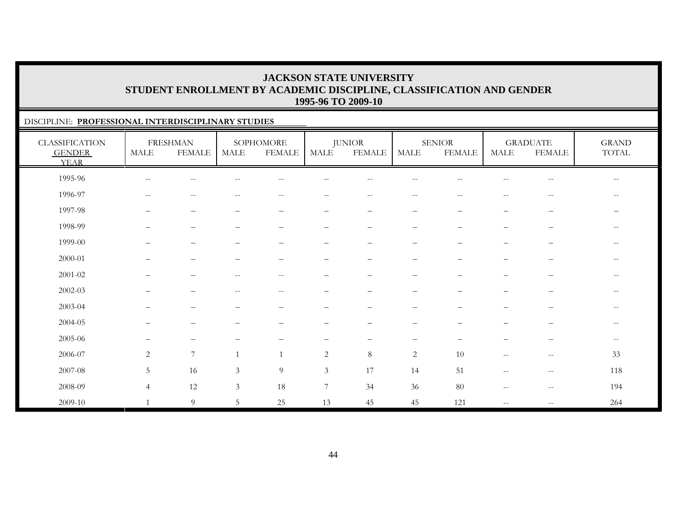### DISCIPLINE: **PROFESSIONAL INTERDISCIPLINARY STUDIES**

| <b>CLASSIFICATION</b><br><b>GENDER</b><br><b>YEAR</b> | MALE                     | <b>FRESHMAN</b><br><b>FEMALE</b> | MALE                     | SOPHOMORE<br><b>FEMALE</b> | MALE                     | <b>JUNIOR</b><br><b>FEMALE</b> | MALE                     | <b>SENIOR</b><br><b>FEMALE</b> | <b>MALE</b>                                         | <b>GRADUATE</b><br><b>FEMALE</b>                    | <b>GRAND</b><br>$\operatorname{TOTAL}$ |
|-------------------------------------------------------|--------------------------|----------------------------------|--------------------------|----------------------------|--------------------------|--------------------------------|--------------------------|--------------------------------|-----------------------------------------------------|-----------------------------------------------------|----------------------------------------|
| 1995-96                                               | $\qquad \qquad -$        | --                               |                          |                            |                          |                                |                          |                                |                                                     | $\qquad \qquad -$                                   | $--$                                   |
| 1996-97                                               | $\overline{\phantom{m}}$ | $-\,-$                           | $ -$                     | $\overline{\phantom{m}}$   | $\overline{\phantom{m}}$ | $--$                           | $\overline{\phantom{m}}$ | $\sim$                         | $\hspace{0.05cm} -\hspace{0.05cm} -\hspace{0.05cm}$ | $\overline{\phantom{m}}$                            | $--$                                   |
| 1997-98                                               | $\qquad \qquad -$        | $\qquad \qquad -$                | $\overline{\phantom{0}}$ | $\qquad \qquad -$          | $\qquad \qquad -$        | $\overline{\phantom{m}}$       | $\overline{\phantom{m}}$ | $\overline{\phantom{m}}$       | $\qquad \qquad -$                                   | $\overline{\phantom{m}}$                            |                                        |
| 1998-99                                               |                          | $\overline{\phantom{m}}$         |                          |                            | $\overline{\phantom{0}}$ | -                              | $\overline{\phantom{0}}$ |                                | $\qquad \qquad -$                                   | -                                                   | $- -$                                  |
| 1999-00                                               |                          | -                                |                          |                            |                          |                                |                          |                                |                                                     |                                                     | $\qquad \qquad -$                      |
| 2000-01                                               | $\overline{\phantom{0}}$ | $\overline{\phantom{0}}$         |                          | $\overline{\phantom{0}}$   | $\overline{\phantom{0}}$ |                                | $\qquad \qquad -$        |                                | $\qquad \qquad$                                     | $\qquad \qquad -$                                   | $--$                                   |
| $2001 - 02$                                           |                          | -                                |                          | $- -$                      |                          |                                |                          |                                |                                                     |                                                     | $\qquad \qquad -$                      |
| $2002 - 03$                                           |                          |                                  |                          | $-$                        |                          |                                |                          |                                |                                                     |                                                     | $--$                                   |
| 2003-04                                               |                          |                                  |                          |                            |                          |                                |                          |                                |                                                     |                                                     | $\overline{\phantom{a}}$               |
| 2004-05                                               | —                        | $\qquad \qquad -$                |                          |                            | $\overline{\phantom{0}}$ | $\overline{\phantom{0}}$       | $\overline{\phantom{0}}$ |                                | $\qquad \qquad -$                                   | $\overline{\phantom{0}}$                            | $--$                                   |
| 2005-06                                               | —                        | $\qquad \qquad -$                |                          | $\qquad \qquad -$          | $\qquad \qquad -$        | $\overline{\phantom{m}}$       | $\overline{\phantom{m}}$ | $\overline{\phantom{m}}$       | $\qquad \qquad -$                                   | $\qquad \qquad -$                                   | $--$                                   |
| 2006-07                                               | $\overline{2}$           | $\overline{7}$                   |                          | $\mathbf{1}$               | 2                        | 8                              | 2                        | 10                             | $\qquad \qquad -$                                   | $\hspace{0.05cm} -\hspace{0.05cm} -\hspace{0.05cm}$ | 33                                     |
| 2007-08                                               | 5                        | 16                               | $\mathfrak{Z}$           | 9                          | 3                        | 17                             | 14                       | 51                             | $\qquad \qquad -$                                   | $-\,-$                                              | 118                                    |
| 2008-09                                               | $\overline{4}$           | 12                               | 3                        | 18                         | 7                        | 34                             | 36                       | 80                             | $\overline{\phantom{m}}$                            | $-\,-$                                              | 194                                    |
| 2009-10                                               |                          | 9                                | 5                        | 25                         | 13                       | 45                             | 45                       | 121                            | $\overline{\phantom{m}}$                            | $-\,-$                                              | 264                                    |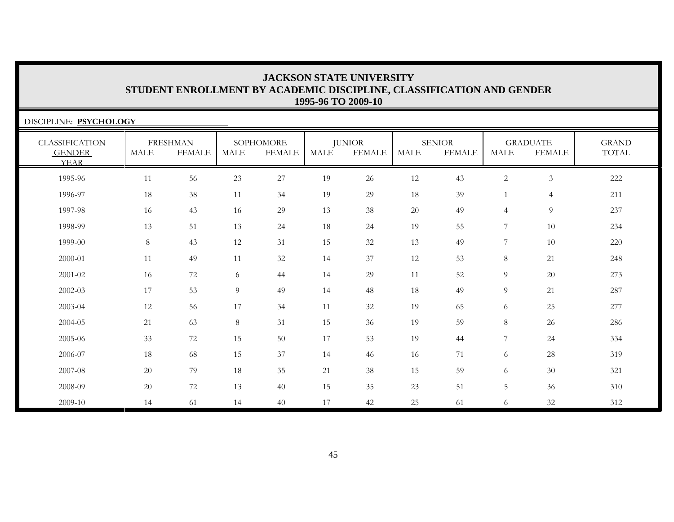| DISCIPLINE: PSYCHOLOGY                                |             |                                  |             |                            |      |                                |             |                                |                |                                  |                              |
|-------------------------------------------------------|-------------|----------------------------------|-------------|----------------------------|------|--------------------------------|-------------|--------------------------------|----------------|----------------------------------|------------------------------|
| <b>CLASSIFICATION</b><br><b>GENDER</b><br><b>YEAR</b> | <b>MALE</b> | <b>FRESHMAN</b><br><b>FEMALE</b> | <b>MALE</b> | SOPHOMORE<br><b>FEMALE</b> | MALE | <b>JUNIOR</b><br><b>FEMALE</b> | <b>MALE</b> | <b>SENIOR</b><br><b>FEMALE</b> | <b>MALE</b>    | <b>GRADUATE</b><br><b>FEMALE</b> | <b>GRAND</b><br><b>TOTAL</b> |
| 1995-96                                               | 11          | 56                               | 23          | $27\,$                     | 19   | 26                             | 12          | 43                             | $\overline{c}$ | $\mathfrak{Z}$                   | 222                          |
| 1996-97                                               | 18          | 38                               | 11          | 34                         | 19   | 29                             | 18          | 39                             |                | $\overline{4}$                   | 211                          |
| 1997-98                                               | 16          | 43                               | 16          | 29                         | 13   | 38                             | 20          | 49                             | $\overline{4}$ | 9                                | 237                          |
| 1998-99                                               | 13          | 51                               | 13          | 24                         | 18   | 24                             | 19          | 55                             | 7              | 10                               | 234                          |
| 1999-00                                               | 8           | 43                               | 12          | 31                         | 15   | 32                             | 13          | 49                             | 7              | 10                               | 220                          |
| 2000-01                                               | 11          | 49                               | 11          | 32                         | 14   | 37                             | 12          | 53                             | 8              | 21                               | 248                          |
| 2001-02                                               | 16          | 72                               | 6           | 44                         | 14   | 29                             | 11          | 52                             | 9              | 20                               | 273                          |
| 2002-03                                               | 17          | 53                               | 9           | 49                         | 14   | 48                             | 18          | 49                             | 9              | 21                               | 287                          |
| 2003-04                                               | 12          | 56                               | 17          | 34                         | 11   | 32                             | 19          | 65                             | 6              | 25                               | 277                          |
| 2004-05                                               | 21          | 63                               | 8           | 31                         | 15   | 36                             | 19          | 59                             | $8\,$          | 26                               | 286                          |
| 2005-06                                               | 33          | $72\,$                           | 15          | 50                         | 17   | 53                             | 19          | 44                             | 7              | 24                               | 334                          |
| 2006-07                                               | 18          | 68                               | 15          | 37                         | 14   | 46                             | 16          | 71                             | 6              | $28\,$                           | 319                          |
| 2007-08                                               | 20          | 79                               | 18          | 35                         | 21   | 38                             | 15          | 59                             | 6              | 30                               | 321                          |
| 2008-09                                               | 20          | 72                               | 13          | 40                         | 15   | 35                             | 23          | 51                             | 5              | 36                               | 310                          |
| 2009-10                                               | 14          | 61                               | 14          | 40                         | 17   | 42                             | 25          | 61                             | 6              | 32                               | 312                          |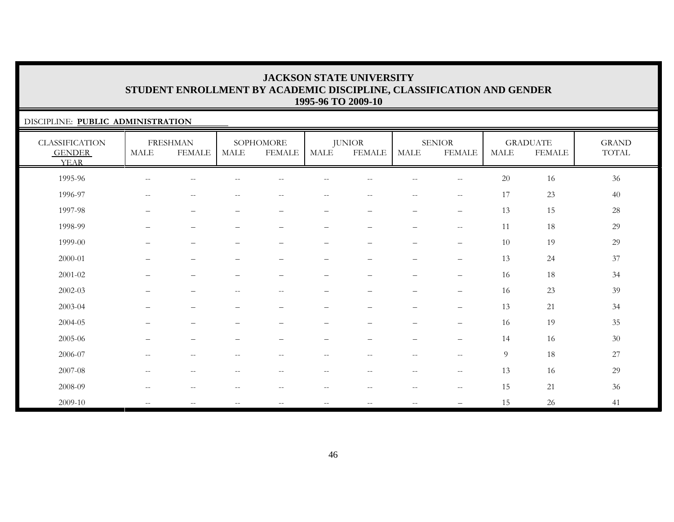### DISCIPLINE: **PUBLIC ADMINISTRATION**

| <b>CLASSIFICATION</b><br><b>GENDER</b><br><b>YEAR</b> | $\operatorname{MALE}$                               | <b>FRESHMAN</b><br><b>FEMALE</b>                    | <b>MALE</b>                                         | SOPHOMORE<br><b>FEMALE</b>                          | <b>MALE</b>              | <b>JUNIOR</b><br><b>FEMALE</b> | <b>MALE</b>                      | <b>SENIOR</b><br><b>FEMALE</b> | <b>MALE</b> | <b>GRADUATE</b><br><b>FEMALE</b> | <b>GRAND</b><br>TOTAL |
|-------------------------------------------------------|-----------------------------------------------------|-----------------------------------------------------|-----------------------------------------------------|-----------------------------------------------------|--------------------------|--------------------------------|----------------------------------|--------------------------------|-------------|----------------------------------|-----------------------|
| 1995-96                                               | $\sim$ $-$                                          | $\qquad \qquad -$                                   |                                                     | $-$                                                 | --                       |                                | $-$                              | $\qquad \qquad -$              | 20          | 16                               | $36\,$                |
| 1996-97                                               | $\hspace{0.1mm}-\hspace{0.1mm}-\hspace{0.1mm}$      | $\qquad \qquad -$                                   | $-$                                                 | $-$                                                 | $-$                      | $-$                            | $\overline{\phantom{m}}$         | $\sim$ $\sim$                  | 17          | 23                               | 40                    |
| 1997-98                                               | —                                                   | $\qquad \qquad -$                                   | $\overline{\phantom{a}}$                            | $\overline{\phantom{0}}$                            | $\qquad \qquad -$        | $\overline{\phantom{m}}$       | $\overline{\phantom{0}}$         | $\overline{\phantom{m}}$       | 13          | 15                               | 28                    |
| 1998-99                                               | —                                                   | $\qquad \qquad -$                                   | $\overline{\phantom{m}}$                            | $\overline{\phantom{0}}$                            | $\qquad \qquad -$        | $\overline{\phantom{0}}$       | $\overline{\phantom{m}}$         | $-\,-$                         | 11          | $18\,$                           | 29                    |
| 1999-00                                               | —                                                   | $\qquad \qquad -$                                   | $\overline{\phantom{m}}$                            | $\qquad \qquad -$                                   | -                        | $\qquad \qquad -$              | -                                | $\overline{\phantom{0}}$       | 10          | 19                               | 29                    |
| 2000-01                                               | —                                                   | $\qquad \qquad -$                                   |                                                     | $\qquad \qquad -$                                   | $\overline{\phantom{0}}$ | $\qquad \qquad -$              | $\qquad \qquad -$                | $\overline{\phantom{m}}$       | 13          | 24                               | $37\,$                |
| $2001 - 02$                                           | $\qquad \qquad$                                     | $\overline{\phantom{0}}$                            |                                                     | $\qquad \qquad -$                                   | —                        | $\overline{\phantom{0}}$       | $\qquad \qquad -$                | $\qquad \qquad -$              | 16          | 18                               | 34                    |
| 2002-03                                               | —                                                   | $\qquad \qquad -$                                   | $\hspace{0.05cm} -\hspace{0.05cm} -\hspace{0.05cm}$ | $\overline{\phantom{m}}$                            | $\qquad \qquad -$        | $\overline{\phantom{0}}$       | $\overbrace{\phantom{12322111}}$ | $\qquad \qquad -$              | 16          | 23                               | 39                    |
| 2003-04                                               | $\overline{\phantom{0}}$                            | $\qquad \qquad -$                                   |                                                     | $\qquad \qquad -$                                   | —                        | $\overline{\phantom{0}}$       | $\overline{\phantom{0}}$         | $\overline{\phantom{m}}$       | 13          | 21                               | 34                    |
| 2004-05                                               |                                                     | $\qquad \qquad -$                                   |                                                     |                                                     | -                        | -                              | $\qquad \qquad -$                | $\overline{\phantom{m}}$       | 16          | 19                               | 35                    |
| 2005-06                                               | $\overline{\phantom{0}}$                            | $\qquad \qquad -$                                   |                                                     |                                                     |                          | $\overline{\phantom{0}}$       | $\equiv$                         | $\qquad \qquad -$              | 14          | 16                               | $30\,$                |
| 2006-07                                               | $\hspace{0.05cm} -\hspace{0.05cm} -\hspace{0.05cm}$ | $\hspace{0.05cm} -\hspace{0.05cm} -\hspace{0.05cm}$ | $\overline{\phantom{m}}$                            | $\overline{\phantom{m}}$                            | $-\,-$                   | $\overline{\phantom{m}}$       | $--$                             | $-\,-$                         | 9           | 18                               | $27\,$                |
| 2007-08                                               | $\sim$ $\sim$                                       | $\overline{\phantom{m}}$                            | $\sim$ $-$                                          | $\overline{\phantom{m}}$                            | $ -$                     | $- -$                          | $--$                             | $-\,-$                         | 13          | 16                               | 29                    |
| 2008-09                                               | $\hspace{0.05cm} -\hspace{0.05cm} -\hspace{0.05cm}$ | $\overline{\phantom{m}}$                            | $\hspace{0.05cm} -\hspace{0.05cm} -\hspace{0.05cm}$ | $\hspace{0.05cm} -\hspace{0.05cm} -\hspace{0.05cm}$ | $ -$                     | $- -$                          | $\overline{\phantom{m}}$         | $-\,-$                         | 15          | 21                               | 36                    |
| 2009-10                                               | $\mathcal{L}=\mathcal{L}$                           | $\qquad \qquad -$                                   | $\hspace{0.05cm} -\hspace{0.05cm} -\hspace{0.05cm}$ | $\overline{\phantom{m}}$                            | $-\,-$                   | $\overline{\phantom{m}}$       | $\overline{\phantom{m}}$         |                                | 15          | 26                               | 41                    |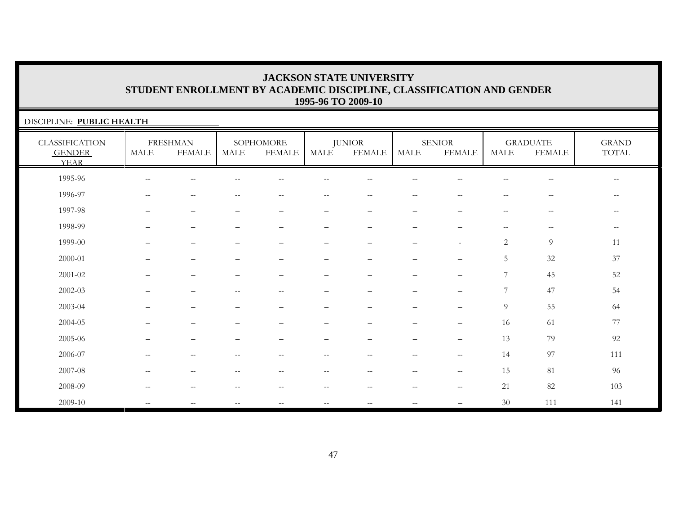| DISCIPLINE: PUBLIC HEALTH                             |                          |                                  |                          |                            |                          |                                |                                                       |                                                     |                                                |                                  |                          |
|-------------------------------------------------------|--------------------------|----------------------------------|--------------------------|----------------------------|--------------------------|--------------------------------|-------------------------------------------------------|-----------------------------------------------------|------------------------------------------------|----------------------------------|--------------------------|
| <b>CLASSIFICATION</b><br><b>GENDER</b><br><b>YEAR</b> | MALE                     | <b>FRESHMAN</b><br><b>FEMALE</b> | <b>MALE</b>              | SOPHOMORE<br><b>FEMALE</b> | MALE                     | <b>JUNIOR</b><br><b>FEMALE</b> | <b>MALE</b>                                           | <b>SENIOR</b><br><b>FEMALE</b>                      | <b>MALE</b>                                    | <b>GRADUATE</b><br><b>FEMALE</b> | <b>GRAND</b><br>TOTAL    |
| 1995-96                                               | $\sim$                   |                                  |                          |                            |                          |                                |                                                       |                                                     |                                                |                                  | $\overline{\phantom{m}}$ |
| 1996-97                                               | $\qquad \qquad -$        | $-$                              |                          | $\qquad \qquad -$          | $-$                      | $\sim$                         |                                                       |                                                     | $-$                                            | $-$                              | $-\,-$                   |
| 1997-98                                               | $\overline{\phantom{0}}$ |                                  | —                        | $\overline{\phantom{m}}$   | $\qquad \qquad -$        | $\overline{\phantom{m}}$       | $\overline{\phantom{0}}$                              | $\qquad \qquad \qquad$                              | $\hspace{0.1mm}-\hspace{0.1mm}-\hspace{0.1mm}$ | $--$                             | $--$                     |
| 1998-99                                               |                          |                                  | —                        | $\qquad \qquad -$          | $\qquad \qquad -$        | -                              | $\overline{\phantom{0}}$                              | $\qquad \qquad \qquad$                              | $\hspace{0.1mm}-\hspace{0.1mm}-\hspace{0.1mm}$ | $-\,-$                           | $-\,-$                   |
| 1999-00                                               |                          | $\qquad \qquad -$                | $\overline{\phantom{0}}$ | $\overline{\phantom{m}}$   | $\overline{\phantom{0}}$ |                                |                                                       | $\sim$                                              | $\overline{c}$                                 | 9                                | 11                       |
| $2000 - 01$                                           |                          | $\overline{\phantom{0}}$         | -                        | $\qquad \qquad -$          | $\overline{\phantom{0}}$ | $\overline{\phantom{0}}$       | $\overline{\phantom{0}}$                              |                                                     | 5                                              | 32                               | 37                       |
| 2001-02                                               |                          |                                  |                          | $\overline{\phantom{m}}$   |                          |                                |                                                       | $\qquad \qquad -$                                   | 7                                              | 45                               | 52                       |
| 2002-03                                               |                          |                                  | $-$                      | $\overline{\phantom{m}}$   |                          |                                |                                                       | —                                                   | 7                                              | 47                               | 54                       |
| 2003-04                                               |                          |                                  |                          |                            |                          |                                |                                                       |                                                     | 9                                              | 55                               | 64                       |
| 2004-05                                               |                          |                                  |                          |                            |                          |                                |                                                       |                                                     | 16                                             | 61                               | 77                       |
| 2005-06                                               |                          | -                                | $\overline{\phantom{0}}$ | $\overline{\phantom{0}}$   | $\qquad \qquad -$        |                                | $\overline{\phantom{0}}$                              |                                                     | 13                                             | 79                               | 92                       |
| 2006-07                                               | $\overline{\phantom{m}}$ | $\frac{1}{2}$                    | $\qquad \qquad -$        | $\overline{\phantom{a}}$   | $\overline{\phantom{a}}$ | $\overline{\phantom{a}}$       | $\overline{\phantom{m}}$                              | $\mathord{\hspace{1pt}\text{--}\hspace{1pt}}$       | 14                                             | 97                               | 111                      |
| 2007-08                                               | $\qquad \qquad -$        | $-$                              | $-$                      | $\qquad \qquad -$          | $- -$                    |                                | $\sim$ -                                              | $\hspace{0.05cm} -\hspace{0.05cm} -\hspace{0.05cm}$ | 15                                             | 81                               | 96                       |
| 2008-09                                               | $\sim$ $-$               | $- -$                            | $-$                      | $\overline{\phantom{m}}$   | $- -$                    | $-$                            | $\hspace{0.05cm} - \hspace{0.05cm} - \hspace{0.05cm}$ | $\mathord{\hspace{1pt}\text{--}\hspace{1pt}}$       | 21                                             | 82                               | 103                      |
| 2009-10                                               | $\overline{\phantom{m}}$ | $\qquad \qquad -$                | $- -$                    | $-\,-$                     | $\qquad \qquad -$        | $\overline{\phantom{m}}$       | $-\,-$                                                | —                                                   | 30                                             | 111                              | 141                      |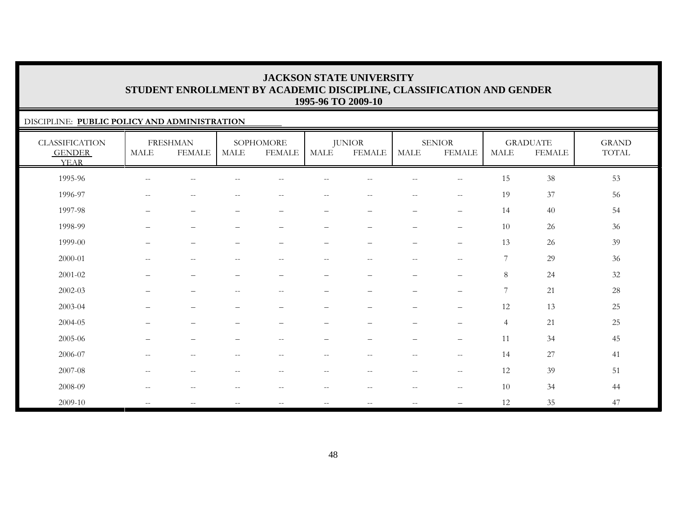### DISCIPLINE: **PUBLIC POLICY AND ADMINISTRATION**

| <b>CLASSIFICATION</b><br><b>GENDER</b><br><b>YEAR</b> | MALE                                                  | <b>FRESHMAN</b><br><b>FEMALE</b>               | <b>MALE</b>                                         | SOPHOMORE<br><b>FEMALE</b>                          | <b>MALE</b>              | <b>JUNIOR</b><br><b>FEMALE</b> | <b>MALE</b>              | <b>SENIOR</b><br><b>FEMALE</b>                      | <b>MALE</b>    | <b>GRADUATE</b><br><b>FEMALE</b> | <b>GRAND</b><br>$\operatorname{TOTAL}$ |
|-------------------------------------------------------|-------------------------------------------------------|------------------------------------------------|-----------------------------------------------------|-----------------------------------------------------|--------------------------|--------------------------------|--------------------------|-----------------------------------------------------|----------------|----------------------------------|----------------------------------------|
| 1995-96                                               | $\sim$ $-$                                            | --                                             |                                                     |                                                     |                          |                                |                          | $\hspace{0.05cm} -\hspace{0.05cm} -\hspace{0.05cm}$ | 15             | 38                               | 53                                     |
| 1996-97                                               | $\hspace{0.05cm} -\hspace{0.05cm} -\hspace{0.05cm}$   | $\overline{\phantom{m}}$                       | $\overline{\phantom{m}}$                            | $\hspace{0.1mm}-\hspace{0.1mm}-\hspace{0.1mm}$      | $- -$                    | $- -$                          | $-\,-$                   | $ -$                                                | 19             | 37                               | 56                                     |
| 1997-98                                               | $\overline{\phantom{m}}$                              | $\overline{\phantom{m}}$                       | $\qquad \qquad -$                                   | $\qquad \qquad -$                                   | —                        | $\qquad \qquad -$              | $\qquad \qquad -$        | $\qquad \qquad -$                                   | 14             | 40                               | 54                                     |
| 1998-99                                               | $\qquad \qquad \overline{\qquad \qquad }$             | $\overline{\phantom{m}}$                       | $\overline{\phantom{0}}$                            | $\overline{\phantom{m}}$                            | $\qquad \qquad -$        | $\qquad \qquad -$              | $\qquad \qquad -$        | $\qquad \qquad -$                                   | 10             | 26                               | 36                                     |
| 1999-00                                               | -                                                     | $\overline{\phantom{0}}$                       | $\overline{\phantom{0}}$                            | $\overline{\phantom{0}}$                            | $\qquad \qquad -$        | $\qquad \qquad -$              | $\qquad \qquad -$        | $\overline{\phantom{m}}$                            | 13             | 26                               | 39                                     |
| 2000-01                                               | $\sim$ $-$                                            | $\mathbf{u}$                                   | $\overline{\phantom{a}}$                            | $\hspace{0.1mm}-\hspace{0.1mm}-\hspace{0.1mm}$      | $- -$                    | $\overline{\phantom{m}}$       | $\overline{\phantom{m}}$ | $\sim$ $\sim$                                       | $\overline{7}$ | 29                               | 36                                     |
| 2001-02                                               | $\qquad \qquad \overline{\qquad \qquad }$             | $\overline{\phantom{m}}$                       | $\overline{\phantom{0}}$                            | $\overline{\phantom{m}}$                            | $\qquad \qquad -$        | $\qquad \qquad -$              | $\qquad \qquad -$        | $\qquad \qquad -$                                   | $8\phantom{.}$ | 24                               | $32\,$                                 |
| 2002-03                                               | $\overline{\phantom{0}}$                              | $\overline{\phantom{0}}$                       | $\hspace{0.05cm} -\hspace{0.05cm} -\hspace{0.05cm}$ | $\hspace{0.05cm} -\hspace{0.05cm} -\hspace{0.05cm}$ | $\overline{\phantom{0}}$ | $\qquad \qquad -$              | $\qquad \qquad -$        | $\overline{\phantom{m}}$                            | 7              | 21                               | $28\,$                                 |
| 2003-04                                               | $\qquad \qquad -$                                     | $\overline{\phantom{0}}$                       | $\overline{\phantom{m}}$                            | $\qquad \qquad -$                                   | $\overline{\phantom{0}}$ | $\qquad \qquad -$              | $\qquad \qquad -$        | $\qquad \qquad -$                                   | 12             | 13                               | 25                                     |
| 2004-05                                               |                                                       | $\overline{\phantom{0}}$                       |                                                     |                                                     |                          | $\overline{\phantom{0}}$       | $\overline{\phantom{0}}$ | $\overline{\phantom{m}}$                            | $\overline{4}$ | 21                               | 25                                     |
| 2005-06                                               | $\qquad \qquad -$                                     | $\overline{\phantom{m}}$                       | $\qquad \qquad -$                                   | $--$                                                | $\overline{\phantom{0}}$ | $\overline{\phantom{0}}$       | $\overline{\phantom{m}}$ | $\qquad \qquad -$                                   | 11             | 34                               | 45                                     |
| 2006-07                                               | $\hspace{0.05cm} -\hspace{0.05cm} -\hspace{0.05cm}$   | $\hspace{0.1mm}-\hspace{0.1mm}-\hspace{0.1mm}$ | $\hspace{0.05cm} -\hspace{0.05cm} -\hspace{0.05cm}$ | $\hspace{0.05cm} -\hspace{0.05cm} -\hspace{0.05cm}$ | $\overline{\phantom{m}}$ | $ -$                           | $\overline{\phantom{a}}$ | $-\,-$                                              | 14             | 27                               | 41                                     |
| 2007-08                                               | $\hspace{0.05cm} - \hspace{0.05cm} - \hspace{0.05cm}$ | $-\,-$                                         | $-\,-$                                              | $--$                                                | $-\,-$                   | $-\,-$                         | $-\,-$                   | $-\,-$                                              | 12             | 39                               | 51                                     |
| 2008-09                                               | $-$                                                   | $- -$                                          | $\overline{\phantom{a}}$                            | $-$                                                 | --                       | $-$                            | $-$                      | $\hspace{0.05cm} -\hspace{0.05cm} -\hspace{0.05cm}$ | 10             | 34                               | 44                                     |
| 2009-10                                               | $\sim$ $\sim$                                         | $\mathbf{u}$                                   | $\sim$ $\sim$                                       | $--$                                                | $- -$                    | $\overline{\phantom{m}}$       | $\overline{\phantom{m}}$ | $\overline{\phantom{0}}$                            | 12             | 35                               | 47                                     |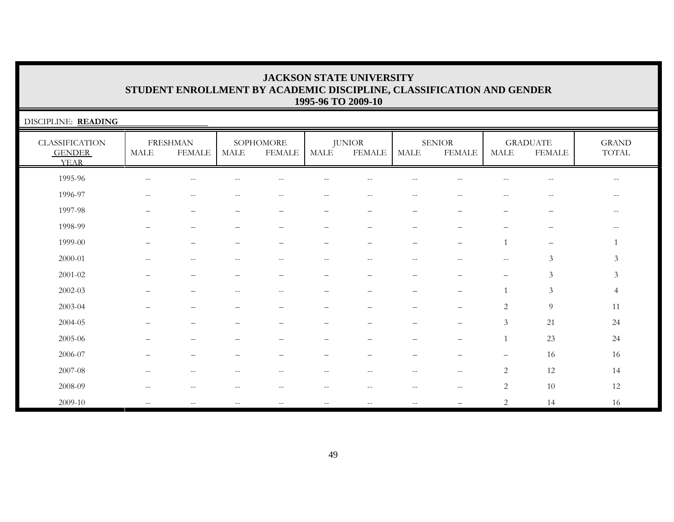| DISCIPLINE: READING                                   |                          |                                  |                          |                            |                          |                                                       |                          |                                |                                                     |                                                     |                                                |
|-------------------------------------------------------|--------------------------|----------------------------------|--------------------------|----------------------------|--------------------------|-------------------------------------------------------|--------------------------|--------------------------------|-----------------------------------------------------|-----------------------------------------------------|------------------------------------------------|
| <b>CLASSIFICATION</b><br><b>GENDER</b><br><b>YEAR</b> | $\operatorname{MALE}$    | <b>FRESHMAN</b><br><b>FEMALE</b> | MALE                     | SOPHOMORE<br><b>FEMALE</b> | MALE                     | <b>JUNIOR</b><br>FEMALE                               | MALE                     | <b>SENIOR</b><br><b>FEMALE</b> | MALE                                                | <b>GRADUATE</b><br><b>FEMALE</b>                    | <b>GRAND</b><br>$\operatorname{TOTAL}$         |
| 1995-96                                               | $-$                      | --                               |                          |                            |                          |                                                       |                          |                                |                                                     | $-$                                                 | $\overline{\phantom{m}}$                       |
| 1996-97                                               | $-$                      | $-$                              | $- -$                    | $-$                        | $\overline{\phantom{m}}$ | $--$                                                  | $-$                      | $- -$                          | $ -$                                                | $\hspace{0.05cm} -\hspace{0.05cm} -\hspace{0.05cm}$ | $\hspace{0.1mm}-\hspace{0.1mm}-\hspace{0.1mm}$ |
| 1997-98                                               |                          |                                  |                          | $\overline{\phantom{0}}$   | -                        | -                                                     |                          |                                |                                                     |                                                     | $\overline{\phantom{m}}$                       |
| 1998-99                                               |                          |                                  |                          |                            |                          |                                                       |                          |                                |                                                     |                                                     |                                                |
| 1999-00                                               |                          |                                  |                          |                            |                          | -                                                     |                          | $\equiv$                       | $\mathbf{1}$                                        | $\overline{\phantom{m}}$                            |                                                |
| 2000-01                                               | $-$                      | --                               | --                       | $\qquad \qquad -$          | $- -$                    | $\hspace{0.05cm} - \hspace{0.05cm} - \hspace{0.05cm}$ | $-$                      | --                             | $\hspace{0.05cm} -\hspace{0.05cm} -\hspace{0.05cm}$ | 3                                                   | $\mathfrak{Z}$                                 |
| $2001 - 02$                                           |                          |                                  |                          |                            |                          |                                                       |                          |                                |                                                     | $\mathfrak{Z}$                                      | $\mathfrak{Z}$                                 |
| $2002 - 03$                                           |                          |                                  |                          | --                         |                          |                                                       |                          |                                | $\mathbf{1}$                                        | $\mathfrak{Z}$                                      | $\overline{4}$                                 |
| 2003-04                                               |                          |                                  |                          |                            |                          |                                                       |                          |                                | $\overline{2}$                                      | $\overline{9}$                                      | 11                                             |
| 2004-05                                               |                          |                                  |                          |                            |                          |                                                       |                          |                                | $\mathfrak{Z}$                                      | 21                                                  | 24                                             |
| 2005-06                                               |                          |                                  |                          |                            |                          |                                                       |                          |                                |                                                     | 23                                                  | 24                                             |
| 2006-07                                               |                          |                                  |                          |                            |                          |                                                       |                          |                                |                                                     | 16                                                  | 16                                             |
| 2007-08                                               | $\overline{\phantom{m}}$ | $-$                              | $\overline{\phantom{a}}$ | $\qquad \qquad -$          | $\overline{\phantom{m}}$ | $-$                                                   | $\overline{\phantom{m}}$ | $\sim$ $\sim$                  | 2                                                   | 12                                                  | 14                                             |
| 2008-09                                               | $-$                      | $-$                              | --                       | --                         | $-\,-$                   | $\hspace{0.05cm} - \hspace{0.05cm} - \hspace{0.05cm}$ | $-$                      | $\overline{\phantom{m}}$       | $\overline{c}$                                      | 10                                                  | 12                                             |
| 2009-10                                               | $-$                      |                                  | $=$                      |                            | $- -$                    | $-$                                                   | $\sim$                   |                                | $\overline{c}$                                      | 14                                                  | 16                                             |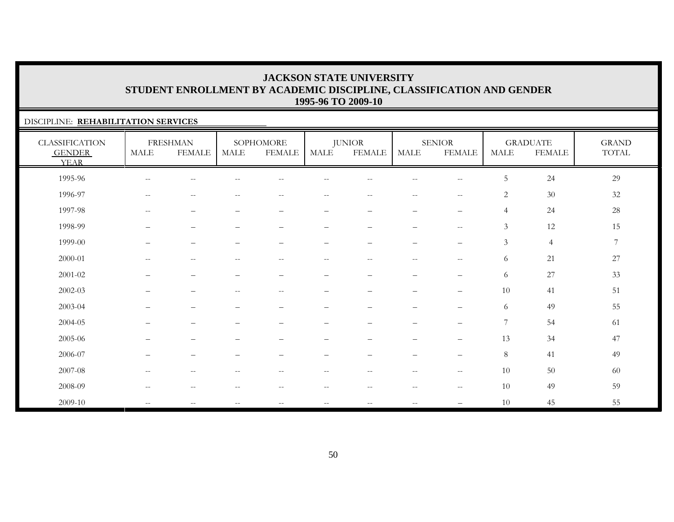### DISCIPLINE: **REHABILITATION SERVICES**

| <b>CLASSIFICATION</b><br><b>GENDER</b><br><b>YEAR</b> | $\operatorname{MALE}$    | <b>FRESHMAN</b><br><b>FEMALE</b> | $\operatorname{MALE}$    | SOPHOMORE<br><b>FEMALE</b>                            | MALE                     | <b>JUNIOR</b><br><b>FEMALE</b>                        | <b>MALE</b>                                         | <b>SENIOR</b><br><b>FEMALE</b>                      | <b>MALE</b>      | <b>GRADUATE</b><br><b>FEMALE</b> | <b>GRAND</b><br>TOTAL |
|-------------------------------------------------------|--------------------------|----------------------------------|--------------------------|-------------------------------------------------------|--------------------------|-------------------------------------------------------|-----------------------------------------------------|-----------------------------------------------------|------------------|----------------------------------|-----------------------|
| 1995-96                                               | $\qquad \qquad -$        | $\sim$ $-$                       |                          |                                                       |                          |                                                       | $-$                                                 | $\hspace{0.05cm} -\hspace{0.05cm} -\hspace{0.05cm}$ | 5                | 24                               | 29                    |
| 1996-97                                               | $\overline{\phantom{m}}$ | $\sim$ $\sim$                    |                          | --                                                    | --                       | $-$                                                   | $\frac{1}{2}$                                       | $- -$                                               | $\sqrt{2}$       | $30\,$                           | 32                    |
| 1997-98                                               | $--$                     | $\overline{\phantom{m}}$         | $\equiv$                 | $\qquad \qquad -$                                     | $\qquad \qquad -$        | $\overline{\phantom{0}}$                              | $\qquad \qquad -$                                   | $\qquad \qquad -$                                   | $\overline{4}$   | 24                               | 28                    |
| 1998-99                                               | $\qquad \qquad -$        | $\overline{\phantom{m}}$         | $\qquad \qquad -$        | $\qquad \qquad -$                                     | $\qquad \qquad -$        | $\overline{\phantom{m}}$                              | $\qquad \qquad -$                                   | $\overline{\phantom{m}}$                            | $\mathfrak{Z}$   | 12                               | 15                    |
| 1999-00                                               | —                        | $\overline{\phantom{0}}$         |                          |                                                       | $\overline{\phantom{0}}$ | $\overline{\phantom{m}}$                              | $\overline{\phantom{m}}$                            | $\overline{\phantom{m}}$                            | $\mathfrak{Z}$   | $\overline{4}$                   | $\overline{7}$        |
| 2000-01                                               | $\overline{\phantom{m}}$ | $- \, -$                         | $-$                      | $\hspace{0.05cm} - \hspace{0.05cm} - \hspace{0.05cm}$ | $-\,-$                   | $\overline{\phantom{m}}$                              | $\overline{\phantom{a}}$                            | $-\,-$                                              | 6                | 21                               | $27\,$                |
| 2001-02                                               |                          | $\overline{\phantom{0}}$         |                          |                                                       | $\qquad \qquad -$        | -                                                     | $\overline{\phantom{m}}$                            | $\qquad \qquad -$                                   | 6                | 27                               | 33                    |
| 2002-03                                               | $\qquad \qquad -$        | $\overline{\phantom{0}}$         | $\qquad \qquad -$        | $-\,-$                                                | $\qquad \qquad -$        | $\qquad \qquad -$                                     | $\overline{\phantom{m}}$                            | $\qquad \qquad -$                                   | 10               | 41                               | 51                    |
| 2003-04                                               |                          | $\overline{\phantom{0}}$         |                          |                                                       | $\qquad \qquad -$        |                                                       | $\overline{\phantom{m}}$                            | $\overline{\phantom{m}}$                            | 6                | 49                               | 55                    |
| 2004-05                                               |                          | $\overline{\phantom{0}}$         |                          |                                                       |                          |                                                       | -                                                   | $\qquad \qquad -$                                   | $\boldsymbol{7}$ | 54                               | 61                    |
| 2005-06                                               |                          |                                  |                          |                                                       |                          |                                                       | -                                                   | $\qquad \qquad -$                                   | 13               | 34                               | 47                    |
| 2006-07                                               | $\qquad \qquad -$        | $\overline{\phantom{m}}$         | $\overline{\phantom{0}}$ | $\qquad \qquad -$                                     | $\qquad \qquad -$        | $\overline{\phantom{m}}$                              | $\qquad \qquad -$                                   | $\overline{\phantom{m}}$                            | 8                | 41                               | 49                    |
| 2007-08                                               | $\sim$ $-$               | $\sim$ $-$                       | $-$                      | $ -$                                                  | $- -$                    | $- -$                                                 | $--$                                                | $-\,-$                                              | 10               | 50                               | 60                    |
| 2008-09                                               | $--$                     | $\overline{\phantom{m}}$         | $\qquad \qquad -$        | $\hspace{0.05cm} - \hspace{0.05cm} - \hspace{0.05cm}$ | $- -$                    | $\hspace{0.05cm} - \hspace{0.05cm} - \hspace{0.05cm}$ | $\hspace{0.05cm} -\hspace{0.05cm} -\hspace{0.05cm}$ | $\overline{\phantom{m}}$                            | 10               | 49                               | 59                    |
| 2009-10                                               | $\overline{\phantom{m}}$ | $\overline{\phantom{m}}$         | $\overline{\phantom{a}}$ | $\overline{\phantom{m}}$                              | $\overline{\phantom{m}}$ | $- -$                                                 | $\overline{\phantom{a}}$                            |                                                     | 10               | 45                               | 55                    |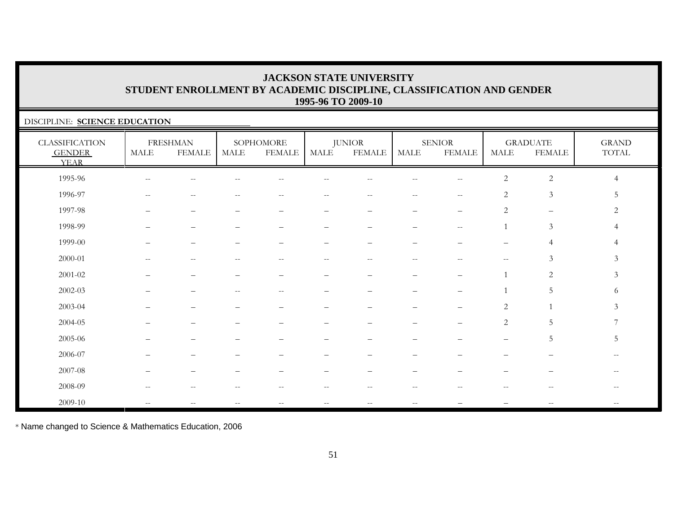### DISCIPLINE: **SCIENCE EDUCATION**

| CLASSIFICATION<br><b>GENDER</b><br><b>YEAR</b> | <b>MALE</b>              | <b>FRESHMAN</b><br><b>FEMALE</b>                    | MALE                     | SOPHOMORE<br><b>FEMALE</b>                            | MALE                                                | <b>JUNIOR</b><br><b>FEMALE</b>                      | <b>MALE</b>              | <b>SENIOR</b><br><b>FEMALE</b>                      | MALE                                                | <b>GRADUATE</b><br><b>FEMALE</b>                    | <b>GRAND</b><br>$\operatorname{TOTAL}$         |
|------------------------------------------------|--------------------------|-----------------------------------------------------|--------------------------|-------------------------------------------------------|-----------------------------------------------------|-----------------------------------------------------|--------------------------|-----------------------------------------------------|-----------------------------------------------------|-----------------------------------------------------|------------------------------------------------|
| 1995-96                                        | $-$                      | н.                                                  |                          |                                                       |                                                     |                                                     |                          | $-$                                                 | $\sqrt{2}$                                          | $\sqrt{2}$                                          | $\overline{4}$                                 |
| 1996-97                                        | $- -$                    | $-\,-$                                              | --                       | $\hspace{0.05cm} - \hspace{0.05cm} - \hspace{0.05cm}$ | $\overline{\phantom{m}}$                            | $- -$                                               | $--$                     | $- -$                                               | $\overline{2}$                                      | $\mathfrak{Z}$                                      | 5                                              |
| 1997-98                                        |                          |                                                     |                          |                                                       |                                                     |                                                     |                          |                                                     | 2                                                   | $\overline{\phantom{m}}$                            | 2                                              |
| 1998-99                                        |                          | $\overline{\phantom{0}}$                            |                          |                                                       |                                                     |                                                     | $\overline{\phantom{0}}$ | $\hspace{0.05cm} -\hspace{0.05cm} -\hspace{0.05cm}$ |                                                     | $\mathfrak{Z}$                                      | 4                                              |
| 1999-00                                        | $\overline{\phantom{0}}$ | $\overline{\phantom{m}}$                            |                          | $\qquad \qquad -$                                     | $\qquad \qquad -$                                   | $\overline{\phantom{0}}$                            | $\qquad \qquad -$        | $\overline{\phantom{0}}$                            | $\qquad \qquad -$                                   | $\overline{4}$                                      |                                                |
| 2000-01                                        | $\overline{\phantom{a}}$ | $\sim$ $-$                                          | $-$                      | $\hspace{0.05cm} - \hspace{0.05cm} - \hspace{0.05cm}$ | $\overline{\phantom{m}}$                            | $\hspace{0.05cm} -\hspace{0.05cm} -\hspace{0.05cm}$ | $\overline{\phantom{a}}$ | $\sim$                                              | $\hspace{0.05cm} -\hspace{0.05cm} -\hspace{0.05cm}$ | $\mathfrak{Z}$                                      | $\mathfrak{Z}$                                 |
| $2001 - 02$                                    |                          |                                                     |                          |                                                       |                                                     |                                                     |                          |                                                     |                                                     | 2                                                   | $\mathfrak{Z}$                                 |
| $2002 - 03$                                    |                          |                                                     |                          | $- -$                                                 | -                                                   |                                                     | -                        |                                                     |                                                     | 5                                                   | 6                                              |
| 2003-04                                        |                          |                                                     |                          |                                                       | -                                                   |                                                     | -                        |                                                     | $\mathbf{2}$                                        |                                                     | 3                                              |
| 2004-05                                        |                          |                                                     |                          |                                                       |                                                     |                                                     |                          |                                                     | 2                                                   | $\overline{5}$                                      | 7                                              |
| 2005-06                                        |                          |                                                     |                          |                                                       |                                                     |                                                     |                          |                                                     |                                                     | $\overline{5}$                                      | 5                                              |
| 2006-07                                        |                          |                                                     |                          |                                                       |                                                     |                                                     |                          |                                                     |                                                     |                                                     |                                                |
| 2007-08                                        | $\overline{\phantom{0}}$ | $\overline{\phantom{0}}$                            |                          |                                                       |                                                     | $\overline{\phantom{0}}$                            | $\overline{\phantom{0}}$ |                                                     |                                                     |                                                     | $\hspace{0.1mm}-\hspace{0.1mm}-\hspace{0.1mm}$ |
| 2008-09                                        | $\qquad \qquad -$        | $\hspace{0.05cm}$ – $\hspace{0.05cm}$               |                          | $-$                                                   | --                                                  | $- -$                                               | $\qquad \qquad -$        | --                                                  | $-$                                                 | $-$                                                 | $-$                                            |
| 2009-10                                        | $\qquad \qquad -$        | $\hspace{0.05cm} -\hspace{0.05cm} -\hspace{0.05cm}$ | $\overline{\phantom{m}}$ | $\hspace{0.05cm} -\hspace{0.05cm} -\hspace{0.05cm}$   | $\hspace{0.05cm} -\hspace{0.05cm} -\hspace{0.05cm}$ | $--$                                                | $--$                     |                                                     |                                                     | $\hspace{0.05cm} -\hspace{0.05cm} -\hspace{0.05cm}$ | $\hspace{0.1mm}-\hspace{0.1mm}-\hspace{0.1mm}$ |

\* Name changed to Science & Mathematics Education, 2006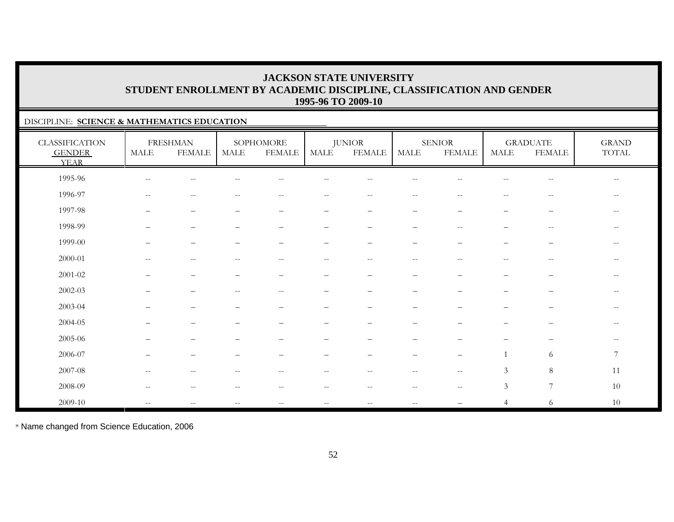### DISCIPLINE: **SCIENCE & MATHEMATICS EDUCATION**

| <b>CLASSIFICATION</b><br><b>GENDER</b><br><b>YEAR</b> | <b>MALE</b>              | <b>FRESHMAN</b><br><b>FEMALE</b> | MALE | SOPHOMORE<br><b>FEMALE</b>                            | MALE                            | <b>JUNIOR</b><br><b>FEMALE</b> | MALE                     | <b>SENIOR</b><br><b>FEMALE</b>                      | <b>MALE</b>              | <b>GRADUATE</b><br><b>FEMALE</b>                    | $\operatorname{GRAND}$<br>TOTAL                     |
|-------------------------------------------------------|--------------------------|----------------------------------|------|-------------------------------------------------------|---------------------------------|--------------------------------|--------------------------|-----------------------------------------------------|--------------------------|-----------------------------------------------------|-----------------------------------------------------|
| 1995-96                                               | $\overline{\phantom{m}}$ | $\sim$ $-$                       |      | $- -$                                                 |                                 | $-$                            | $-$                      |                                                     | $- -$                    | $\hspace{0.05cm} -\hspace{0.05cm} -\hspace{0.05cm}$ | $\hspace{0.05cm} -\hspace{0.05cm} -\hspace{0.05cm}$ |
| 1996-97                                               | $-\,-$                   | $- \, -$                         |      | $- -$                                                 | $- -$                           | $\overline{\phantom{m}}$       | $- -$                    |                                                     | --                       | $-\,-$                                              | $--$                                                |
| 1997-98                                               | $\qquad \qquad -$        | $\overline{\phantom{m}}$         |      | $\overline{\phantom{0}}$                              | $\overline{\phantom{m}}$        | $\overline{\phantom{m}}$       | $\qquad \qquad -$        | $\overline{\phantom{a}}$                            | —                        | $\overline{\phantom{m}}$                            | $-$                                                 |
| 1998-99                                               | $\equiv$                 | $\qquad \qquad -$                |      | $\overline{\phantom{0}}$                              | $\overline{\phantom{m}}$        | $\equiv$                       | $\equiv$                 | $\sim$ $-$                                          | $\equiv$                 | $\sim$ $-$                                          | $\qquad \qquad -$                                   |
| 1999-00                                               |                          |                                  |      |                                                       | $\overline{\phantom{m}}$        | $\overline{\phantom{0}}$       | -                        |                                                     | $\overline{\phantom{0}}$ | $\qquad \qquad -$                                   | $- -$                                               |
| $2000 - 01$                                           |                          | $- -$                            |      | $-$                                                   | $-$                             | $-$                            | $- -$                    |                                                     | --                       | $\overline{\phantom{m}}$                            | $\qquad \qquad -$                                   |
| $2001 - 02$                                           |                          |                                  |      |                                                       | $\overbrace{\phantom{1232211}}$ |                                | $\overline{\phantom{0}}$ |                                                     |                          | —                                                   | $\overline{\phantom{m}}$                            |
| $2002 - 03$                                           |                          | $\overline{\phantom{0}}$         | $-$  | $\qquad \qquad -$                                     | $\overline{\phantom{m}}$        |                                | $\qquad \qquad -$        |                                                     | -                        | —                                                   | $\qquad \qquad -$                                   |
| 2003-04                                               |                          |                                  |      |                                                       |                                 |                                |                          |                                                     |                          |                                                     | $\qquad \qquad -$                                   |
| 2004-05                                               |                          |                                  |      |                                                       |                                 |                                |                          |                                                     |                          |                                                     | $- -$                                               |
| 2005-06                                               |                          |                                  |      |                                                       |                                 |                                |                          |                                                     |                          |                                                     | $\overline{\phantom{m}}$                            |
| 2006-07                                               |                          | $\overline{\phantom{m}}$         |      |                                                       | $\overline{\phantom{m}}$        | $\qquad \qquad -$              | $\overline{\phantom{0}}$ | $\qquad \qquad -$                                   |                          | 6                                                   | $7\phantom{.0}$                                     |
| 2007-08                                               | $-$                      | $-$                              |      | --                                                    | $- -$                           | $ -$                           | $-$                      | $\sim$ $\sim$                                       | $\mathfrak{Z}$           | $\,8\,$                                             | 11                                                  |
| 2008-09                                               | $\overline{\phantom{m}}$ | $\sim$ $-$                       | $-$  | $\hspace{0.05cm} - \hspace{0.05cm} - \hspace{0.05cm}$ | $--$                            | $\overline{\phantom{m}}$       | $\overline{\phantom{m}}$ | $\hspace{0.05cm} -\hspace{0.05cm} -\hspace{0.05cm}$ | $\mathfrak{Z}$           | $\overline{7}$                                      | 10                                                  |
| 2009-10                                               | $\qquad \qquad -$        | $-$                              |      | $\overline{\phantom{m}}$                              | $\overline{\phantom{m}}$        | $\overline{\phantom{m}}$       |                          |                                                     | 4                        | $\sqrt{6}$                                          | 10                                                  |

\* Name changed from Science Education, 2006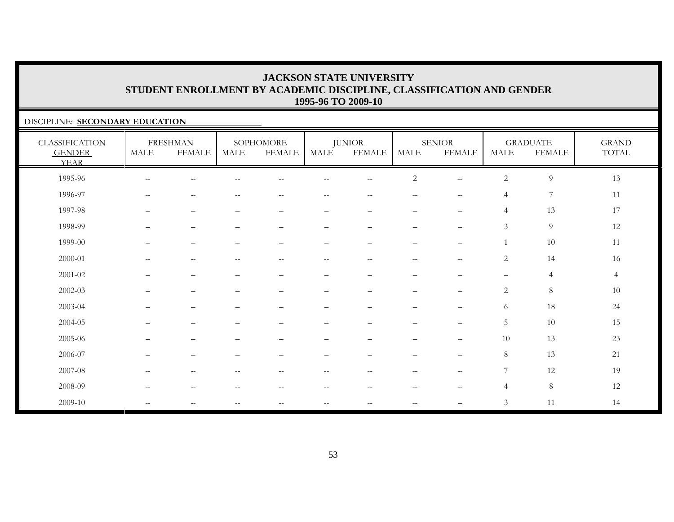### DISCIPLINE: **SECONDARY EDUCATION**

| <b>CLASSIFICATION</b><br><b>GENDER</b><br><b>YEAR</b> | MALE                                                | <b>FRESHMAN</b><br><b>FEMALE</b>                    | <b>MALE</b>              | SOPHOMORE<br><b>FEMALE</b>                     | MALE                     | <b>JUNIOR</b><br><b>FEMALE</b> | MALE                     | <b>SENIOR</b><br><b>FEMALE</b>   | MALE              | <b>GRADUATE</b><br><b>FEMALE</b> | <b>GRAND</b><br>TOTAL |
|-------------------------------------------------------|-----------------------------------------------------|-----------------------------------------------------|--------------------------|------------------------------------------------|--------------------------|--------------------------------|--------------------------|----------------------------------|-------------------|----------------------------------|-----------------------|
| 1995-96                                               | $--$                                                | $\overline{\phantom{m}}$                            |                          | $\sim$ $-$                                     | $-$                      | $- -$                          | $\overline{c}$           | $\qquad \qquad -$                | $\overline{c}$    | $\overline{9}$                   | 13                    |
| 1996-97                                               | $\overline{\phantom{m}}$                            | $- -$                                               |                          |                                                |                          | $-$                            | $\qquad \qquad -$        | $-$                              | $\overline{4}$    | $\overline{7}$                   | 11                    |
| 1997-98                                               | —                                                   | —                                                   |                          | -                                              |                          | $\overline{\phantom{0}}$       | -                        | $\overbrace{\phantom{12322111}}$ | 4                 | 13                               | 17                    |
| 1998-99                                               | $\qquad \qquad -$                                   | $\qquad \qquad -$                                   | $\overline{\phantom{m}}$ | $\overline{\phantom{m}}$                       | $\overline{\phantom{0}}$ | $\qquad \qquad -$              | $\qquad \qquad -$        | $\qquad \qquad -$                | $\mathfrak{Z}$    | 9                                | 12                    |
| 1999-00                                               | -                                                   | $\qquad \qquad -$                                   | $\overline{\phantom{0}}$ | $\overline{\phantom{0}}$                       | $\qquad \qquad -$        | $\overline{\phantom{0}}$       | -                        | $\qquad \qquad -$                |                   | 10                               | 11                    |
| 2000-01                                               | $\overline{\phantom{a}}$                            | $\mathcal{L}=\mathcal{L}$                           | $--$                     | $\hspace{0.1mm}-\hspace{0.1mm}-\hspace{0.1mm}$ | $- -$                    | $\overline{\phantom{m}}$       | $\overline{\phantom{m}}$ | $\sim$ $\sim$                    | $\overline{2}$    | 14                               | 16                    |
| 2001-02                                               |                                                     | —                                                   |                          | $\qquad \qquad -$                              | $\overline{\phantom{0}}$ | $\overline{\phantom{0}}$       | $\overline{\phantom{0}}$ | $\overline{\phantom{0}}$         | $\qquad \qquad -$ | $\overline{4}$                   | $\overline{4}$        |
| 2002-03                                               | $-$                                                 | $\qquad \qquad -$                                   | $\overline{\phantom{m}}$ | $\overline{\phantom{a}}$                       |                          | $\qquad \qquad -$              | $\qquad \qquad -$        | $\qquad \qquad -$                | $\overline{c}$    | $\,8\,$                          | $10\,$                |
| 2003-04                                               | —                                                   | —                                                   | $\qquad \qquad -$        | $\qquad \qquad -$                              | -                        |                                | $\qquad \qquad -$        | $\qquad \qquad -$                | 6                 | 18                               | 24                    |
| 2004-05                                               |                                                     | $\overline{\phantom{0}}$                            |                          |                                                | —                        | $\overline{\phantom{0}}$       | —                        | $\qquad \qquad -$                | 5                 | 10                               | 15                    |
| 2005-06                                               |                                                     | -                                                   |                          |                                                |                          |                                |                          | $\qquad \qquad -$                | 10                | 13                               | 23                    |
| 2006-07                                               | -                                                   | $\overline{\phantom{0}}$                            |                          |                                                |                          |                                | -                        | $\qquad \qquad -$                | 8                 | 13                               | 21                    |
| 2007-08                                               | $\hspace{0.05cm} -\hspace{0.05cm} -\hspace{0.05cm}$ | $\overline{\phantom{m}}$                            | $\overline{\phantom{m}}$ | $--$                                           | $\overline{\phantom{m}}$ | $-\,-$                         | $\overline{\phantom{m}}$ | $-\,-$                           | 7                 | 12                               | 19                    |
| 2008-09                                               | $\hspace{0.1mm}-\hspace{0.1mm}-\hspace{0.1mm}$      | $\hspace{0.05cm} -\hspace{0.05cm} -\hspace{0.05cm}$ | $\sim$ $-$               | $\sim$ $-$                                     | $- -$                    | $- -$                          | $\overline{\phantom{m}}$ | $\qquad \qquad -$                | $\overline{4}$    | $\,8\,$                          | 12                    |
| 2009-10                                               | $\hspace{0.1mm}-\hspace{0.1mm}-\hspace{0.1mm}$      | $\hspace{0.05cm} -\hspace{0.05cm} -\hspace{0.05cm}$ | $--$                     | $\hspace{0.1mm}-\hspace{0.1mm}-\hspace{0.1mm}$ | $- -$                    | $- -$                          | $\overline{\phantom{m}}$ | $\qquad \qquad -$                | $\mathfrak{Z}$    | 11                               | 14                    |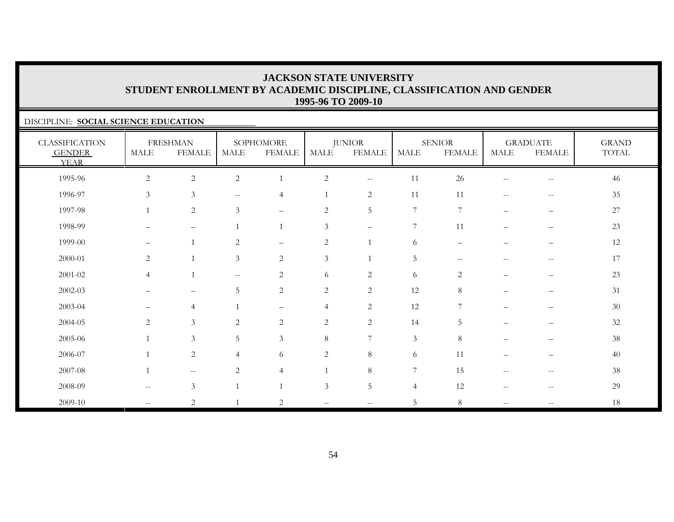### DISCIPLINE: **SOCIAL SCIENCE EDUCATION**

| <b>CLASSIFICATION</b><br><b>GENDER</b><br><b>YEAR</b> | <b>MALE</b>              | <b>FRESHMAN</b><br><b>FEMALE</b> | <b>MALE</b>                                         | SOPHOMORE<br><b>FEMALE</b> | MALE                     | <b>JUNIOR</b><br><b>FEMALE</b> | <b>MALE</b>    | <b>SENIOR</b><br><b>FEMALE</b> | MALE                     | <b>GRADUATE</b><br><b>FEMALE</b>      | <b>GRAND</b><br>TOTAL |
|-------------------------------------------------------|--------------------------|----------------------------------|-----------------------------------------------------|----------------------------|--------------------------|--------------------------------|----------------|--------------------------------|--------------------------|---------------------------------------|-----------------------|
| 1995-96                                               | $\overline{2}$           | $\sqrt{2}$                       | $\mathbf{2}$                                        | $\mathbf{1}$               | $\overline{c}$           | $- -$                          | 11             | 26                             |                          | $-\, -$                               | 46                    |
| 1996-97                                               | $\mathfrak{Z}$           | $\mathfrak{Z}$                   | $\sim$ $\sim$                                       | $\overline{4}$             | $\mathbf{1}$             | $\sqrt{2}$                     | 11             | 11                             | $\overline{\phantom{a}}$ | $\sim$ $\sim$                         | 35                    |
| 1997-98                                               | $\overline{1}$           | $\overline{2}$                   | $\mathfrak{Z}$                                      | $\qquad \qquad -$          | $\overline{c}$           | 5                              | $7\phantom{.}$ | 7                              | $\qquad \qquad -$        | $\overline{\phantom{m}}$              | 27                    |
| 1998-99                                               | -                        | $\qquad \qquad -$                | $\overline{1}$                                      | $\overline{1}$             | 3                        | $\overline{\phantom{m}}$       | 7              | 11                             | —                        | $\overline{\phantom{m}}$              | 23                    |
| 1999-00                                               | $\qquad \qquad -$        | $\overline{1}$                   | $\sqrt{2}$                                          | $\qquad \qquad -$          | $\sqrt{2}$               |                                | 6              | $\qquad \qquad -$              |                          | $\overline{\phantom{0}}$              | 12                    |
| 2000-01                                               | $\overline{2}$           | $\overline{1}$                   | 3                                                   | $\sqrt{2}$                 | $\mathfrak{Z}$           |                                | $\overline{5}$ | $\sim$ $\sim$                  | $\overline{\phantom{a}}$ | $\hspace{0.05cm} -$                   | 17                    |
| 2001-02                                               | $\overline{4}$           | $\overline{1}$                   | $\hspace{0.05cm} -\hspace{0.05cm} -\hspace{0.05cm}$ | 2                          | 6                        | $\mathbf{2}$                   | 6              | $\overline{2}$                 | $\qquad \qquad -$        | $\overline{\phantom{m}}$              | 23                    |
| 2002-03                                               | $\overline{\phantom{0}}$ | $\overline{\phantom{m}}$         | 5                                                   | $\mathbf{2}$               | $\overline{c}$           | $\overline{c}$                 | 12             | 8                              | $\equiv$                 | $\qquad \qquad -$                     | 31                    |
| 2003-04                                               | —                        | $\overline{4}$                   |                                                     | $\qquad \qquad -$          | $\overline{4}$           | $\overline{c}$                 | 12             | 7                              |                          |                                       | 30                    |
| 2004-05                                               | $\sqrt{2}$               | $\mathfrak{Z}$                   | $\sqrt{2}$                                          | $\sqrt{2}$                 | $\sqrt{2}$               | $\sqrt{2}$                     | 14             | $\overline{5}$                 |                          |                                       | $32\,$                |
| 2005-06                                               | $\mathbf{1}$             | $\mathfrak{Z}$                   | 5                                                   | $\mathfrak{Z}$             | $8\,$                    | $\overline{7}$                 | $\mathfrak{Z}$ | $\,8\,$                        | $\qquad \qquad -$        | $\qquad \qquad -$                     | $38\,$                |
| 2006-07                                               | $\overline{1}$           | $\overline{2}$                   | $\overline{4}$                                      | 6                          | 2                        | 8                              | 6              | 11                             | $\overline{\phantom{0}}$ | $\overline{\phantom{m}}$              | 40                    |
| 2007-08                                               | $\overline{1}$           | $-\,-$                           | 2                                                   | $\overline{4}$             | $\mathbf{1}$             | $\,8\,$                        | 7              | 15                             | $\overline{\phantom{m}}$ | $\hspace{0.05cm}$ – $\hspace{0.05cm}$ | 38                    |
| 2008-09                                               | $\mathbf{u}$             | $\mathfrak{Z}$                   |                                                     | $\overline{1}$             | 3                        | 5                              | $\overline{4}$ | 12                             | $\sim$ $-$               | $\overline{\phantom{m}}$              | 29                    |
| 2009-10                                               | $\mathbf{u}$             | $\overline{2}$                   |                                                     | $\overline{2}$             | $\overline{\phantom{a}}$ | $\overline{\phantom{a}}$       | 5              | 8                              | $\overline{\phantom{a}}$ | $\hspace{0.05cm} -$                   | 18                    |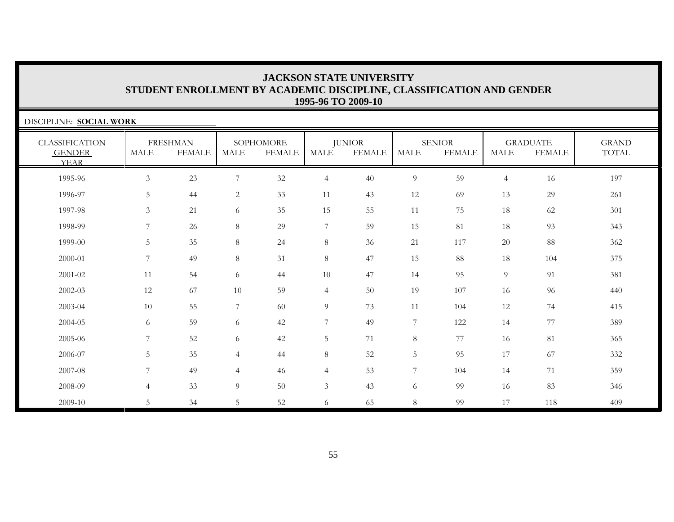| DISCIPLINE: SOCIAL WORK                               |                |                                  |                |                            |                  |                                |                  |                                |                |                                  |                       |
|-------------------------------------------------------|----------------|----------------------------------|----------------|----------------------------|------------------|--------------------------------|------------------|--------------------------------|----------------|----------------------------------|-----------------------|
| <b>CLASSIFICATION</b><br><b>GENDER</b><br><b>YEAR</b> | <b>MALE</b>    | <b>FRESHMAN</b><br><b>FEMALE</b> | <b>MALE</b>    | SOPHOMORE<br><b>FEMALE</b> | <b>MALE</b>      | <b>JUNIOR</b><br><b>FEMALE</b> | <b>MALE</b>      | <b>SENIOR</b><br><b>FEMALE</b> | <b>MALE</b>    | <b>GRADUATE</b><br><b>FEMALE</b> | <b>GRAND</b><br>TOTAL |
| 1995-96                                               | $\mathfrak{Z}$ | 23                               | 7              | 32                         | $\overline{4}$   | 40                             | $\overline{9}$   | 59                             | $\overline{4}$ | 16                               | 197                   |
| 1996-97                                               | 5              | 44                               | $\overline{2}$ | 33                         | 11               | 43                             | 12               | 69                             | 13             | 29                               | 261                   |
| 1997-98                                               | 3              | 21                               | 6              | 35                         | 15               | 55                             | 11               | 75                             | 18             | 62                               | 301                   |
| 1998-99                                               | 7              | 26                               | 8              | 29                         | 7                | 59                             | 15               | 81                             | 18             | 93                               | 343                   |
| 1999-00                                               | 5              | 35                               | 8              | 24                         | 8                | 36                             | 21               | 117                            | 20             | 88                               | 362                   |
| 2000-01                                               | 7              | 49                               | 8              | 31                         | $8\,$            | 47                             | 15               | 88                             | 18             | 104                              | 375                   |
| 2001-02                                               | 11             | 54                               | 6              | 44                         | 10               | 47                             | 14               | 95                             | 9              | 91                               | 381                   |
| 2002-03                                               | 12             | 67                               | 10             | 59                         | $\overline{4}$   | 50                             | 19               | 107                            | 16             | 96                               | 440                   |
| 2003-04                                               | 10             | 55                               | 7              | 60                         | $\overline{9}$   | 73                             | 11               | 104                            | 12             | 74                               | 415                   |
| 2004-05                                               | 6              | 59                               | 6              | 42                         | $\boldsymbol{7}$ | 49                             | $\boldsymbol{7}$ | 122                            | 14             | 77                               | 389                   |
| 2005-06                                               | 7              | 52                               | 6              | 42                         | 5                | 71                             | $8\,$            | 77                             | 16             | 81                               | 365                   |
| 2006-07                                               | 5              | 35                               | $\overline{4}$ | 44                         | $8\,$            | 52                             | 5                | 95                             | 17             | 67                               | 332                   |
| 2007-08                                               | 7              | 49                               | $\overline{4}$ | 46                         | $\overline{4}$   | 53                             | $\overline{7}$   | 104                            | 14             | 71                               | 359                   |
| 2008-09                                               | $\overline{4}$ | 33                               | 9              | 50                         | $\mathfrak{Z}$   | 43                             | 6                | 99                             | 16             | 83                               | 346                   |
| 2009-10                                               | 5              | 34                               | 5              | 52                         | 6                | 65                             | $8\,$            | 99                             | 17             | 118                              | 409                   |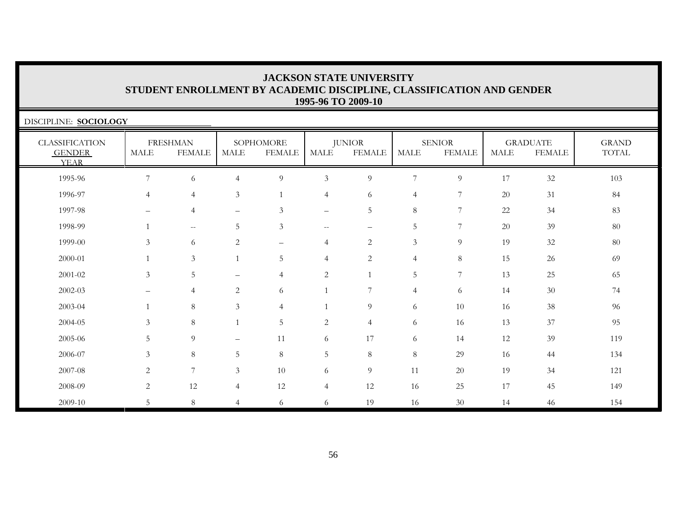| DISCIPLINE: SOCIOLOGY                                 |                |                                  |                          |                            |                   |                                |                |                                |             |                                  |                       |
|-------------------------------------------------------|----------------|----------------------------------|--------------------------|----------------------------|-------------------|--------------------------------|----------------|--------------------------------|-------------|----------------------------------|-----------------------|
| <b>CLASSIFICATION</b><br><b>GENDER</b><br><b>YEAR</b> | <b>MALE</b>    | <b>FRESHMAN</b><br><b>FEMALE</b> | MALE                     | SOPHOMORE<br><b>FEMALE</b> | MALE              | <b>JUNIOR</b><br><b>FEMALE</b> | <b>MALE</b>    | <b>SENIOR</b><br><b>FEMALE</b> | <b>MALE</b> | <b>GRADUATE</b><br><b>FEMALE</b> | <b>GRAND</b><br>TOTAL |
| 1995-96                                               | 7              | 6                                | $\overline{4}$           | $\overline{9}$             | $\mathfrak{Z}$    | 9                              | 7              | 9                              | 17          | 32                               | 103                   |
| 1996-97                                               | $\overline{4}$ | $\overline{4}$                   | $\mathfrak{Z}$           | $\mathbf{1}$               | $\overline{4}$    | 6                              | $\overline{4}$ | 7                              | 20          | 31                               | 84                    |
| 1997-98                                               |                | $\overline{4}$                   | $\qquad \qquad -$        | $\mathfrak{Z}$             | $\qquad \qquad -$ | 5                              | 8              | 7                              | 22          | 34                               | 83                    |
| 1998-99                                               |                | $--$                             | 5                        | $\mathfrak{Z}$             | $- -$             | -                              | $\mathbf 5$    | $\overline{7}$                 | 20          | 39                               | 80                    |
| 1999-00                                               | 3              | 6                                | $\mathbf{2}$             | $\qquad \qquad -$          | $\overline{4}$    | $\overline{c}$                 | $\mathfrak{Z}$ | 9                              | 19          | 32                               | 80                    |
| 2000-01                                               |                | $\mathfrak{Z}$                   |                          | 5                          | $\overline{4}$    | $\sqrt{2}$                     | $\overline{4}$ | 8                              | 15          | 26                               | 69                    |
| 2001-02                                               | 3              | 5                                |                          | $\overline{4}$             | $\mathbf{2}$      | $\mathbf{1}$                   | 5              | $\overline{7}$                 | 13          | 25                               | 65                    |
| 2002-03                                               |                | $\overline{4}$                   | 2                        | 6                          | $\mathbf{1}$      | 7                              | $\overline{4}$ | 6                              | 14          | 30                               | 74                    |
| 2003-04                                               |                | $\,8\,$                          | $\mathfrak{Z}$           | $\overline{4}$             | $\overline{1}$    | 9                              | 6              | 10                             | 16          | 38                               | 96                    |
| 2004-05                                               | 3              | 8                                |                          | 5                          | $\mathbf{2}$      | $\overline{4}$                 | 6              | 16                             | 13          | 37                               | 95                    |
| 2005-06                                               | 5              | $\overline{Q}$                   | $\overline{\phantom{0}}$ | 11                         | 6                 | 17                             | 6              | 14                             | 12          | 39                               | 119                   |
| 2006-07                                               | $\mathfrak{Z}$ | 8                                | 5                        | $8\,$                      | 5                 | $8\,$                          | $\,8\,$        | 29                             | 16          | 44                               | 134                   |
| 2007-08                                               | 2              | 7                                | $\mathfrak{Z}$           | 10                         | 6                 | 9                              | 11             | 20                             | 19          | 34                               | 121                   |
| 2008-09                                               | 2              | 12                               | 4                        | 12                         | $\overline{4}$    | 12                             | 16             | 25                             | 17          | 45                               | 149                   |
| 2009-10                                               | 5              | 8                                | $\overline{4}$           | 6                          | 6                 | 19                             | 16             | 30                             | 14          | 46                               | 154                   |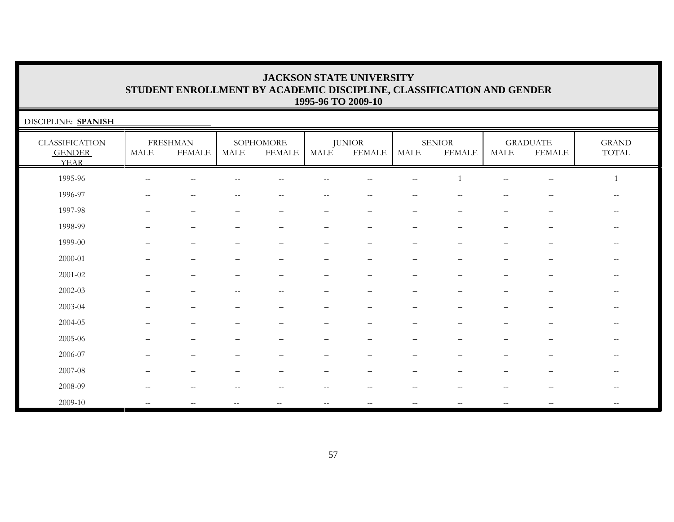| DISCIPLINE: SPANISH                                   |                    |                                  |       |                            |       |                                |             |                                |              |                                                     |                                                     |
|-------------------------------------------------------|--------------------|----------------------------------|-------|----------------------------|-------|--------------------------------|-------------|--------------------------------|--------------|-----------------------------------------------------|-----------------------------------------------------|
| <b>CLASSIFICATION</b><br><b>GENDER</b><br><b>YEAR</b> | MALE               | <b>FRESHMAN</b><br><b>FEMALE</b> | MALE  | SOPHOMORE<br><b>FEMALE</b> | MALE  | <b>JUNIOR</b><br><b>FEMALE</b> | <b>MALE</b> | <b>SENIOR</b><br><b>FEMALE</b> | MALE         | <b>GRADUATE</b><br><b>FEMALE</b>                    | <b>GRAND</b><br>$\operatorname{TOTAL}$              |
| 1995-96                                               | $\mathrel{{-}{-}}$ | $- -$                            | --    | $\overline{\phantom{m}}$   | --    | $- -$                          | $- -$       |                                | $\mathbf{u}$ | $-\,-$                                              |                                                     |
| 1996-97                                               | $\mathrel{{-}{-}}$ | $-$                              | $- -$ | $-$                        | $- -$ | $--$                           | $\sim$ $-$  |                                | $ -$         | $\hspace{0.05cm} -\hspace{0.05cm} -\hspace{0.05cm}$ | $\qquad \qquad -$                                   |
| 1997-98                                               |                    |                                  |       |                            |       |                                |             |                                |              |                                                     |                                                     |
| 1998-99                                               |                    |                                  |       |                            |       |                                |             |                                |              | $\overline{\phantom{m}}$                            | $\overline{\phantom{m}}$                            |
| 1999-00                                               |                    |                                  |       |                            |       |                                |             |                                |              |                                                     |                                                     |
| $2000 - 01$                                           |                    |                                  |       |                            |       |                                |             |                                |              |                                                     |                                                     |
| $2001 - 02$                                           |                    |                                  |       |                            |       |                                |             |                                |              |                                                     | $\overline{\phantom{m}}$                            |
| $2002 - 03$                                           |                    |                                  | $-$   | $-$                        |       |                                |             |                                |              |                                                     | $- -$                                               |
| 2003-04                                               |                    |                                  |       |                            |       |                                |             |                                |              |                                                     | $-$                                                 |
| 2004-05                                               |                    |                                  |       |                            |       |                                |             |                                |              |                                                     |                                                     |
| 2005-06                                               |                    |                                  |       |                            |       |                                |             |                                |              |                                                     | $\overline{\phantom{m}}$                            |
| 2006-07                                               |                    |                                  |       |                            |       |                                |             |                                |              |                                                     | $\hspace{0.05cm} -\hspace{0.05cm} -\hspace{0.05cm}$ |
| 2007-08                                               |                    |                                  |       |                            |       |                                |             |                                |              |                                                     | $- -$                                               |
| 2008-09                                               | --                 |                                  | --    | $-$                        | $- -$ | $- -$                          | $- -$       |                                |              | $-\,-$                                              | $-\,-$                                              |
| 2009-10                                               | $-$                |                                  | $-$   |                            | $- -$ | $- -$                          | $-$         |                                |              | $-$                                                 | $- -$                                               |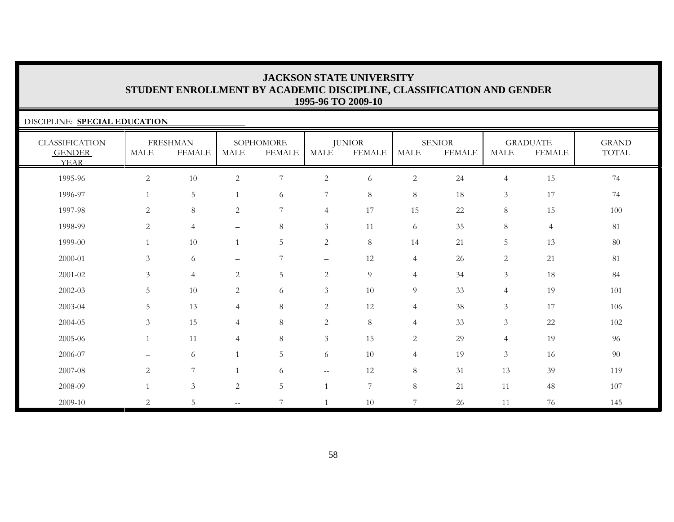| DISCIPLINE: SPECIAL EDUCATION                         |              |                                  |                          |                            |                          |                                |                |                                |                |                                  |                       |
|-------------------------------------------------------|--------------|----------------------------------|--------------------------|----------------------------|--------------------------|--------------------------------|----------------|--------------------------------|----------------|----------------------------------|-----------------------|
| <b>CLASSIFICATION</b><br><b>GENDER</b><br><b>YEAR</b> | <b>MALE</b>  | <b>FRESHMAN</b><br><b>FEMALE</b> | <b>MALE</b>              | SOPHOMORE<br><b>FEMALE</b> | MALE                     | <b>JUNIOR</b><br><b>FEMALE</b> | <b>MALE</b>    | <b>SENIOR</b><br><b>FEMALE</b> | <b>MALE</b>    | <b>GRADUATE</b><br><b>FEMALE</b> | <b>GRAND</b><br>TOTAL |
| 1995-96                                               | $\mathbf{2}$ | 10                               | $\mathbf{2}$             | 7                          | $\overline{c}$           | 6                              | $\sqrt{2}$     | 24                             | $\overline{4}$ | 15                               | 74                    |
| 1996-97                                               |              | 5                                |                          | 6                          | 7                        | 8                              | 8              | 18                             | $\mathfrak{Z}$ | 17                               | 74                    |
| 1997-98                                               | 2            | 8                                | $\overline{c}$           | 7                          | $\overline{4}$           | 17                             | 15             | $22\,$                         | 8              | 15                               | 100                   |
| 1998-99                                               | $\mathbf{2}$ | $\overline{4}$                   | $\qquad \qquad -$        | 8                          | $\mathfrak{Z}$           | 11                             | 6              | 35                             | 8              | $\overline{4}$                   | $81\,$                |
| 1999-00                                               |              | 10                               |                          | 5                          | 2                        | 8                              | 14             | 21                             | 5              | 13                               | 80                    |
| 2000-01                                               | 3            | 6                                | $\overline{\phantom{0}}$ | 7                          | $\overline{\phantom{0}}$ | 12                             | $\overline{4}$ | 26                             | $\overline{c}$ | 21                               | $81\,$                |
| 2001-02                                               | 3            | $\overline{4}$                   | 2                        | 5                          | 2                        | $\overline{9}$                 | $\overline{4}$ | 34                             | $\mathfrak{Z}$ | 18                               | 84                    |
| 2002-03                                               | 5            | 10                               | 2                        | 6                          | $\mathfrak{Z}$           | 10                             | 9              | 33                             | $\overline{4}$ | 19                               | 101                   |
| 2003-04                                               | 5            | 13                               | $\overline{4}$           | 8                          | $\overline{c}$           | 12                             | $\overline{4}$ | 38                             | $\mathfrak{Z}$ | 17                               | 106                   |
| 2004-05                                               | 3            | 15                               | $\overline{4}$           | 8                          | 2                        | 8                              | $\overline{4}$ | 33                             | $\mathfrak{Z}$ | 22                               | 102                   |
| 2005-06                                               |              | 11                               | $\overline{4}$           | 8                          | $\mathfrak{Z}$           | 15                             | 2              | 29                             | $\overline{4}$ | 19                               | 96                    |
| 2006-07                                               |              | 6                                |                          | 5                          | 6                        | 10                             | $\overline{4}$ | 19                             | $\mathfrak{Z}$ | 16                               | 90                    |
| 2007-08                                               | 2            | 7                                |                          | 6                          | $\sim$ $-$               | 12                             | 8              | 31                             | 13             | 39                               | 119                   |
| 2008-09                                               |              | $\mathfrak{Z}$                   | $\mathbf{2}$             | 5                          |                          | $\overline{7}$                 | 8              | 21                             | 11             | 48                               | 107                   |
| 2009-10                                               | 2            | 5                                | $\qquad \qquad -$        | $\overline{7}$             |                          | 10                             | $\overline{7}$ | 26                             | 11             | 76                               | 145                   |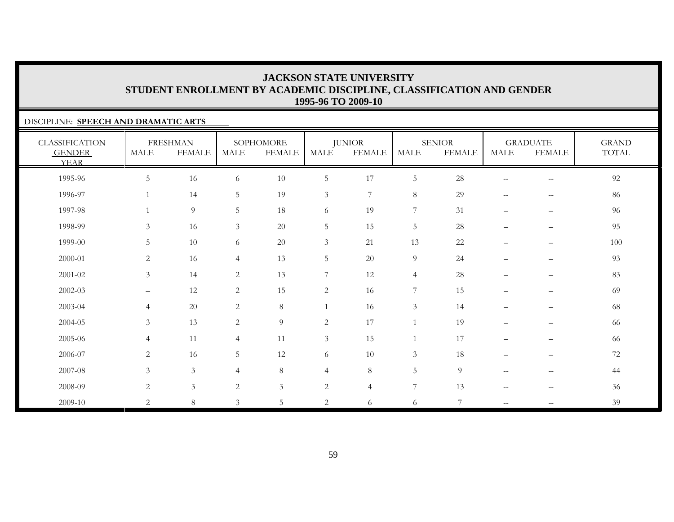### DISCIPLINE: **SPEECH AND DRAMATIC ARTS**

| <b>CLASSIFICATION</b><br><b>GENDER</b><br><b>YEAR</b> | <b>MALE</b>       | <b>FRESHMAN</b><br><b>FEMALE</b> | <b>MALE</b>     | SOPHOMORE<br><b>FEMALE</b> | MALE           | <b>JUNIOR</b><br><b>FEMALE</b> | <b>MALE</b>      | <b>SENIOR</b><br><b>FEMALE</b> | MALE                     | <b>GRADUATE</b><br><b>FEMALE</b>      | <b>GRAND</b><br>TOTAL |
|-------------------------------------------------------|-------------------|----------------------------------|-----------------|----------------------------|----------------|--------------------------------|------------------|--------------------------------|--------------------------|---------------------------------------|-----------------------|
| 1995-96                                               | 5                 | 16                               | 6               | 10                         | $\overline{5}$ | 17                             | $5\phantom{.0}$  | 28                             |                          | $\hspace{0.05cm}$ – $\hspace{0.05cm}$ | 92                    |
| 1996-97                                               | 1                 | 14                               | $5\phantom{.0}$ | 19                         | $\mathfrak{Z}$ | $7\phantom{.0}$                | $8\,$            | 29                             | $-$                      | $\hspace{0.05cm} -$                   | 86                    |
| 1997-98                                               | $\mathbf{1}$      | $\overline{9}$                   | $5\phantom{.0}$ | 18                         | 6              | 19                             | $7\phantom{.}$   | 31                             | $\qquad \qquad -$        | $\overline{\phantom{m}}$              | 96                    |
| 1998-99                                               | $\mathfrak{Z}$    | 16                               | $\mathfrak{Z}$  | 20                         | $\mathbf 5$    | 15                             | $5\phantom{.0}$  | 28                             | $\qquad \qquad -$        | $\overline{\phantom{m}}$              | 95                    |
| 1999-00                                               | 5                 | 10                               | 6               | 20                         | $\mathfrak{Z}$ | 21                             | 13               | 22                             | $\qquad \qquad -$        | $\qquad \qquad -$                     | 100                   |
| 2000-01                                               | $\overline{c}$    | 16                               | $\overline{4}$  | 13                         | $\mathbf 5$    | 20                             | $\overline{9}$   | 24                             | $\qquad \qquad -$        | $\qquad \qquad -$                     | 93                    |
| 2001-02                                               | $\mathfrak{Z}$    | 14                               | 2               | 13                         | $\overline{7}$ | 12                             | $\overline{4}$   | 28                             | $\qquad \qquad -$        | $\overline{\phantom{m}}$              | 83                    |
| 2002-03                                               | $\qquad \qquad -$ | 12                               | $\sqrt{2}$      | 15                         | $\overline{c}$ | 16                             | $\boldsymbol{7}$ | 15                             |                          | $\qquad \qquad -$                     | 69                    |
| 2003-04                                               | $\overline{4}$    | $20\,$                           | 2               | $8\,$                      | 1              | 16                             | $\mathfrak{Z}$   | 14                             | $\qquad \qquad -$        | $\qquad \qquad -$                     | 68                    |
| 2004-05                                               | $\mathfrak{Z}$    | 13                               | $\overline{c}$  | $\overline{9}$             | $\overline{c}$ | 17                             |                  | 19                             |                          |                                       | 66                    |
| 2005-06                                               | $\overline{4}$    | 11                               | $\overline{4}$  | 11                         | $\mathfrak{Z}$ | 15                             |                  | 17                             | $\qquad \qquad -$        | $\qquad \qquad -$                     | 66                    |
| 2006-07                                               | $\overline{2}$    | 16                               | 5               | 12                         | 6              | 10                             | $\mathfrak{Z}$   | 18                             | $\qquad \qquad -$        | $\overline{\phantom{m}}$              | 72                    |
| 2007-08                                               | 3                 | $\mathfrak{Z}$                   | $\overline{4}$  | 8                          | $\overline{4}$ | $\,8\,$                        | 5                | 9                              | $\overline{\phantom{m}}$ | $-\,-$                                | 44                    |
| 2008-09                                               | $\overline{2}$    | $\mathfrak{Z}$                   | $\overline{2}$  | $\mathfrak{Z}$             | $\mathbf{2}$   | $\overline{4}$                 | $\overline{7}$   | 13                             |                          | --                                    | 36                    |
| 2009-10                                               | $\overline{2}$    | $\,8\,$                          | $\mathfrak{Z}$  | 5                          | 2              | 6                              | 6                | 7                              | $\overline{\phantom{a}}$ |                                       | 39                    |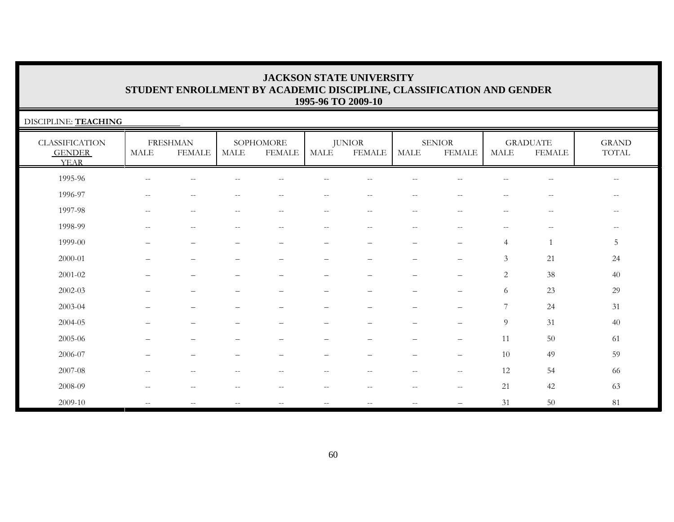| DISCIPLINE: TEACHING                                  |                          |                                  |                          |                            |        |                                                       |                                                     |                                |                                                     |                                  |                                                       |
|-------------------------------------------------------|--------------------------|----------------------------------|--------------------------|----------------------------|--------|-------------------------------------------------------|-----------------------------------------------------|--------------------------------|-----------------------------------------------------|----------------------------------|-------------------------------------------------------|
| <b>CLASSIFICATION</b><br><b>GENDER</b><br><b>YEAR</b> | <b>MALE</b>              | <b>FRESHMAN</b><br><b>FEMALE</b> | MALE                     | SOPHOMORE<br><b>FEMALE</b> | MALE   | <b>JUNIOR</b><br><b>FEMALE</b>                        | <b>MALE</b>                                         | <b>SENIOR</b><br><b>FEMALE</b> | <b>MALE</b>                                         | <b>GRADUATE</b><br><b>FEMALE</b> | <b>GRAND</b><br>TOTAL                                 |
| 1995-96                                               | $-$                      |                                  |                          |                            |        |                                                       |                                                     |                                |                                                     | --                               | $- -$                                                 |
| 1996-97                                               | $-$                      | $-$                              | --                       | $-$                        | $- -$  | $- -$                                                 | $\overline{\phantom{m}}$                            | $-$                            | $-$                                                 | $-$                              | $\hspace{0.05cm} - \hspace{0.05cm} - \hspace{0.05cm}$ |
| 1997-98                                               | $\overline{\phantom{a}}$ | $- -$                            | $\qquad \qquad -$        | $\overline{\phantom{m}}$   | $--$   | $--$                                                  | $\hspace{0.05cm} -\hspace{0.05cm} -\hspace{0.05cm}$ | $- -$                          | $\hspace{0.05cm} -\hspace{0.05cm} -\hspace{0.05cm}$ | $\overline{\phantom{m}}$         | $- -$                                                 |
| 1998-99                                               | $-$                      | $-$                              | $- -$                    | $-$                        | $--$   | $\overline{\phantom{m}}$                              | $-$                                                 | $- -$                          | $\overline{\phantom{m}}$                            | $-\,-$                           | $\overline{\phantom{m}}$                              |
| 1999-00                                               |                          |                                  |                          | $\overline{\phantom{0}}$   |        |                                                       |                                                     | $\overline{\phantom{0}}$       | $\overline{4}$                                      | $\overline{1}$                   | 5                                                     |
| 2000-01                                               |                          |                                  |                          | $\overline{\phantom{0}}$   | -      | -                                                     |                                                     | $\overline{\phantom{m}}$       | 3                                                   | 21                               | 24                                                    |
| 2001-02                                               |                          |                                  |                          |                            |        |                                                       |                                                     | $\overline{\phantom{0}}$       | 2                                                   | 38                               | 40                                                    |
| $2002 - 03$                                           |                          |                                  |                          |                            |        |                                                       |                                                     |                                | 6                                                   | 23                               | 29                                                    |
| 2003-04                                               |                          |                                  |                          |                            |        |                                                       |                                                     |                                | 7                                                   | 24                               | 31                                                    |
| 2004-05                                               |                          |                                  |                          |                            |        |                                                       |                                                     |                                | 9                                                   | 31                               | $40\,$                                                |
| 2005-06                                               |                          |                                  |                          |                            |        |                                                       |                                                     |                                | 11                                                  | 50                               | 61                                                    |
| 2006-07                                               |                          |                                  |                          |                            | -      |                                                       |                                                     |                                | 10                                                  | 49                               | 59                                                    |
| 2007-08                                               | $\overline{\phantom{m}}$ | $-$                              | $\overline{\phantom{a}}$ | $\qquad \qquad -$          | $- -$  | $-$                                                   | $\overline{\phantom{m}}$                            | $--$                           | 12                                                  | 54                               | 66                                                    |
| 2008-09                                               | $-$                      | $- -$                            | --                       | $\qquad \qquad -$          | $-\,-$ | $\hspace{0.05cm} - \hspace{0.05cm} - \hspace{0.05cm}$ | $-\,-$                                              | $\overline{\phantom{a}}$       | 21                                                  | 42                               | 63                                                    |
| 2009-10                                               | $-$                      |                                  | $- -$                    | $\qquad \qquad -$          | $- -$  | $- -$                                                 | $-$                                                 | —                              | 31                                                  | 50                               | $81\,$                                                |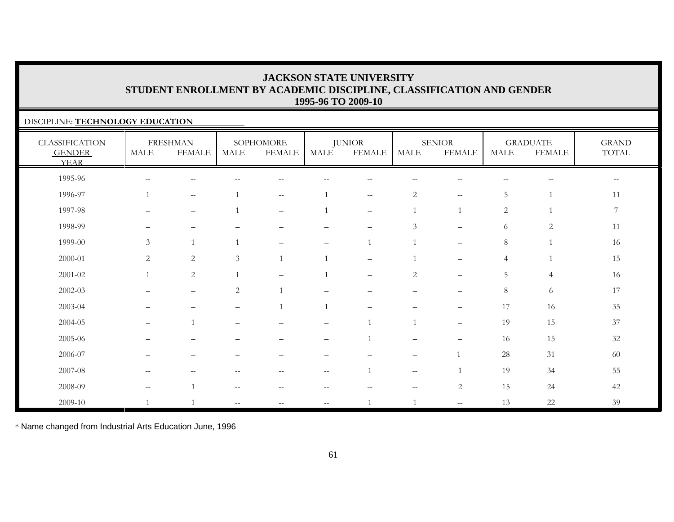### DISCIPLINE: **TECHNOLOGY EDUCATION**

| <b>CLASSIFICATION</b><br><b>GENDER</b><br><b>YEAR</b> | MALE                                                | <b>FRESHMAN</b><br><b>FEMALE</b>      | MALE           | SOPHOMORE<br><b>FEMALE</b> | MALE                     | <b>JUNIOR</b><br><b>FEMALE</b> | MALE                                                | <b>SENIOR</b><br><b>FEMALE</b> | MALE         | <b>GRADUATE</b><br><b>FEMALE</b> | <b>GRAND</b><br>TOTAL                               |
|-------------------------------------------------------|-----------------------------------------------------|---------------------------------------|----------------|----------------------------|--------------------------|--------------------------------|-----------------------------------------------------|--------------------------------|--------------|----------------------------------|-----------------------------------------------------|
| 1995-96                                               | $--$                                                | н.                                    |                |                            |                          |                                |                                                     |                                |              | $-$                              | $\hspace{0.05cm} -\hspace{0.05cm} -\hspace{0.05cm}$ |
| 1996-97                                               |                                                     | $--$                                  |                | $- -$                      |                          | $-\,-$                         | $\mathbf{2}$                                        | $--$                           | 5            | 1                                | 11                                                  |
| 1997-98                                               |                                                     | $\overline{\phantom{m}}$              |                | $\overline{\phantom{m}}$   |                          | $\overline{\phantom{m}}$       |                                                     |                                | $\mathbf{2}$ |                                  | $\overline{7}$                                      |
| 1998-99                                               | -                                                   | -                                     |                | -                          |                          | $\overline{\phantom{0}}$       | 3                                                   | $\qquad \qquad -$              | 6            | $\overline{2}$                   | 11                                                  |
| 1999-00                                               | $\mathfrak{Z}$                                      | $\overline{1}$                        | $\overline{1}$ | $\overline{\phantom{0}}$   |                          | $\mathbf{1}$                   |                                                     | $\overline{\phantom{a}}$       | $8\,$        |                                  | 16                                                  |
| $2000 - 01$                                           | 2                                                   | 2                                     | $\mathfrak{Z}$ |                            |                          |                                |                                                     |                                | 4            |                                  | 15                                                  |
| $2001 - 02$                                           |                                                     | 2                                     |                | $\qquad \qquad -$          |                          | $\qquad \qquad -$              | $\overline{c}$                                      | $\qquad \qquad -$              | 5            | $\overline{4}$                   | 16                                                  |
| $2002 - 03$                                           |                                                     | $\overline{\phantom{a}}$              | $\overline{c}$ |                            |                          |                                | $\overline{\phantom{0}}$                            |                                | $8\,$        | 6                                | 17                                                  |
| 2003-04                                               |                                                     |                                       |                |                            | $\mathbf{1}$             |                                |                                                     |                                | 17           | $16\,$                           | $35\,$                                              |
| 2004-05                                               | —                                                   |                                       |                |                            |                          |                                |                                                     | $\qquad \qquad -$              | 19           | 15                               | 37                                                  |
| 2005-06                                               |                                                     |                                       |                |                            |                          |                                | $\overline{\phantom{0}}$                            |                                | 16           | 15                               | $32\,$                                              |
| 2006-07                                               |                                                     |                                       |                |                            |                          |                                | $\overline{\phantom{0}}$                            |                                | $28\,$       | 31                               | 60                                                  |
| 2007-08                                               | $--$                                                | $\hspace{0.05cm}$ – $\hspace{0.05cm}$ | $-$            | $--$                       | $\overline{\phantom{m}}$ | $\overline{1}$                 | $\hspace{0.05cm} -\hspace{0.05cm} -\hspace{0.05cm}$ |                                | 19           | 34                               | 55                                                  |
| 2008-09                                               | $\hspace{0.05cm} -\hspace{0.05cm} -\hspace{0.05cm}$ | $\overline{1}$                        | $-\,-$         | $-\,-$                     | $-$                      |                                | $--$                                                | 2                              | 15           | 24                               | 42                                                  |
| 2009-10                                               |                                                     |                                       |                |                            | $\overline{\phantom{m}}$ | $\overline{1}$                 |                                                     | $\overline{\phantom{m}}$       | 13           | $22\,$                           | 39                                                  |

\* Name changed from Industrial Arts Education June, 1996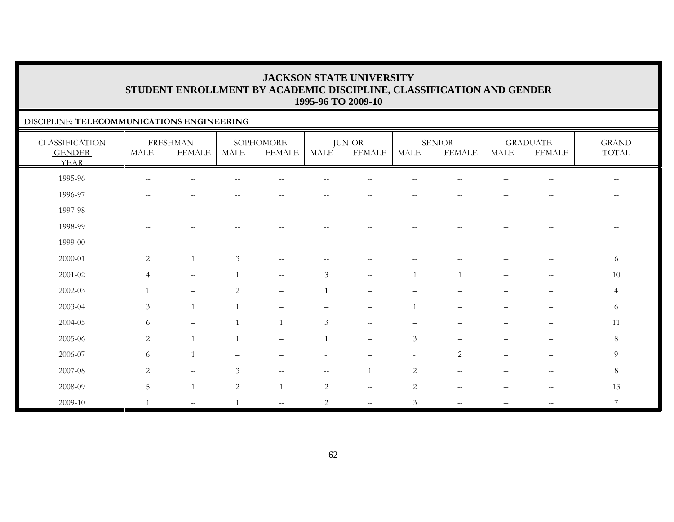### DISCIPLINE: **TELECOMMUNICATIONS ENGINEERING**

| <b>CLASSIFICATION</b><br><b>GENDER</b><br><b>YEAR</b> | <b>MALE</b>                                         | <b>FRESHMAN</b><br><b>FEMALE</b>                      | <b>MALE</b>                                           | SOPHOMORE<br><b>FEMALE</b>                            | MALE                     | <b>JUNIOR</b><br><b>FEMALE</b>                | MALE                                                | <b>SENIOR</b><br><b>FEMALE</b>                        | <b>MALE</b>                                           | <b>GRADUATE</b><br><b>FEMALE</b>                    | <b>GRAND</b><br>TOTAL    |
|-------------------------------------------------------|-----------------------------------------------------|-------------------------------------------------------|-------------------------------------------------------|-------------------------------------------------------|--------------------------|-----------------------------------------------|-----------------------------------------------------|-------------------------------------------------------|-------------------------------------------------------|-----------------------------------------------------|--------------------------|
| 1995-96                                               | $\hspace{0.05cm} -\hspace{0.05cm} -\hspace{0.05cm}$ | $- -$                                                 |                                                       | $-$                                                   |                          | $-$                                           | $\overline{\phantom{m}}$                            | $-$                                                   | $-$                                                   | $\overline{\phantom{m}}$                            | $\overline{\phantom{m}}$ |
| 1996-97                                               | $\hspace{0.1mm}-\hspace{0.1mm}-\hspace{0.1mm}$      | $\overline{\phantom{m}}$                              | $\hspace{0.05cm} - \hspace{0.05cm} - \hspace{0.05cm}$ | $\hspace{0.05cm} - \hspace{0.05cm} - \hspace{0.05cm}$ | $\overline{\phantom{m}}$ | $\overline{\phantom{m}}$                      | $\overline{\phantom{m}}$                            | $\hspace{0.05cm} - \hspace{0.05cm} - \hspace{0.05cm}$ | $\hspace{0.05cm}$ – $\hspace{0.05cm}$                 | $-\,-$                                              | $\overline{\phantom{m}}$ |
| 1997-98                                               | $\hspace{0.05cm} -\hspace{0.05cm} -\hspace{0.05cm}$ | $\overline{\phantom{m}}$                              | $\overline{\phantom{a}}$                              | $\qquad \qquad -$                                     | $ -$                     | $\sim$ $-$                                    | $\hspace{0.05cm} -\hspace{0.05cm} -\hspace{0.05cm}$ | $\sim$                                                | $\overline{\phantom{m}}$                              | $\hspace{0.05cm} -\hspace{0.05cm} -\hspace{0.05cm}$ | --                       |
| 1998-99                                               | $\hspace{0.05cm} -\hspace{0.05cm} -\hspace{0.05cm}$ | $\overline{\phantom{m}}$                              | $\hspace{0.05cm} - \hspace{0.05cm} - \hspace{0.05cm}$ | $\qquad \qquad -$                                     | $-\,-$                   | $\overline{\phantom{m}}$                      | $--$                                                | $-\,-$                                                | $\hspace{0.05cm} - \hspace{0.05cm} - \hspace{0.05cm}$ | $-\,-$                                              | $\qquad \qquad -$        |
| 1999-00                                               |                                                     | —                                                     |                                                       |                                                       | $\overline{\phantom{0}}$ | $\overline{\phantom{0}}$                      |                                                     |                                                       | $\hspace{0.05cm} - \hspace{0.05cm} - \hspace{0.05cm}$ | $-\,-$                                              | $\qquad \qquad -$        |
| 2000-01                                               | 2                                                   | $\overline{1}$                                        | 3                                                     | $\overline{\phantom{m}}$                              | $-$                      | $-$                                           | $-$                                                 |                                                       |                                                       | $-\,-$                                              | 6                        |
| $2001 - 02$                                           | $\overline{4}$                                      | $\hspace{0.05cm} -\hspace{0.05cm} -\hspace{0.05cm}$   |                                                       | $--$                                                  | 3                        | $\sim$ $-$                                    |                                                     |                                                       | $\mathbf{u}$                                          | $-\,-$                                              | 10                       |
| 2002-03                                               |                                                     | $\overbrace{\phantom{12322111}}$                      | 2                                                     | $\overline{\phantom{0}}$                              |                          |                                               |                                                     |                                                       |                                                       | $\qquad \qquad -$                                   | $\overline{4}$           |
| 2003-04                                               | $\mathfrak{Z}$                                      | $\mathbf{1}$                                          |                                                       |                                                       |                          |                                               |                                                     |                                                       |                                                       |                                                     | 6                        |
| 2004-05                                               | 6                                                   | $\qquad \qquad -$                                     |                                                       | $\overline{1}$                                        | 3                        | $\overline{\phantom{m}}$                      |                                                     |                                                       |                                                       |                                                     | 11                       |
| 2005-06                                               | 2                                                   | $\overline{1}$                                        | $\overline{1}$                                        | $\overline{\phantom{m}}$                              |                          | $\overline{\phantom{m}}$                      | $\mathfrak{Z}$                                      | $\overline{\phantom{m}}$                              | —                                                     | $\overline{\phantom{m}}$                            | 8                        |
| 2006-07                                               | 6                                                   | $\overline{1}$                                        |                                                       |                                                       |                          |                                               | $\sim$                                              | 2                                                     | $\qquad \qquad -$                                     | $\overline{\phantom{m}}$                            | 9                        |
| 2007-08                                               | $\overline{2}$                                      | $\hspace{0.05cm} - \hspace{0.05cm} - \hspace{0.05cm}$ | 3                                                     | $\overline{\phantom{m}}$                              | $ -$                     |                                               | $\mathbf{2}$                                        | $\overline{\phantom{m}}$                              | $-$                                                   | $\hspace{0.05cm} -\hspace{0.05cm} -\hspace{0.05cm}$ | 8                        |
| 2008-09                                               | 5                                                   | $\overline{1}$                                        | $\overline{2}$                                        | $\overline{1}$                                        | $\mathbf{2}$             | $\sim$ $\sim$                                 | $\sqrt{2}$                                          | $\sim$ $-$                                            | $\hspace{0.05cm} - \hspace{0.05cm} - \hspace{0.05cm}$ | $\overline{\phantom{m}}$                            | 13                       |
| 2009-10                                               | $\mathbf{1}$                                        | $\sim$ $\sim$                                         |                                                       | $\mathcal{L} = \mathcal{L}$                           | $\overline{c}$           | $\mathord{\hspace{1pt}\text{--}\hspace{1pt}}$ | $\mathfrak{Z}$                                      | $\overline{\phantom{m}}$                              | $\overline{\phantom{m}}$                              | $- -$                                               | $\overline{7}$           |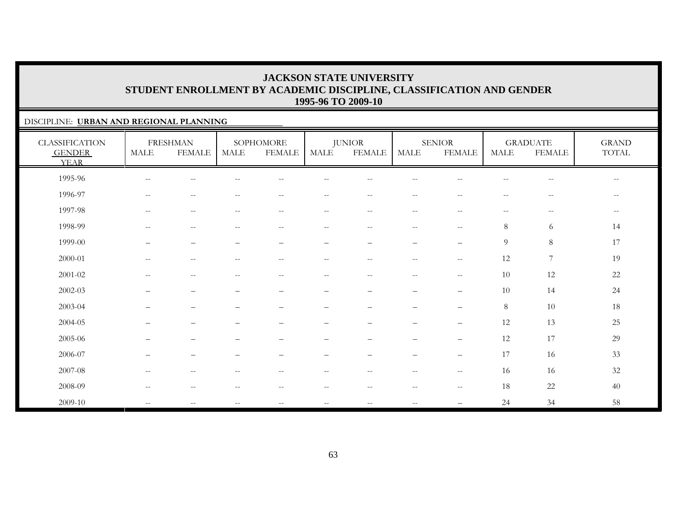### DISCIPLINE: **URBAN AND REGIONAL PLANNING**

| <b>CLASSIFICATION</b><br><b>GENDER</b><br><b>YEAR</b> | MALE                                                  | <b>FRESHMAN</b><br><b>FEMALE</b>                    | <b>MALE</b>              | SOPHOMORE<br><b>FEMALE</b>                            | <b>MALE</b>              | <b>JUNIOR</b><br><b>FEMALE</b> | <b>MALE</b>              | <b>SENIOR</b><br><b>FEMALE</b>                      | <b>MALE</b>              | <b>GRADUATE</b><br><b>FEMALE</b>      | <b>GRAND</b><br>TOTAL |
|-------------------------------------------------------|-------------------------------------------------------|-----------------------------------------------------|--------------------------|-------------------------------------------------------|--------------------------|--------------------------------|--------------------------|-----------------------------------------------------|--------------------------|---------------------------------------|-----------------------|
| 1995-96                                               | $\hspace{0.1mm}-\hspace{0.1mm}-\hspace{0.1mm}$        | $\qquad \qquad -$                                   |                          | $-$                                                   | --                       | $-$                            | $\overline{\phantom{m}}$ | --                                                  | $\qquad \qquad -$        | $\hspace{0.05cm}$ – $\hspace{0.05cm}$ | $--$                  |
| 1996-97                                               | $--$                                                  | $\qquad \qquad -$                                   | $\sim$ $\sim$            | $- -$                                                 | --                       | $-\,-$                         | $- -$                    | $\sim$ $\sim$                                       | $-\,-$                   | $- -$                                 | $--$                  |
| 1997-98                                               | $\hspace{0.05cm} -\hspace{0.05cm} -\hspace{0.05cm}$   | $\hspace{0.05cm} -\hspace{0.05cm} -\hspace{0.05cm}$ | $\overline{\phantom{m}}$ | $\hspace{0.05cm} - \hspace{0.05cm} - \hspace{0.05cm}$ | $\qquad \qquad -$        | $- -$                          | $- -$                    | $\overline{\phantom{m}}$                            | $\overline{\phantom{m}}$ | $--$                                  | $--$                  |
| 1998-99                                               | $\sim$ $-$                                            | $\hspace{0.05cm} -\hspace{0.05cm} -\hspace{0.05cm}$ | $\sim$ $\sim$            | $\sim$ $-$                                            | $- -$                    | $--$                           | $--$                     | $\hspace{0.05cm} -\hspace{0.05cm} -\hspace{0.05cm}$ | 8                        | 6                                     | 14                    |
| 1999-00                                               | $\overline{\phantom{0}}$                              | $\overline{\phantom{0}}$                            | $\overline{\phantom{0}}$ | $\qquad \qquad -$                                     | $\qquad \qquad -$        |                                | $\qquad \qquad -$        | $\overline{\phantom{0}}$                            | $\overline{9}$           | $8\,$                                 | 17                    |
| $2000 - 01$                                           | $\hspace{0.05cm} - \hspace{0.05cm} - \hspace{0.05cm}$ | $\qquad \qquad -$                                   | $\sim$ $\sim$            | $- -$                                                 | $-$                      | $-$                            | $\qquad \qquad -$        | $\sim$ $\sim$                                       | 12                       | $\boldsymbol{7}$                      | 19                    |
| $2001 - 02$                                           | $--$                                                  | $\qquad \qquad -$                                   | $\sim$ $-$               | $-$                                                   | $- -$                    | $- -$                          | $\overline{\phantom{a}}$ | $- -$                                               | 10                       | 12                                    | 22                    |
| 2002-03                                               |                                                       | $\qquad \qquad -$                                   |                          | —                                                     | —                        | $\overline{\phantom{m}}$       | $\qquad \qquad -$        | $\overline{\phantom{m}}$                            | 10                       | 14                                    | 24                    |
| 2003-04                                               |                                                       | $\overline{\phantom{0}}$                            |                          |                                                       |                          |                                | -                        | $\overline{\phantom{m}}$                            | 8                        | $10\,$                                | 18                    |
| 2004-05                                               |                                                       | -                                                   |                          |                                                       |                          |                                |                          | $\qquad \qquad -$                                   | 12                       | 13                                    | 25                    |
| 2005-06                                               |                                                       | $\qquad \qquad -$                                   |                          |                                                       |                          |                                | -                        | $\overline{\phantom{m}}$                            | 12                       | 17                                    | 29                    |
| 2006-07                                               | —                                                     | $\qquad \qquad -$                                   |                          | $\overline{\phantom{0}}$                              | $\qquad \qquad -$        |                                | $\qquad \qquad -$        | $\overline{\phantom{m}}$                            | 17                       | 16                                    | 33                    |
| 2007-08                                               | $\sim$ $\sim$                                         | $\hspace{0.05cm} -\hspace{0.05cm} -\hspace{0.05cm}$ | $-$                      | --                                                    | $\overline{\phantom{m}}$ | $- -$                          | $\overline{\phantom{a}}$ | $\hspace{0.05cm} -\hspace{0.05cm} -\hspace{0.05cm}$ | 16                       | 16                                    | 32                    |
| 2008-09                                               | $\hspace{0.05cm} -\hspace{0.05cm} -\hspace{0.05cm}$   | $\hspace{0.05cm} -\hspace{0.05cm} -\hspace{0.05cm}$ | $\overline{\phantom{m}}$ | $\hspace{0.05cm} - \hspace{0.05cm} - \hspace{0.05cm}$ | $- -$                    | $--$                           | $--$                     | $\hspace{0.05cm} -\hspace{0.05cm} -\hspace{0.05cm}$ | 18                       | $22\,$                                | 40                    |
| 2009-10                                               | $\mathbf{u}$                                          | $\qquad \qquad -$                                   | $\sim$ $-$               | $\overline{\phantom{m}}$                              | $-\,-$                   | $\overline{\phantom{m}}$       | $\overline{\phantom{m}}$ |                                                     | 24                       | 34                                    | 58                    |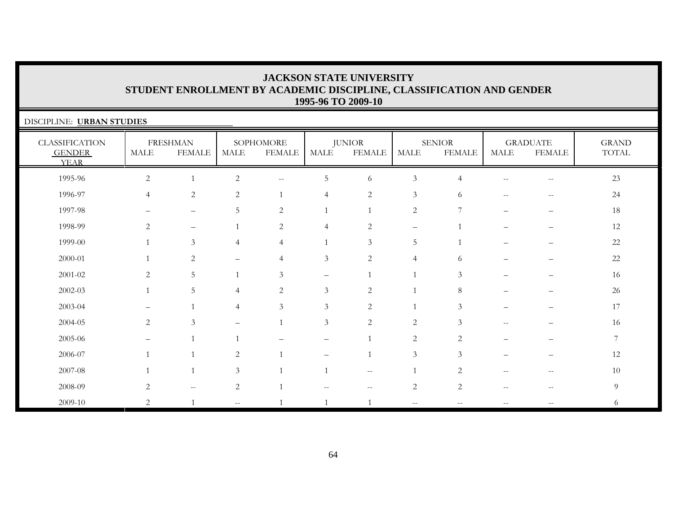| DISCIPLINE: URBAN STUDIES                             |                |                                                     |                   |                            |                |                                |                   |                                |                   |                                  |                       |  |
|-------------------------------------------------------|----------------|-----------------------------------------------------|-------------------|----------------------------|----------------|--------------------------------|-------------------|--------------------------------|-------------------|----------------------------------|-----------------------|--|
| <b>CLASSIFICATION</b><br><b>GENDER</b><br><b>YEAR</b> | MALE           | <b>FRESHMAN</b><br><b>FEMALE</b>                    | MALE              | SOPHOMORE<br><b>FEMALE</b> | MALE           | <b>JUNIOR</b><br><b>FEMALE</b> | MALE              | <b>SENIOR</b><br><b>FEMALE</b> | <b>MALE</b>       | <b>GRADUATE</b><br><b>FEMALE</b> | <b>GRAND</b><br>TOTAL |  |
| 1995-96                                               | $\overline{2}$ |                                                     | $\overline{c}$    | $\overline{\phantom{m}}$   | 5              | 6                              | $\mathfrak{Z}$    | 4                              | $\sim$ $-$        | $-\,-$                           | 23                    |  |
| 1996-97                                               | $\overline{4}$ | 2                                                   | $\overline{2}$    |                            | 4              | $\overline{2}$                 | $\mathfrak{Z}$    | 6                              | $-$               | --                               | 24                    |  |
| 1997-98                                               |                | $\qquad \qquad -$                                   | 5                 | 2                          |                |                                | 2                 | 7                              |                   |                                  | 18                    |  |
| 1998-99                                               | 2              | $\qquad \qquad -$                                   |                   | 2                          | $\overline{4}$ | 2                              | $\qquad \qquad -$ |                                |                   |                                  | 12                    |  |
| 1999-00                                               |                | $\mathfrak{Z}$                                      | 4                 | $\overline{4}$             | $\mathbf{1}$   | 3                              | 5                 | $\overline{1}$                 |                   |                                  | 22                    |  |
| 2000-01                                               |                | 2                                                   | $\equiv$          | $\overline{4}$             | $\mathfrak{Z}$ | 2                              | $\overline{4}$    | 6                              |                   |                                  | 22                    |  |
| $2001 - 02$                                           | 2              | 5                                                   |                   | 3                          |                |                                |                   | 3                              |                   |                                  | 16                    |  |
| $2002 - 03$                                           |                | 5                                                   | 4                 | 2                          | 3              | 2                              | $\mathbf{1}$      | 8                              |                   |                                  | 26                    |  |
| 2003-04                                               |                |                                                     | 4                 | 3                          | 3              | $\overline{2}$                 |                   | $\mathcal{Z}$                  |                   |                                  | 17                    |  |
| 2004-05                                               | 2              | 3                                                   |                   |                            | $\mathfrak{Z}$ | $\overline{2}$                 | 2                 | 3                              | $\qquad \qquad -$ |                                  | 16                    |  |
| 2005-06                                               |                |                                                     |                   |                            |                |                                | 2                 | 2                              |                   |                                  | 7                     |  |
| 2006-07                                               |                |                                                     | 2                 |                            |                |                                | 3                 | $\mathcal{Z}$                  |                   |                                  | 12                    |  |
| 2007-08                                               |                |                                                     | 3                 |                            |                | $\overline{\phantom{m}}$       |                   | 2                              |                   |                                  | 10                    |  |
| 2008-09                                               | 2              | $\hspace{0.05cm} -\hspace{0.05cm} -\hspace{0.05cm}$ | $\overline{2}$    |                            |                |                                | $\sqrt{2}$        | 2                              | $-$               |                                  | 9                     |  |
| 2009-10                                               | 2              |                                                     | $\qquad \qquad -$ |                            | $\overline{1}$ | $\overline{1}$                 | $ -$              |                                | $- -$             |                                  | 6                     |  |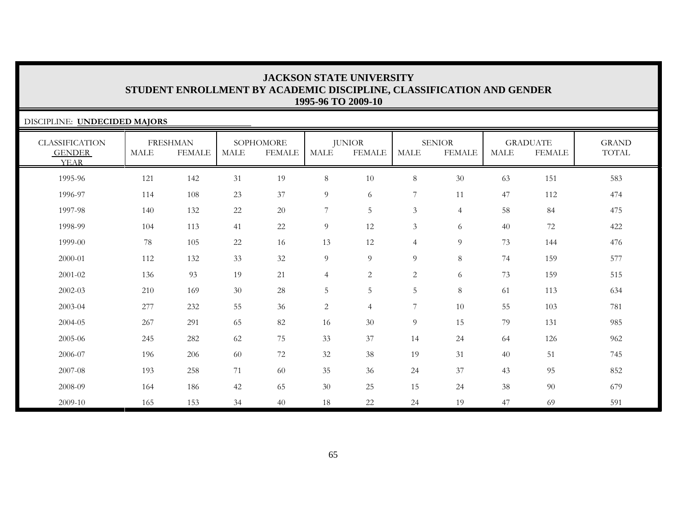| DISCIPLINE: UNDECIDED MAJORS                          |      |                                  |             |                            |                |                                |                |                                |             |                                  |                       |  |
|-------------------------------------------------------|------|----------------------------------|-------------|----------------------------|----------------|--------------------------------|----------------|--------------------------------|-------------|----------------------------------|-----------------------|--|
| <b>CLASSIFICATION</b><br><b>GENDER</b><br><b>YEAR</b> | MALE | <b>FRESHMAN</b><br><b>FEMALE</b> | <b>MALE</b> | SOPHOMORE<br><b>FEMALE</b> | <b>MALE</b>    | <b>JUNIOR</b><br><b>FEMALE</b> | <b>MALE</b>    | <b>SENIOR</b><br><b>FEMALE</b> | <b>MALE</b> | <b>GRADUATE</b><br><b>FEMALE</b> | <b>GRAND</b><br>TOTAL |  |
| 1995-96                                               | 121  | 142                              | 31          | 19                         | $8\phantom{.}$ | 10                             | $\,8\,$        | $30\,$                         | 63          | 151                              | 583                   |  |
| 1996-97                                               | 114  | 108                              | 23          | 37                         | $\overline{9}$ | 6                              | 7              | 11                             | 47          | 112                              | 474                   |  |
| 1997-98                                               | 140  | 132                              | $22\,$      | 20                         | 7              | $\overline{5}$                 | $\mathfrak{Z}$ | $\overline{4}$                 | 58          | 84                               | 475                   |  |
| 1998-99                                               | 104  | 113                              | 41          | 22                         | 9              | 12                             | 3              | 6                              | 40          | 72                               | 422                   |  |
| 1999-00                                               | 78   | 105                              | $22\,$      | 16                         | 13             | 12                             | $\overline{4}$ | 9                              | 73          | 144                              | 476                   |  |
| 2000-01                                               | 112  | 132                              | 33          | 32                         | $\overline{9}$ | $\overline{9}$                 | 9              | 8                              | 74          | 159                              | 577                   |  |
| 2001-02                                               | 136  | 93                               | 19          | 21                         | $\overline{4}$ | 2                              | $\overline{c}$ | 6                              | 73          | 159                              | 515                   |  |
| 2002-03                                               | 210  | 169                              | 30          | 28                         | 5              | 5                              | 5              | 8                              | 61          | 113                              | 634                   |  |
| 2003-04                                               | 277  | 232                              | 55          | 36                         | $\overline{2}$ | $\overline{4}$                 | 7              | 10                             | 55          | 103                              | 781                   |  |
| 2004-05                                               | 267  | 291                              | 65          | 82                         | 16             | 30                             | 9              | 15                             | 79          | 131                              | 985                   |  |
| 2005-06                                               | 245  | 282                              | 62          | 75                         | 33             | 37                             | 14             | 24                             | 64          | 126                              | 962                   |  |
| 2006-07                                               | 196  | 206                              | 60          | 72                         | 32             | 38                             | 19             | 31                             | 40          | 51                               | 745                   |  |
| 2007-08                                               | 193  | 258                              | 71          | 60                         | 35             | 36                             | 24             | $37\,$                         | 43          | 95                               | 852                   |  |
| 2008-09                                               | 164  | 186                              | 42          | 65                         | 30             | 25                             | 15             | 24                             | 38          | 90                               | 679                   |  |
| 2009-10                                               | 165  | 153                              | 34          | 40                         | 18             | 22                             | 24             | 19                             | 47          | 69                               | 591                   |  |